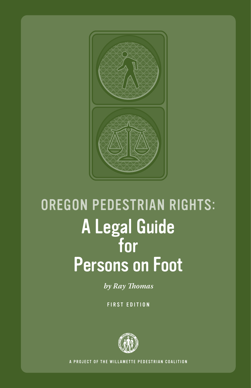

# **OREGON PEDESTRIAN RIGHTS:** A Legal Guide **Persons on Foot**

by Ray Thomas

**FIRST EDITION** 



A PROJECT OF THE WILLAMETTE PEDESTRIAN COALITION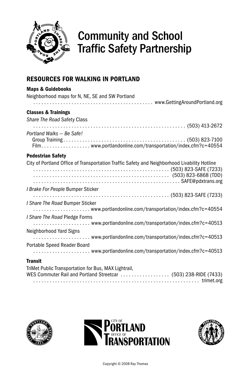

### Community and School Traffic Safety Partnership

### Resources for walking in Portland

| <b>Maps &amp; Guidebooks</b>                                                                 |
|----------------------------------------------------------------------------------------------|
| Neighborhood maps for N, NE, SE and SW Portland                                              |
|                                                                                              |
| <b>Classes &amp; Trainings</b>                                                               |
| Share The Road Safety Class                                                                  |
|                                                                                              |
| Portland Walks - Be Safe!                                                                    |
|                                                                                              |
| <b>Pedestrian Safety</b>                                                                     |
|                                                                                              |
| City of Portland Office of Transportation Traffic Safety and Neighborhood Livability Hotline |
|                                                                                              |
|                                                                                              |
| I Brake For People Bumper Sticker                                                            |
|                                                                                              |
| I Share The Road Bumper Sticker                                                              |
|                                                                                              |
| I Share The Road Pledge Forms                                                                |
|                                                                                              |
| Neighborhood Yard Signs                                                                      |
|                                                                                              |
| Portable Speed Reader Board                                                                  |
|                                                                                              |
| <b>Transit</b>                                                                               |
| TaiMat Dailette Taxanon enterties for Days, MAM Highland L.                                  |

| TriMet Public Transportation for Bus, MAX Lightrail,            |  |
|-----------------------------------------------------------------|--|
| WES Commuter Rail and Portland Streetcar  (503) 238-RIDE (7433) |  |
|                                                                 |  |





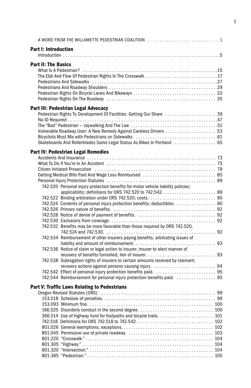|                             | A WORD FROM THE WILLAMETTE PEDESTRIAN COALITION  1                                                                                                                                                                             |  |
|-----------------------------|--------------------------------------------------------------------------------------------------------------------------------------------------------------------------------------------------------------------------------|--|
| <b>Part I: Introduction</b> |                                                                                                                                                                                                                                |  |
|                             |                                                                                                                                                                                                                                |  |
| <b>Part II: The Basics</b>  |                                                                                                                                                                                                                                |  |
|                             |                                                                                                                                                                                                                                |  |
|                             |                                                                                                                                                                                                                                |  |
|                             |                                                                                                                                                                                                                                |  |
|                             |                                                                                                                                                                                                                                |  |
|                             |                                                                                                                                                                                                                                |  |
|                             |                                                                                                                                                                                                                                |  |
|                             | Part III: Pedestrian Legal Advocacy                                                                                                                                                                                            |  |
|                             | Pedestrian Rights To Development Of Facilities: Getting Our Share  39                                                                                                                                                          |  |
|                             |                                                                                                                                                                                                                                |  |
|                             |                                                                                                                                                                                                                                |  |
|                             |                                                                                                                                                                                                                                |  |
|                             |                                                                                                                                                                                                                                |  |
|                             | Skateboards And Rollerblades Same Legal Status As Bikes In Portland  65                                                                                                                                                        |  |
|                             | <b>Part IV: Pedestrian Legal Remedies</b>                                                                                                                                                                                      |  |
|                             |                                                                                                                                                                                                                                |  |
|                             |                                                                                                                                                                                                                                |  |
|                             | Citizen Initiated Prosecution (and according to the control of the control of the control of the control of the control of the control of the control of the control of the control of the control of the control of the contr |  |
|                             |                                                                                                                                                                                                                                |  |
|                             |                                                                                                                                                                                                                                |  |
|                             | 742.520 Personal injury protection benefits for motor vehicle liability policies;                                                                                                                                              |  |
|                             |                                                                                                                                                                                                                                |  |
|                             |                                                                                                                                                                                                                                |  |
|                             | 742.524 Contents of personal injury protection benefits; deductibles.  90                                                                                                                                                      |  |
|                             |                                                                                                                                                                                                                                |  |
|                             |                                                                                                                                                                                                                                |  |
|                             |                                                                                                                                                                                                                                |  |
|                             | 742.532 Benefits may be more favorable than those required by ORS 742.520,                                                                                                                                                     |  |
|                             |                                                                                                                                                                                                                                |  |
|                             | 742.534 Reimbursement of other insurers paying benefits; arbitrating issues of                                                                                                                                                 |  |
|                             |                                                                                                                                                                                                                                |  |
|                             | 742.536 Notice of claim or legal action to insurer; insurer to elect manner of                                                                                                                                                 |  |
|                             |                                                                                                                                                                                                                                |  |
|                             | 742.538 Subrogation rights of insurers to certain amounts received by claimant;                                                                                                                                                |  |
|                             |                                                                                                                                                                                                                                |  |
|                             |                                                                                                                                                                                                                                |  |
|                             | 742.544 Reimbursement for personal injury protection benefits paid.  95                                                                                                                                                        |  |
|                             | Part V: Traffic Laws Relating to Pedestrians                                                                                                                                                                                   |  |
|                             |                                                                                                                                                                                                                                |  |
|                             |                                                                                                                                                                                                                                |  |
|                             |                                                                                                                                                                                                                                |  |
|                             |                                                                                                                                                                                                                                |  |
|                             |                                                                                                                                                                                                                                |  |
|                             |                                                                                                                                                                                                                                |  |
|                             |                                                                                                                                                                                                                                |  |
|                             |                                                                                                                                                                                                                                |  |
|                             |                                                                                                                                                                                                                                |  |
|                             |                                                                                                                                                                                                                                |  |
|                             |                                                                                                                                                                                                                                |  |
|                             |                                                                                                                                                                                                                                |  |
|                             |                                                                                                                                                                                                                                |  |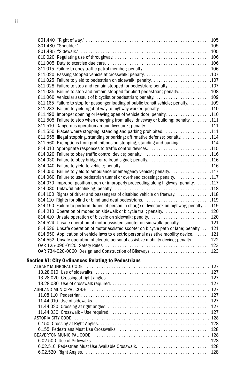| 811.015 Failure to obey traffic patrol member; penalty.  106                                |  |
|---------------------------------------------------------------------------------------------|--|
|                                                                                             |  |
| 811.025 Failure to yield to pedestrian on sidewalk; penalty. 107                            |  |
| 811.028 Failure to stop and remain stopped for pedestrian; penalty. 107                     |  |
| 811.035 Failure to stop and remain stopped for blind pedestrian; penalty. 108               |  |
|                                                                                             |  |
| 811.165 Failure to stop for passenger loading of public transit vehicle; penalty.  109      |  |
|                                                                                             |  |
| 811.490 Improper opening or leaving open of vehicle door; penalty. 110                      |  |
| 811.505 Failure to stop when emerging from alley, driveway or building; penalty. 111        |  |
| 811.510 Dangerous operation around livestock; penalty. 111                                  |  |
| 811.550 Places where stopping, standing and parking prohibited. 111                         |  |
| 811.555 Illegal stopping, standing or parking; affirmative defense; penalty. 114            |  |
| 811.560 Exemptions from prohibitions on stopping, standing and parking. 114                 |  |
| 814.010 Appropriate responses to traffic control devices. 115                               |  |
| 814.020 Failure to obey traffic control device; penalty. 116                                |  |
| 814.030 Failure to obey bridge or railroad signal; penalty. 116                             |  |
|                                                                                             |  |
| 814.050 Failure to yield to ambulance or emergency vehicle; penalty. 117                    |  |
| 814.060 Failure to use pedestrian tunnel or overhead crossing; penalty. 117                 |  |
| 814.070 Improper position upon or improperly proceeding along highway; penalty. 117         |  |
|                                                                                             |  |
| 814.100 Rights of driver and passengers of disabled vehicle on freeway. 118                 |  |
|                                                                                             |  |
| 814.150 Failure to perform duties of person in charge of livestock on highway; penalty. 119 |  |
| 814.210 Operation of moped on sidewalk or bicycle trail; penalty.  120                      |  |
| 814.410 Unsafe operation of bicycle on sidewalk; penalty.  120                              |  |
| 814.524 Unsafe operation of motor assisted scooter on sidewalk; penalty.  121               |  |
| 814.526 Unsafe operation of motor assisted scooter on bicycle path or lane; penalty. 121    |  |
| 814.550 Application of vehicle laws to electric personal assistive mobility device. 121     |  |
| 814.552 Unsafe operation of electric personal assistive mobility device; penalty.  122      |  |
|                                                                                             |  |
| OAR 734-020-0060 Design and Construction of Bikeways  123                                   |  |
|                                                                                             |  |
| <b>Section VI: City Ordinances Relating to Pedestrians</b>                                  |  |
|                                                                                             |  |
|                                                                                             |  |
|                                                                                             |  |
|                                                                                             |  |
|                                                                                             |  |
|                                                                                             |  |
|                                                                                             |  |
|                                                                                             |  |
|                                                                                             |  |
|                                                                                             |  |
|                                                                                             |  |
|                                                                                             |  |

Beaverton Municipal Code . . . . . . . . . . . . . . . . . . . . . . . . . . . . . . . . . . . . . . . . . . . . . . . 128 6.02.500 Use of Sidewalks. . . . . . . . . . . . . . . . . . . . . . . . . . . . . . . . . . . . . . . . . . . . . . . . . 128 6.02.510 Pedestrian Must Use Available Crosswalk.............................. 128 6.02.520 Right Angles. . . . . . . . . . . . . . . . . . . . . . . . . . . . . . . . . . . . . . . . . . . . . . . . . . . . 128

ii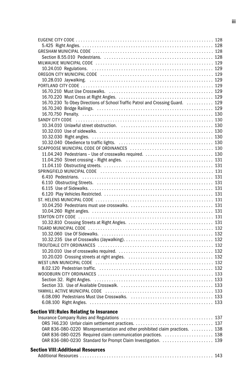| 16.70.230 To Obey Directions of School Traffic Patrol and Crossing Guard.  129 |  |
|--------------------------------------------------------------------------------|--|
|                                                                                |  |
|                                                                                |  |
|                                                                                |  |
|                                                                                |  |
|                                                                                |  |
|                                                                                |  |
|                                                                                |  |
|                                                                                |  |
|                                                                                |  |
|                                                                                |  |
|                                                                                |  |
|                                                                                |  |
|                                                                                |  |
|                                                                                |  |
|                                                                                |  |
|                                                                                |  |
|                                                                                |  |
|                                                                                |  |
|                                                                                |  |
|                                                                                |  |
|                                                                                |  |
|                                                                                |  |
|                                                                                |  |
|                                                                                |  |
|                                                                                |  |
|                                                                                |  |
|                                                                                |  |
|                                                                                |  |
|                                                                                |  |
|                                                                                |  |
|                                                                                |  |
|                                                                                |  |
|                                                                                |  |
|                                                                                |  |
|                                                                                |  |
|                                                                                |  |
|                                                                                |  |
| <b>Section VII: Rules Relating to Insurance</b>                                |  |
|                                                                                |  |
|                                                                                |  |
| OAR 836-080-0220 Misrepresentation and other prohibited claim practices.  138  |  |
| OAR 836-080-0225 Required claim communication practices.  138                  |  |
|                                                                                |  |

#### Section VIII:Additional Resources

|--|--|--|--|

OAR 836-080-0230 Standard for Prompt Claim Investigation...................... 139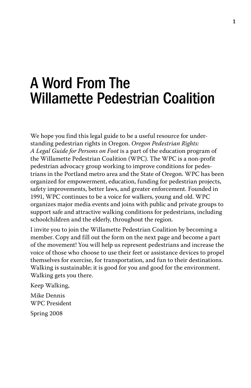## A Word From The Willamette Pedestrian Coalition

We hope you find this legal guide to be a useful resource for understanding pedestrian rights in Oregon. *Oregon Pedestrian Rights: A Legal Guide for Persons on Foot* is a part of the education program of the Willamette Pedestrian Coalition (WPC). The WPC is a non-profit pedestrian advocacy group working to improve conditions for pedestrians in the Portland metro area and the State of Oregon. WPC has been organized for empowerment, education, funding for pedestrian projects, safety improvements, better laws, and greater enforcement. Founded in 1991, WPC continues to be a voice for walkers, young and old. WPC organizes major media events and joins with public and private groups to support safe and attractive walking conditions for pedestrians, including schoolchildren and the elderly, throughout the region.

I invite you to join the Willamette Pedestrian Coalition by becoming a member. Copy and fill out the form on the next page and become a part of the movement! You will help us represent pedestrians and increase the voice of those who choose to use their feet or assistance devices to propel themselves for exercise, for transportation, and fun to their destinations. Walking is sustainable; it is good for you and good for the environment. Walking gets you there.

Keep Walking, Mike Dennis WPC President Spring 2008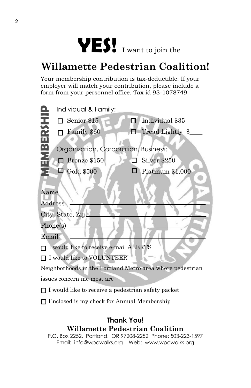

### **Willamette Pedestrian Coalition!**

Your membership contribution is tax-deductible. If your employer will match your contribution, please include a form from your personnel office. Tax id 93-1078749

|                   | Individual & Family:                                      |   |                  |
|-------------------|-----------------------------------------------------------|---|------------------|
|                   | Senior \$15                                               | П | Individual \$35  |
| <b>HASENSH</b>    | Family \$60                                               |   | Tread Lightly \$ |
|                   | Organization, Corporation, Business:                      |   |                  |
|                   | Bronze \$150                                              |   | Silver \$250     |
|                   | <b>Gold \$500</b>                                         |   | Platinum \$1,000 |
|                   |                                                           |   |                  |
| Name              |                                                           |   |                  |
| Address           |                                                           |   |                  |
| City, State, Zip_ |                                                           |   |                  |
| Phone(s)          |                                                           |   |                  |
| Email             |                                                           |   |                  |
|                   | I would like to receive e-mail ALERTS                     |   |                  |
|                   | I would like to VOLUNTEER                                 |   |                  |
|                   | Neighborhoods in the Portland Metro area where pedestrian |   |                  |
|                   | issues concern me most are.                               |   |                  |
|                   | I would like to receive a pedestrian safety packet        |   |                  |
|                   | Enclosed is my check for Annual Membership                |   |                  |

### **Thank You! Willamette Pedestrian Coalition**

P.O. Box 2252, Portland, OR 97208-2252 Phone: 503-223-1597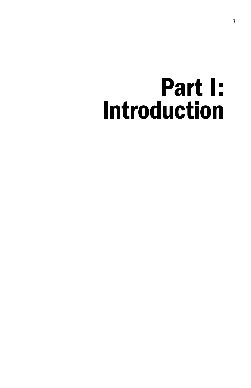## Part I: Introduction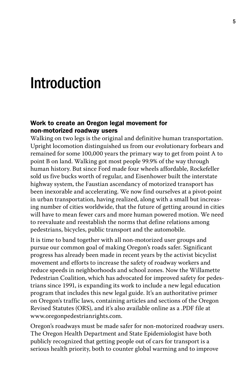### Introduction

### Work to create an Oregon legal movement for non-motorized roadway users

Walking on two legs is the original and definitive human transportation. Upright locomotion distinguished us from our evolutionary forbears and remained for some 100,000 years the primary way to get from point A to point B on land. Walking got most people 99.9% of the way through human history. But since Ford made four wheels affordable, Rockefeller sold us five bucks worth of regular, and Eisenhower built the interstate highway system, the Faustian ascendancy of motorized transport has been inexorable and accelerating. We now find ourselves at a pivot-point in urban transportation, having realized, along with a small but increasing number of cities worldwide, that the future of getting around in cities will have to mean fewer cars and more human powered motion. We need to reevaluate and reestablish the norms that define relations among pedestrians, bicycles, public transport and the automobile.

It is time to band together with all non-motorized user groups and pursue our common goal of making Oregon's roads safer. Significant progress has already been made in recent years by the activist bicyclist movement and efforts to increase the safety of roadway workers and reduce speeds in neighborhoods and school zones. Now the Willamette Pedestrian Coalition, which has advocated for improved safety for pedestrians since 1991, is expanding its work to include a new legal education program that includes this new legal guide. It's an authoritative primer on Oregon's traffic laws, containing articles and sections of the Oregon Revised Statutes (ORS), and it's also available online as a .PDF file at www.oregonpedestrianrights.com.

Oregon's roadways must be made safer for non-motorized roadway users. The Oregon Health Department and State Epidemiologist have both publicly recognized that getting people out of cars for transport is a serious health priority, both to counter global warming and to improve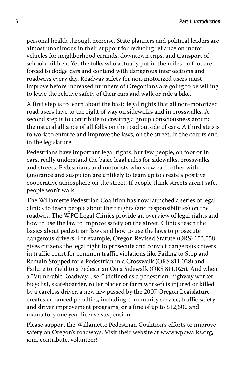personal health through exercise. State planners and political leaders are almost unanimous in their support for reducing reliance on motor vehicles for neighborhood errands, downtown trips, and transport of school children. Yet the folks who actually put in the miles on foot are forced to dodge cars and contend with dangerous intersections and roadways every day. Roadway safety for non-motorized users must improve before increased numbers of Oregonians are going to be willing to leave the relative safety of their cars and walk or ride a bike.

A first step is to learn about the basic legal rights that all non-motorized road users have to the right of way on sidewalks and in crosswalks. A second step is to contribute to creating a group consciousness around the natural alliance of all folks on the road outside of cars. A third step is to work to enforce and improve the laws, on the street, in the courts and in the legislature.

Pedestrians have important legal rights, but few people, on foot or in cars, really understand the basic legal rules for sidewalks, crosswalks and streets. Pedestrians and motorists who view each other with ignorance and suspicion are unlikely to team up to create a positive cooperative atmosphere on the street. If people think streets aren't safe, people won't walk.

The Willamette Pedestrian Coalition has now launched a series of legal clinics to teach people about their rights (and responsibilities) on the roadway. The WPC Legal Clinics provide an overview of legal rights and how to use the law to improve safety on the street. Clinics teach the basics about pedestrian laws and how to use the laws to prosecute dangerous drivers. For example, Oregon Revised Statute (ORS) 153.058 gives citizens the legal right to prosecute and convict dangerous drivers in traffic court for common traffic violations like Failing to Stop and Remain Stopped for a Pedestrian in a Crosswalk (ORS 811.028) and Failure to Yield to a Pedestrian On a Sidewalk (ORS 811.025). And when a "Vulnerable Roadway User" (defined as a pedestrian, highway worker, bicyclist, skateboarder, roller blader or farm worker) is injured or killed by a careless driver, a new law passed by the 2007 Oregon Legislature creates enhanced penalties, including community service, traffic safety and driver improvement programs, or a fine of up to \$12,500 and mandatory one year license suspension.

Please support the Willamette Pedestrian Coalition's efforts to improve safety on Oregon's roadways. Visit their website at www.wpcwalks.org, join, contribute, volunteer!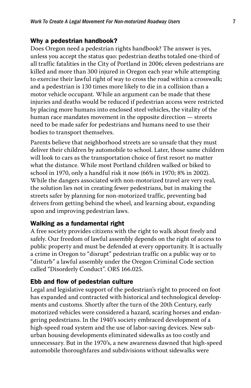#### Why a pedestrian handbook?

Does Oregon need a pedestrian rights handbook? The answer is yes, unless you accept the status quo: pedestrian deaths totaled one-third of all traffic fatalities in the City of Portland in 2006; eleven pedestrians are killed and more than 300 injured in Oregon each year while attempting to exercise their lawful right of way to cross the road within a crosswalk; and a pedestrian is 130 times more likely to die in a collision than a motor vehicle occupant. While an argument can be made that these injuries and deaths would be reduced if pedestrian access were restricted by placing more humans into enclosed steel vehicles, the vitality of the human race mandates movement in the opposite direction — streets need to be made safer for pedestrians and humans need to use their bodies to transport themselves.

Parents believe that neighborhood streets are so unsafe that they must deliver their children by automobile to school. Later, those same children will look to cars as the transportation choice of first resort no matter what the distance. While most Portland children walked or biked to school in 1970, only a handful risk it now (66% in 1970; 8% in 2002). While the dangers associated with non-motorized travel are very real, the solution lies not in creating fewer pedestrians, but in making the streets safer by planning for non-motorized traffic, preventing bad drivers from getting behind the wheel, and learning about, expanding upon and improving pedestrian laws.

#### Walking as a fundamental right

A free society provides citizens with the right to walk about freely and safely. Our freedom of lawful assembly depends on the right of access to public property and must be defended at every opportunity. It is actually a crime in Oregon to "disrupt" pedestrian traffic on a public way or to "disturb" a lawful assembly under the Oregon Criminal Code section called "Disorderly Conduct". ORS 166.025.

#### Ebb and flow of pedestrian culture

Legal and legislative support of the pedestrian's right to proceed on foot has expanded and contracted with historical and technological developments and customs. Shortly after the turn of the 20th Century, early motorized vehicles were considered a hazard, scaring horses and endangering pedestrians. In the 1940's society embraced development of a high-speed road system and the use of labor-saving devices. New suburban housing developments eliminated sidewalks as too costly and unnecessary. But in the 1970's, a new awareness dawned that high-speed automobile thoroughfares and subdivisions without sidewalks were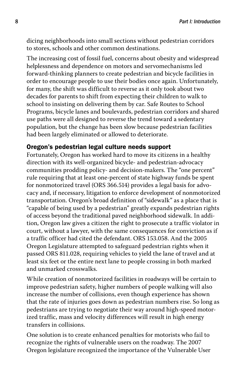*Part I: Introduction*

dicing neighborhoods into small sections without pedestrian corridors to stores, schools and other common destinations.

The increasing cost of fossil fuel, concerns about obesity and widespread helplessness and dependence on motors and servomechanisms led forward-thinking planners to create pedestrian and bicycle facilities in order to encourage people to use their bodies once again. Unfortunately, for many, the shift was difficult to reverse as it only took about two decades for parents to shift from expecting their children to walk to school to insisting on delivering them by car. Safe Routes to School Programs, bicycle lanes and boulevards, pedestrian corridors and shared use paths were all designed to reverse the trend toward a sedentary population, but the change has been slow because pedestrian facilities had been largely eliminated or allowed to deteriorate.

### Oregon's pedestrian legal culture needs support

Fortunately, Oregon has worked hard to move its citizens in a healthy direction with its well-organized bicycle- and pedestrian-advocacy communities prodding policy- and decision-makers. The "one percent" rule requiring that at least one-percent of state highway funds be spent for nonmotorized travel (ORS 366.514) provides a legal basis for advocacy and, if necessary, litigation to enforce development of nonmotorized transportation. Oregon's broad definition of "sidewalk" as a place that is "capable of being used by a pedestrian" greatly expands pedestrian rights of access beyond the traditional paved neighborhood sidewalk. In addition, Oregon law gives a citizen the right to prosecute a traffic violator in court, without a lawyer, with the same consequences for conviction as if a traffic officer had cited the defendant. ORS 153.058. And the 2005 Oregon Legislature attempted to safeguard pedestrian rights when it passed ORS 811.028, requiring vehicles to yield the lane of travel and at least six feet or the entire next lane to people crossing in both marked and unmarked crosswalks.

While creation of nonmotorized facilities in roadways will be certain to improve pedestrian safety, higher numbers of people walking will also increase the number of collisions, even though experience has shown that the rate of injuries goes down as pedestrian numbers rise. So long as pedestrians are trying to negotiate their way around high-speed motorized traffic, mass and velocity differences will result in high energy transfers in collisions.

One solution is to create enhanced penalties for motorists who fail to recognize the rights of vulnerable users on the roadway. The 2007 Oregon legislature recognized the importance of the Vulnerable User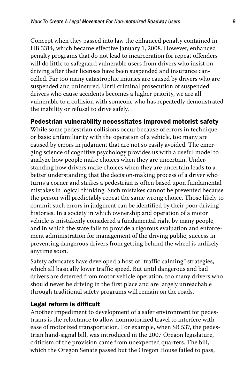Concept when they passed into law the enhanced penalty contained in HB 3314, which became effective January 1, 2008. However, enhanced penalty programs that do not lead to incarceration for repeat offenders will do little to safeguard vulnerable users from drivers who insist on driving after their licenses have been suspended and insurance cancelled. Far too many catastrophic injuries are caused by drivers who are suspended and uninsured. Until criminal prosecution of suspended drivers who cause accidents becomes a higher priority, we are all vulnerable to a collision with someone who has repeatedly demonstrated the inability or refusal to drive safely.

Pedestrian vulnerability necessitates improved motorist safety

While some pedestrian collisions occur because of errors in technique or basic unfamiliarity with the operation of a vehicle, too many are caused by errors in judgment that are not so easily avoided. The emerging science of cognitive psychology provides us with a useful model to analyze how people make choices when they are uncertain. Understanding how drivers make choices when they are uncertain leads to a better understanding that the decision-making process of a driver who turns a corner and strikes a pedestrian is often based upon fundamental mistakes in logical thinking. Such mistakes cannot be prevented because the person will predictably repeat the same wrong choice. Those likely to commit such errors in judgment can be identified by their poor driving histories. In a society in which ownership and operation of a motor vehicle is mistakenly considered a fundamental right by many people, and in which the state fails to provide a rigorous evaluation and enforcement administration for management of the driving public, success in preventing dangerous drivers from getting behind the wheel is unlikely anytime soon.

Safety advocates have developed a host of "traffic calming" strategies, which all basically lower traffic speed. But until dangerous and bad drivers are deterred from motor vehicle operation, too many drivers who should never be driving in the first place and are largely unreachable through traditional safety programs will remain on the roads.

### Legal reform is difficult

Another impediment to development of a safer environment for pedestrians is the reluctance to allow nonmotorized travel to interfere with ease of motorized transportation. For example, when SB 537, the pedestrian hand-signal bill, was introduced in the 2007 Oregon legislature, criticism of the provision came from unexpected quarters. The bill, which the Oregon Senate passed but the Oregon House failed to pass,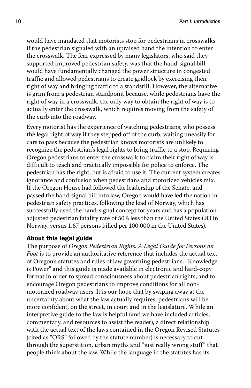would have mandated that motorists stop for pedestrians in crosswalks if the pedestrian signaled with an upraised hand the intention to enter the crosswalk. The fear expressed by many legislators, who said they supported improved pedestrian safety, was that the hand-signal bill would have fundamentally changed the power structure in congested traffic and allowed pedestrians to create gridlock by exercising their right of way and bringing traffic to a standstill. However, the alternative is grim from a pedestrian standpoint because, while pedestrians have the right of way in a crosswalk, the only way to obtain the right of way is to actually enter the crosswalk, which requires moving from the safety of the curb into the roadway.

Every motorist has the experience of watching pedestrians, who possess the legal right of way if they stepped off of the curb, waiting uneasily for cars to pass because the pedestrian knows motorists are unlikely to recognize the pedestrian's legal rights to bring traffic to a stop. Requiring Oregon pedestrians to enter the crosswalk to claim their right of way is difficult to teach and practically impossible for police to enforce. The pedestrian has the right, but is afraid to use it. The current system creates ignorance and confusion when pedestrians and motorized vehicles mix. If the Oregon House had followed the leadership of the Senate, and passed the hand-signal bill into law, Oregon would have led the nation in pedestrian safety practices, following the lead of Norway, which has successfully used the hand-signal concept for years and has a populationadjusted pedestrian fatality rate of 50% less than the United States (.83 in Norway, versus 1.67 persons killed per 100,000 in the United States).

### About this legal guide

The purpose of *Oregon Pedestrian Rights: A Legal Guide for Persons on Foot* is to provide an authoritative reference that includes the actual text of Oregon's statutes and rules of law governing pedestrians. "Knowledge is Power" and this guide is made available in electronic and hard-copy format in order to spread consciousness about pedestrian rights, and to encourage Oregon pedestrians to improve conditions for all nonmotorized roadway users. It is our hope that by swiping away at the uncertainty about what the law actually requires, pedestrians will be more confident, on the street, in court and in the legislature. While an interpretive guide to the law is helpful (and we have included articles, commentary, and resources to assist the reader), a direct relationship with the actual text of the laws contained in the Oregon Revised Statutes (cited as "ORS" followed by the statute number) is necessary to cut through the superstition, urban myths and "just really wrong stuff" that people think about the law. While the language in the statutes has its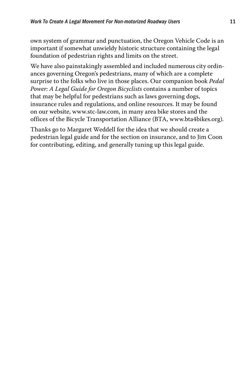own system of grammar and punctuation, the Oregon Vehicle Code is an important if somewhat unwieldy historic structure containing the legal foundation of pedestrian rights and limits on the street.

We have also painstakingly assembled and included numerous city ordinances governing Oregon's pedestrians, many of which are a complete surprise to the folks who live in those places. Our companion book *Pedal Power: A Legal Guide for Oregon Bicyclists* contains a number of topics that may be helpful for pedestrians such as laws governing dogs, insurance rules and regulations, and online resources. It may be found on our website, www.stc-law.com, in many area bike stores and the offices of the Bicycle Transportation Alliance (BTA, www.bta4bikes.org).

Thanks go to Margaret Weddell for the idea that we should create a pedestrian legal guide and for the section on insurance, and to Jim Coon for contributing, editing, and generally tuning up this legal guide.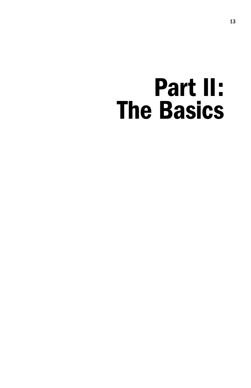## Part II: The Basics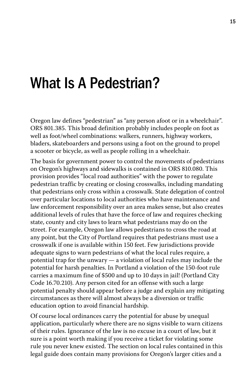### What Is A Pedestrian?

Oregon law defines "pedestrian" as "any person afoot or in a wheelchair". ORS 801.385. This broad definition probably includes people on foot as well as foot/wheel combinations: walkers, runners, highway workers, bladers, skateboarders and persons using a foot on the ground to propel a scooter or bicycle, as well as people rolling in a wheelchair.

The basis for government power to control the movements of pedestrians on Oregon's highways and sidewalks is contained in ORS 810.080. This provision provides "local road authorities" with the power to regulate pedestrian traffic by creating or closing crosswalks, including mandating that pedestrians only cross within a crosswalk. State delegation of control over particular locations to local authorities who have maintenance and law enforcement responsibility over an area makes sense, but also creates additional levels of rules that have the force of law and requires checking state, county and city laws to learn what pedestrians may do on the street. For example, Oregon law allows pedestrians to cross the road at any point, but the City of Portland requires that pedestrians must use a crosswalk if one is available within 150 feet. Few jurisdictions provide adequate signs to warn pedestrians of what the local rules require, a potential trap for the unwary — a violation of local rules may include the potential for harsh penalties. In Portland a violation of the 150-foot rule carries a maximum fine of \$500 and up to 10 days in jail! (Portland City Code 16.70.210). Any person cited for an offense with such a large potential penalty should appear before a judge and explain any mitigating circumstances as there will almost always be a diversion or traffic education option to avoid financial hardship.

Of course local ordinances carry the potential for abuse by unequal application, particularly where there are no signs visible to warn citizens of their rules. Ignorance of the law is no excuse in a court of law, but it sure is a point worth making if you receive a ticket for violating some rule you never knew existed. The section on local rules contained in this legal guide does contain many provisions for Oregon's larger cities and a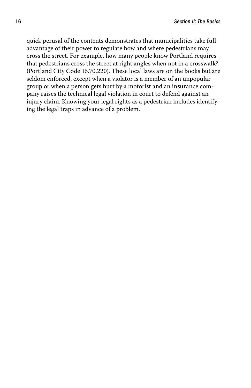quick perusal of the contents demonstrates that municipalities take full advantage of their power to regulate how and where pedestrians may cross the street. For example, how many people know Portland requires that pedestrians cross the street at right angles when not in a crosswalk? (Portland City Code 16.70.220). These local laws are on the books but are seldom enforced, except when a violator is a member of an unpopular group or when a person gets hurt by a motorist and an insurance company raises the technical legal violation in court to defend against an injury claim. Knowing your legal rights as a pedestrian includes identifying the legal traps in advance of a problem.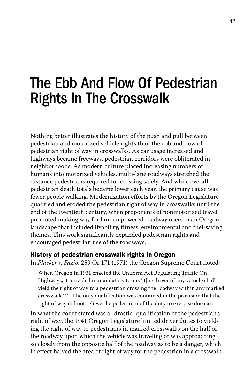### The Ebb And Flow Of Pedestrian Rights In The Crosswalk

Nothing better illustrates the history of the push and pull between pedestrian and motorized vehicle rights than the ebb and flow of pedestrian right of way in crosswalks. As car usage increased and highways became freeways, pedestrian corridors were obliterated in neighborhoods. As modern culture placed increasing numbers of humans into motorized vehicles, multi-lane roadways stretched the distance pedestrians required for crossing safely. And while overall pedestrian death totals became lower each year, the primary cause was fewer people walking. Modernization efforts by the Oregon Legislature qualified and eroded the pedestrian right of way in crosswalks until the end of the twentieth century, when proponents of nonmotorized travel promoted making way for human powered roadway users in an Oregon landscape that included livability, fitness, environmental and fuel-saving themes. This work significantly expanded pedestrian rights and encouraged pedestrian use of the roadways.

#### History of pedestrian crosswalk rights in Oregon

In *Plasker v. Fazio,* 259 Or 171 (1971) the Oregon Supreme Court noted:

When Oregon in 1931 enacted the Uniform Act Regulating Traffic On Highways, it provided in mandatory terms '[t]he driver of any vehicle shall yield the right of way to a pedestrian crossing the roadway within any marked crosswalk\*\*\*'. The only qualification was contained in the provision that the right of way did not relieve the pedestrian of the duty to exercise due care.

In what the court stated was a "drastic" qualification of the pedestrian's right of way, the 1941 Oregon Legislature limited driver duties to yielding the right of way to pedestrians in marked crosswalks on the half of the roadway upon which the vehicle was traveling or was approaching so closely from the opposite half of the roadway as to be a danger, which in effect halved the area of right of way for the pedestrian in a crosswalk.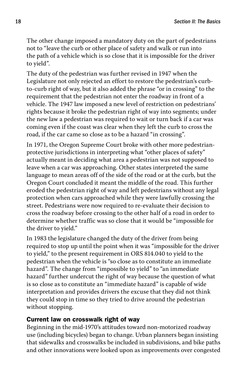The other change imposed a mandatory duty on the part of pedestrians not to "leave the curb or other place of safety and walk or run into the path of a vehicle which is so close that it is impossible for the driver to yield".

The duty of the pedestrian was further revised in 1947 when the Legislature not only rejected an effort to restore the pedestrian's curbto-curb right of way, but it also added the phrase "or in crossing" to the requirement that the pedestrian not enter the roadway in front of a vehicle. The 1947 law imposed a new level of restriction on pedestrians' rights because it broke the pedestrian right of way into segments; under the new law a pedestrian was required to wait or turn back if a car was coming even if the coast was clear when they left the curb to cross the road, if the car came so close as to be a hazard "in crossing".

In 1971, the Oregon Supreme Court broke with other more pedestrianprotective jurisdictions in interpreting what "other places of safety" actually meant in deciding what area a pedestrian was not supposed to leave when a car was approaching. Other states interpreted the same language to mean areas off of the side of the road or at the curb, but the Oregon Court concluded it meant the middle of the road. This further eroded the pedestrian right of way and left pedestrians without any legal protection when cars approached while they were lawfully crossing the street. Pedestrians were now required to re-evaluate their decision to cross the roadway before crossing to the other half of a road in order to determine whether traffic was so close that it would be "impossible for the driver to yield."

In 1983 the legislature changed the duty of the driver from being required to stop up until the point when it was "impossible for the driver to yield," to the present requirement in ORS 814.040 to yield to the pedestrian when the vehicle is "so close as to constitute an immediate hazard". The change from "impossible to yield" to "an immediate hazard" further undercut the right of way because the question of what is so close as to constitute an "immediate hazard" is capable of wide interpretation and provides drivers the excuse that they did not think they could stop in time so they tried to drive around the pedestrian without stopping.

### Current law on crosswalk right of way

Beginning in the mid-1970's attitudes toward non-motorized roadway use (including bicycles) began to change. Urban planners began insisting that sidewalks and crosswalks be included in subdivisions, and bike paths and other innovations were looked upon as improvements over congested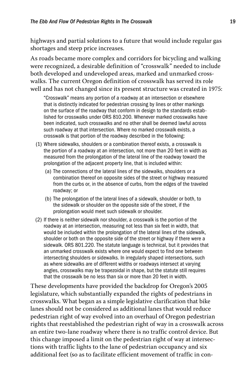highways and partial solutions to a future that would include regular gas shortages and steep price increases.

As roads became more complex and corridors for bicycling and walking were recognized, a desirable definition of "crosswalk" needed to include both developed and undeveloped areas, marked and unmarked crosswalks. The current Oregon definition of crosswalk has served its role well and has not changed since its present structure was created in 1975:

 "Crosswalk" means any portion of a roadway at an intersection or elsewhere that is distinctly indicated for pedestrian crossing by lines or other markings on the surface of the roadway that conform in design to the standards established for crosswalks under ORS 810.200. Whenever marked crosswalks have been indicated, such crosswalks and no other shall be deemed lawful across such roadway at that intersection. Where no marked crosswalk exists, a crosswalk is that portion of the roadway described in the following:

- (1) Where sidewalks, shoulders or a combination thereof exists, a crosswalk is the portion of a roadway at an intersection, not more than 20 feet in width as measured from the prolongation of the lateral line of the roadway toward the prolongation of the adjacent property line, that is included within:
	- (a) The connections of the lateral lines of the sidewalks, shoulders or a combination thereof on opposite sides of the street or highway measured from the curbs or, in the absence of curbs, from the edges of the traveled roadway; or
	- (b) The prolongation of the lateral lines of a sidewalk, shoulder or both, to the sidewalk or shoulder on the opposite side of the street, if the prolongation would meet such sidewalk or shoulder.
- (2) If there is neither sidewalk nor shoulder, a crosswalk is the portion of the roadway at an intersection, measuring not less than six feet in width, that would be included within the prolongation of the lateral lines of the sidewalk, shoulder or both on the opposite side of the street or highway if there were a sidewalk. ORS 801.220. The statute language is technical, but it provides that an unmarked crosswalk exists where one would expect to find one between intersecting shoulders or sidewalks. In irregularly shaped intersections, such as where sidewalks are of different widths or roadways intersect at varying angles, crosswalks may be trapezoidal in shape, but the statute still requires that the crosswalk be no less than six or more than 20 feet in width.

These developments have provided the backdrop for Oregon's 2005 legislature, which substantially expanded the rights of pedestrians in crosswalks. What began as a simple legislative clarification that bike lanes should not be considered as additional lanes that would reduce pedestrian right of way evolved into an overhaul of Oregon pedestrian rights that reestablished the pedestrian right of way in a crosswalk across an entire two-lane roadway where there is no traffic control device. But this change imposed a limit on the pedestrian right of way at intersections with traffic lights to the lane of pedestrian occupancy and six additional feet (so as to facilitate efficient movement of traffic in con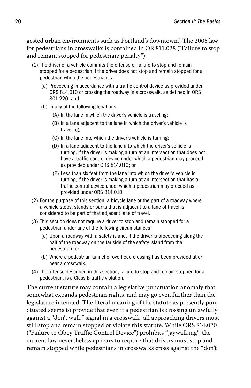gested urban environments such as Portland's downtown.) The 2005 law for pedestrians in crosswalks is contained in OR 811.028 ("Failure to stop and remain stopped for pedestrian; penalty"):

- (1) The driver of a vehicle commits the offense of failure to stop and remain stopped for a pedestrian if the driver does not stop and remain stopped for a pedestrian when the pedestrian is:
	- (a) Proceeding in accordance with a traffic control device as provided under ORS 814.010 or crossing the roadway in a crosswalk, as defined in ORS 801.220; and
	- (b) In any of the following locations:
		- (A) In the lane in which the driver's vehicle is traveling;
		- (B) In a lane adjacent to the lane in which the driver's vehicle is traveling;
		- (C) In the lane into which the driver's vehicle is turning;
		- (D) In a lane adjacent to the lane into which the driver's vehicle is turning, if the driver is making a turn at an intersection that does not have a traffic control device under which a pedestrian may proceed as provided under ORS 814.010; or
		- (E) Less than six feet from the lane into which the driver's vehicle is turning, if the driver is making a turn at an intersection that has a traffic control device under which a pedestrian may proceed as provided under ORS 814.010.
- (2) For the purpose of this section, a bicycle lane or the part of a roadway where a vehicle stops, stands or parks that is adjacent to a lane of travel is considered to be part of that adjacent lane of travel.
- (3) This section does not require a driver to stop and remain stopped for a pedestrian under any of the following circumstances:
	- (a) Upon a roadway with a safety island, if the driver is proceeding along the half of the roadway on the far side of the safety island from the pedestrian; or
	- (b) Where a pedestrian tunnel or overhead crossing has been provided at or near a crosswalk.
- (4) The offense described in this section, failure to stop and remain stopped for a pedestrian, is a Class B traffic violation.

The current statute may contain a legislative punctuation anomaly that somewhat expands pedestrian rights, and may go even further than the legislature intended. The literal meaning of the statute as presently punctuated seems to provide that even if a pedestrian is crossing unlawfully against a "don't walk" signal in a crosswalk, all approaching drivers must still stop and remain stopped or violate this statute. While ORS 814.020 ("Failure to Obey Traffic Control Device") prohibits "jaywalking", the current law nevertheless appears to require that drivers must stop and remain stopped while pedestrians in crosswalks cross against the "don't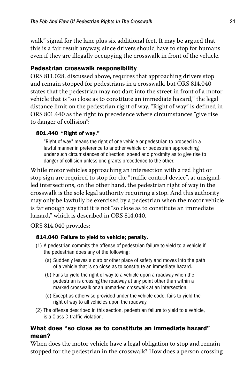walk" signal for the lane plus six additional feet. It may be argued that this is a fair result anyway, since drivers should have to stop for humans even if they are illegally occupying the crosswalk in front of the vehicle.

### Pedestrian crosswalk responsibility

ORS 811.028, discussed above, requires that approaching drivers stop and remain stopped for pedestrians in a crosswalk, but ORS 814.040 states that the pedestrian may not dart into the street in front of a motor vehicle that is "so close as to constitute an immediate hazard," the legal distance limit on the pedestrian right of way. "Right of way" is defined in ORS 801.440 as the right to precedence where circumstances "give rise to danger of collision":

### 801.440 "Right of way."

 "Right of way" means the right of one vehicle or pedestrian to proceed in a lawful manner in preference to another vehicle or pedestrian approaching under such circumstances of direction, speed and proximity as to give rise to danger of collision unless one grants precedence to the other.

While motor vehicles approaching an intersection with a red light or stop sign are required to stop for the "traffic control device", at unsignalled intersections, on the other hand, the pedestrian right of way in the crosswalk is the sole legal authority requiring a stop. And this authority may only be lawfully be exercised by a pedestrian when the motor vehicle is far enough way that it is not "so close as to constitute an immediate hazard," which is described in ORS 814.040.

ORS 814.040 provides:

### 814.040 Failure to yield to vehicle; penalty.

- (1) A pedestrian commits the offense of pedestrian failure to yield to a vehicle if the pedestrian does any of the following:
	- (a) Suddenly leaves a curb or other place of safety and moves into the path of a vehicle that is so close as to constitute an immediate hazard.
	- (b) Fails to yield the right of way to a vehicle upon a roadway when the pedestrian is crossing the roadway at any point other than within a marked crosswalk or an unmarked crosswalk at an intersection.
	- (c) Except as otherwise provided under the vehicle code, fails to yield the right of way to all vehicles upon the roadway.
- (2) The offense described in this section, pedestrian failure to yield to a vehicle, is a Class D traffic violation.

### What does "so close as to constitute an immediate hazard" mean?

When does the motor vehicle have a legal obligation to stop and remain stopped for the pedestrian in the crosswalk? How does a person crossing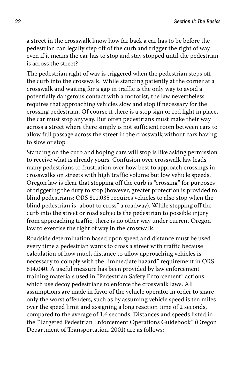a street in the crosswalk know how far back a car has to be before the pedestrian can legally step off of the curb and trigger the right of way even if it means the car has to stop and stay stopped until the pedestrian is across the street?

The pedestrian right of way is triggered when the pedestrian steps off the curb into the crosswalk. While standing patiently at the corner at a crosswalk and waiting for a gap in traffic is the only way to avoid a potentially dangerous contact with a motorist, the law nevertheless requires that approaching vehicles slow and stop if necessary for the crossing pedestrian. Of course if there is a stop sign or red light in place, the car must stop anyway. But often pedestrians must make their way across a street where there simply is not sufficient room between cars to allow full passage across the street in the crosswalk without cars having to slow or stop.

Standing on the curb and hoping cars will stop is like asking permission to receive what is already yours. Confusion over crosswalk law leads many pedestrians to frustration over how best to approach crossings in crosswalks on streets with high traffic volume but low vehicle speeds. Oregon law is clear that stepping off the curb is "crossing" for purposes of triggering the duty to stop (however, greater protection is provided to blind pedestrians; ORS 811.035 requires vehicles to also stop when the blind pedestrian is "about to cross" a roadway). While stepping off the curb into the street or road subjects the pedestrian to possible injury from approaching traffic, there is no other way under current Oregon law to exercise the right of way in the crosswalk.

Roadside determination based upon speed and distance must be used every time a pedestrian wants to cross a street with traffic because calculation of how much distance to allow approaching vehicles is necessary to comply with the "immediate hazard" requirement in ORS 814.040. A useful measure has been provided by law enforcement training materials used in "Pedestrian Safety Enforcement" actions which use decoy pedestrians to enforce the crosswalk laws. All assumptions are made in favor of the vehicle operator in order to snare only the worst offenders, such as by assuming vehicle speed is ten miles over the speed limit and assigning a long reaction time of 2 seconds, compared to the average of 1.6 seconds. Distances and speeds listed in the "Targeted Pedestrian Enforcement Operations Guidebook" (Oregon Department of Transportation, 2001) are as follows: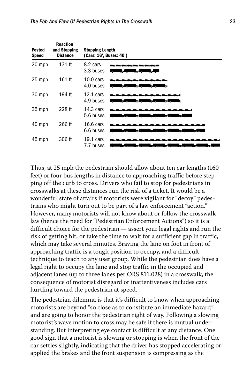| <b>Posted</b><br><b>Speed</b> | <b>Reaction</b><br>and Stopping<br><b>Distance</b> | <b>Stopping Length</b><br>(Cars: 16', Buses: 40') |                                                                              |  |  |
|-------------------------------|----------------------------------------------------|---------------------------------------------------|------------------------------------------------------------------------------|--|--|
| 20 mph                        | 131 ft                                             | 8.2 cars<br>3.3 buses                             | والمالات والمالي والمالي والمساور                                            |  |  |
| 25 mph                        | $161$ ft                                           | $10.0$ cars<br>4.0 buses                          | ألاجهه<br>- 5<br>ы                                                           |  |  |
| 30 mph                        | 194 ft                                             | $12.1 \text{ cars}$<br>4.9 buses                  | <u>a bashkan a shekara</u><br>- 51                                           |  |  |
| 35 mph                        | $228$ ft                                           | $14.3 \text{ cars}$<br>5.6 buses                  | لملح للمناج للمناه<br>~— a<br>ᄫ<br>$\overline{a}$                            |  |  |
| 40 mph                        | 266 ft                                             | 16.6 cars<br>6.6 buses                            | ь<br><b>Sept</b><br>$\lambda$<br>$\overline{a}$<br>$\mathbb{R}^{\mathbb{Z}}$ |  |  |
| 45 mph                        | 306 ft                                             | $19.1 \text{ cars}$<br>7.7 buses                  | Ъ.<br>المر<br>군<br>ъ.                                                        |  |  |

Thus, at 25 mph the pedestrian should allow about ten car lengths (160 feet) or four bus lengths in distance to approaching traffic before stepping off the curb to cross. Drivers who fail to stop for pedestrians in crosswalks at these distances run the risk of a ticket. It would be a wonderful state of affairs if motorists were vigilant for "decoy" pedestrians who might turn out to be part of a law enforcement "action." However, many motorists will not know about or follow the crosswalk law (hence the need for "Pedestrian Enforcement Actions") so it is a difficult choice for the pedestrian — assert your legal rights and run the risk of getting hit, or take the time to wait for a sufficient gap in traffic, which may take several minutes. Braving the lane on foot in front of approaching traffic is a tough position to occupy, and a difficult technique to teach to any user group. While the pedestrian does have a legal right to occupy the lane and stop traffic in the occupied and adjacent lanes (up to three lanes per ORS 811.028) in a crosswalk, the consequence of motorist disregard or inattentiveness includes cars hurtling toward the pedestrian at speed.

The pedestrian dilemma is that it's difficult to know when approaching motorists are beyond "so close as to constitute an immediate hazard" and are going to honor the pedestrian right of way. Following a slowing motorist's wave motion to cross may be safe if there is mutual understanding. But interpreting eye contact is difficult at any distance. One good sign that a motorist is slowing or stopping is when the front of the car settles slightly, indicating that the driver has stopped accelerating or applied the brakes and the front suspension is compressing as the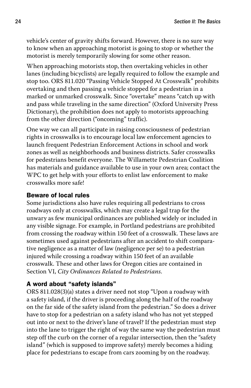vehicle's center of gravity shifts forward. However, there is no sure way to know when an approaching motorist is going to stop or whether the motorist is merely temporarily slowing for some other reason.

When approaching motorists stop, then overtaking vehicles in other lanes (including bicyclists) are legally required to follow the example and stop too. ORS 811.020 "Passing Vehicle Stopped At Crosswalk" prohibits overtaking and then passing a vehicle stopped for a pedestrian in a marked or unmarked crosswalk. Since "overtake" means "catch up with and pass while traveling in the same direction" (Oxford University Press Dictionary), the prohibition does not apply to motorists approaching from the other direction ("oncoming" traffic).

One way we can all participate in raising consciousness of pedestrian rights in crosswalks is to encourage local law enforcement agencies to launch frequent Pedestrian Enforcement Actions in school and work zones as well as neighborhoods and business districts. Safer crosswalks for pedestrians benefit everyone. The Willamette Pedestrian Coalition has materials and guidance available to use in your own area; contact the WPC to get help with your efforts to enlist law enforcement to make crosswalks more safe!

#### Beware of local rules

Some jurisdictions also have rules requiring all pedestrians to cross roadways only at crosswalks, which may create a legal trap for the unwary as few municipal ordinances are published widely or included in any visible signage. For example, in Portland pedestrians are prohibited from crossing the roadway within 150 feet of a crosswalk. These laws are sometimes used against pedestrians after an accident to shift comparative negligence as a matter of law (negligence per se) to a pedestrian injured while crossing a roadway within 150 feet of an available crosswalk. These and other laws for Oregon cities are contained in Section VI, *City Ordinances Related to Pedestrians*.

### A word about "safety islands"

ORS 811.028(3)(a) states a driver need not stop "Upon a roadway with a safety island, if the driver is proceeding along the half of the roadway on the far side of the safety island from the pedestrian." So does a driver have to stop for a pedestrian on a safety island who has not yet stepped out into or next to the driver's lane of travel? If the pedestrian must step into the lane to trigger the right of way the same way the pedestrian must step off the curb on the corner of a regular intersection, then the "safety island" (which is supposed to improve safety) merely becomes a hiding place for pedestrians to escape from cars zooming by on the roadway.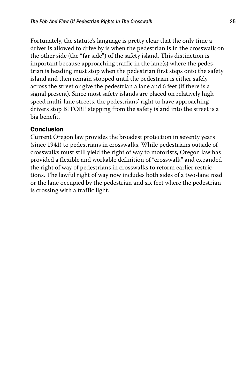Fortunately, the statute's language is pretty clear that the only time a driver is allowed to drive by is when the pedestrian is in the crosswalk on the other side (the "far side") of the safety island. This distinction is important because approaching traffic in the lane(s) where the pedestrian is heading must stop when the pedestrian first steps onto the safety island and then remain stopped until the pedestrian is either safely across the street or give the pedestrian a lane and 6 feet (if there is a signal present). Since most safety islands are placed on relatively high speed multi-lane streets, the pedestrians' right to have approaching drivers stop BEFORE stepping from the safety island into the street is a big benefit.

### Conclusion

Current Oregon law provides the broadest protection in seventy years (since 1941) to pedestrians in crosswalks. While pedestrians outside of crosswalks must still yield the right of way to motorists, Oregon law has provided a flexible and workable definition of "crosswalk" and expanded the right of way of pedestrians in crosswalks to reform earlier restrictions. The lawful right of way now includes both sides of a two-lane road or the lane occupied by the pedestrian and six feet where the pedestrian is crossing with a traffic light.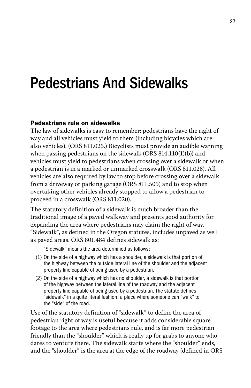### Pedestrians And Sidewalks

### Pedestrians rule on sidewalks

The law of sidewalks is easy to remember: pedestrians have the right of way and all vehicles must yield to them (including bicycles which are also vehicles). (ORS 811.025.) Bicyclists must provide an audible warning when passing pedestrians on the sidewalk (ORS 814.110(1)(b)) and vehicles must yield to pedestrians when crossing over a sidewalk or when a pedestrian is in a marked or unmarked crosswalk (ORS 811.028). All vehicles are also required by law to stop before crossing over a sidewalk from a driveway or parking garage (ORS 811.505) and to stop when overtaking other vehicles already stopped to allow a pedestrian to proceed in a crosswalk (ORS 811.020).

The statutory definition of a sidewalk is much broader than the traditional image of a paved walkway and presents good authority for expanding the area where pedestrians may claim the right of way. "Sidewalk", as defined in the Oregon statutes, includes unpaved as well as paved areas. ORS 801.484 defines sidewalk as:

"Sidewalk" means the area determined as follows:

- (1) On the side of a highway which has a shoulder, a sidewalk is that portion of the highway between the outside lateral line of the shoulder and the adjacent property line capable of being used by a pedestrian.
- (2) On the side of a highway which has no shoulder, a sidewalk is that portion of the highway between the lateral line of the roadway and the adjacent property line capable of being used by a pedestrian. The statute defines "sidewalk" in a quite literal fashion: a place where someone can "walk" to the "side" of the road.

Use of the statutory definition of "sidewalk" to define the area of pedestrian right of way is useful because it adds considerable square footage to the area where pedestrians rule, and is far more pedestrian friendly than the "shoulder" which is really up for grabs to anyone who dares to venture there. The sidewalk starts where the "shoulder" ends, and the "shoulder" is the area at the edge of the roadway (defined in ORS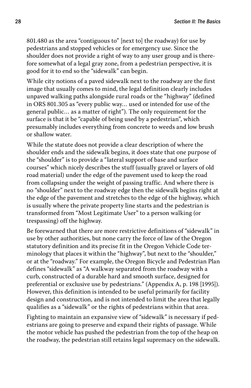801.480 as the area "contiguous to" [next to] the roadway) for use by pedestrians and stopped vehicles or for emergency use. Since the shoulder does not provide a right of way to any user group and is therefore somewhat of a legal gray zone, from a pedestrian perspective, it is good for it to end so the "sidewalk" can begin.

While city notions of a paved sidewalk next to the roadway are the first image that usually comes to mind, the legal definition clearly includes unpaved walking paths alongside rural roads or the "highway" (defined in ORS 801.305 as "every public way… used or intended for use of the general public… as a matter of right"). The only requirement for the surface is that it be "capable of being used by a pedestrian", which presumably includes everything from concrete to weeds and low brush or shallow water.

While the statute does not provide a clear description of where the shoulder ends and the sidewalk begins, it does state that one purpose of the "shoulder" is to provide a "lateral support of base and surface courses" which nicely describes the stuff (usually gravel or layers of old road material) under the edge of the pavement used to keep the road from collapsing under the weight of passing traffic. And where there is no "shoulder" next to the roadway edge then the sidewalk begins right at the edge of the pavement and stretches to the edge of the highway, which is usually where the private property line starts and the pedestrian is transformed from "Most Legitimate User" to a person walking (or trespassing) off the highway.

Be forewarned that there are more restrictive definitions of "sidewalk" in use by other authorities, but none carry the force of law of the Oregon statutory definition and its precise fit in the Oregon Vehicle Code terminology that places it within the "highway", but next to the "shoulder," or at the "roadway." For example, the Oregon Bicycle and Pedestrian Plan defines "sidewalk" as "A walkway separated from the roadway with a curb, constructed of a durable hard and smooth surface, designed for preferential or exclusive use by pedestrians." (Appendix A, p. 198 [1995]). However, this definition is intended to be useful primarily for facility design and construction, and is not intended to limit the area that legally qualifies as a "sidewalk" or the rights of pedestrians within that area.

Fighting to maintain an expansive view of "sidewalk" is necessary if pedestrians are going to preserve and expand their rights of passage. While the motor vehicle has pushed the pedestrian from the top of the heap on the roadway, the pedestrian still retains legal supremacy on the sidewalk.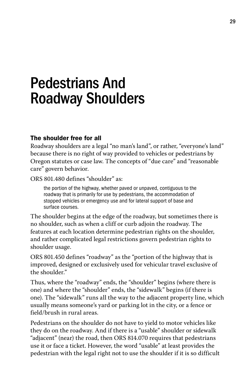### Pedestrians And Roadway Shoulders

### The shoulder free for all

Roadway shoulders are a legal "no man's land", or rather, "everyone's land" because there is no right of way provided to vehicles or pedestrians by Oregon statutes or case law. The concepts of "due care" and "reasonable care" govern behavior.

ORS 801.480 defines "shoulder" as:

 the portion of the highway, whether paved or unpaved, contiguous to the roadway that is primarily for use by pedestrians, the accommodation of stopped vehicles or emergency use and for lateral support of base and surface courses.

The shoulder begins at the edge of the roadway, but sometimes there is no shoulder, such as when a cliff or curb adjoin the roadway. The features at each location determine pedestrian rights on the shoulder, and rather complicated legal restrictions govern pedestrian rights to shoulder usage.

ORS 801.450 defines "roadway" as the "portion of the highway that is improved, designed or exclusively used for vehicular travel exclusive of the shoulder."

Thus, where the "roadway" ends, the "shoulder" begins (where there is one) and where the "shoulder" ends, the "sidewalk" begins (if there is one). The "sidewalk" runs all the way to the adjacent property line, which usually means someone's yard or parking lot in the city, or a fence or field/brush in rural areas.

Pedestrians on the shoulder do not have to yield to motor vehicles like they do on the roadway. And if there is a "usable" shoulder or sidewalk "adjacent" (near) the road, then ORS 814.070 requires that pedestrians use it or face a ticket. However, the word "usable" at least provides the pedestrian with the legal right not to use the shoulder if it is so difficult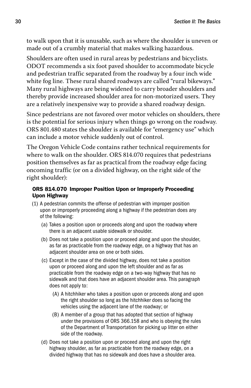to walk upon that it is unusable, such as where the shoulder is uneven or made out of a crumbly material that makes walking hazardous.

Shoulders are often used in rural areas by pedestrians and bicyclists. ODOT recommends a six foot paved shoulder to accommodate bicycle and pedestrian traffic separated from the roadway by a four inch wide white fog line. These rural shared roadways are called "rural bikeways." Many rural highways are being widened to carry broader shoulders and thereby provide increased shoulder area for non-motorized users. They are a relatively inexpensive way to provide a shared roadway design.

Since pedestrians are not favored over motor vehicles on shoulders, there is the potential for serious injury when things go wrong on the roadway. ORS 801.480 states the shoulder is available for "emergency use" which can include a motor vehicle suddenly out of control.

The Oregon Vehicle Code contains rather technical requirements for where to walk on the shoulder. ORS 814.070 requires that pedestrians position themselves as far as practical from the roadway edge facing oncoming traffic (or on a divided highway, on the right side of the right shoulder):

#### ORS 814.070 Improper Position Upon or Improperly Proceeding Upon Highway

- (1) A pedestrian commits the offense of pedestrian with improper position upon or improperly proceeding along a highway if the pedestrian does any of the following:
	- (a) Takes a position upon or proceeds along and upon the roadway where there is an adjacent usable sidewalk or shoulder.
	- (b) Does not take a position upon or proceed along and upon the shoulder, as far as practicable from the roadway edge, on a highway that has an adjacent shoulder area on one or both sides.
	- (c) Except in the case of the divided highway, does not take a position upon or proceed along and upon the left shoulder and as far as practicable from the roadway edge on a two-way highway that has no sidewalk and that does have an adjacent shoulder area. This paragraph does not apply to:
		- (A) A hitchhiker who takes a position upon or proceeds along and upon the right shoulder so long as the hitchhiker does so facing the vehicles using the adjacent lane of the roadway; or
		- (B) A member of a group that has adopted that section of highway under the provisions of ORS 366.158 and who is obeying the rules of the Department of Transportation for picking up litter on either side of the roadway.
	- (d) Does not take a position upon or proceed along and upon the right highway shoulder, as far as practicable from the roadway edge, on a divided highway that has no sidewalk and does have a shoulder area.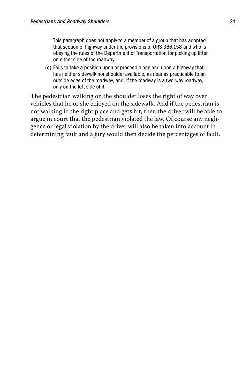This paragraph does not apply to a member of a group that has adopted that section of highway under the provisions of ORS 366.158 and who is obeying the rules of the Department of Transportation for picking up litter on either side of the roadway.

(e) Fails to take a position upon or proceed along and upon a highway that has neither sidewalk nor shoulder available, as near as practicable to an outside edge of the roadway, and, if the roadway is a two-way roadway, only on the left side of it.

The pedestrian walking on the shoulder loses the right of way over vehicles that he or she enjoyed on the sidewalk. And if the pedestrian is not walking in the right place and gets hit, then the driver will be able to argue in court that the pedestrian violated the law. Of course any negligence or legal violation by the driver will also be taken into account in determining fault and a jury would then decide the percentages of fault.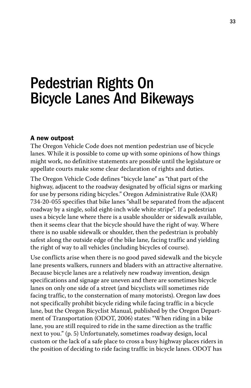# Pedestrian Rights On Bicycle Lanes And Bikeways

#### A new outpost

The Oregon Vehicle Code does not mention pedestrian use of bicycle lanes. While it is possible to come up with some opinions of how things might work, no definitive statements are possible until the legislature or appellate courts make some clear declaration of rights and duties.

The Oregon Vehicle Code defines "bicycle lane" as "that part of the highway, adjacent to the roadway designated by official signs or marking for use by persons riding bicycles." Oregon Administrative Rule (OAR) 734-20-055 specifies that bike lanes "shall be separated from the adjacent roadway by a single, solid eight-inch wide white stripe". If a pedestrian uses a bicycle lane where there is a usable shoulder or sidewalk available, then it seems clear that the bicycle should have the right of way. Where there is no usable sidewalk or shoulder, then the pedestrian is probably safest along the outside edge of the bike lane, facing traffic and yielding the right of way to all vehicles (including bicycles of course).

Use conflicts arise when there is no good paved sidewalk and the bicycle lane presents walkers, runners and bladers with an attractive alternative. Because bicycle lanes are a relatively new roadway invention, design specifications and signage are uneven and there are sometimes bicycle lanes on only one side of a street (and bicyclists will sometimes ride facing traffic, to the consternation of many motorists). Oregon law does not specifically prohibit bicycle riding while facing traffic in a bicycle lane, but the Oregon Bicyclist Manual, published by the Oregon Department of Transportation (ODOT, 2006) states: "When riding in a bike lane, you are still required to ride in the same direction as the traffic next to you." (p. 5) Unfortunately, sometimes roadway design, local custom or the lack of a safe place to cross a busy highway places riders in the position of deciding to ride facing traffic in bicycle lanes. ODOT has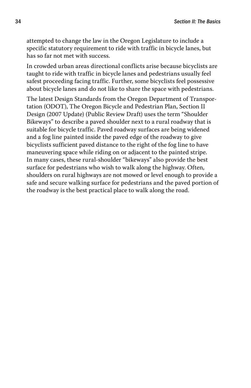attempted to change the law in the Oregon Legislature to include a specific statutory requirement to ride with traffic in bicycle lanes, but has so far not met with success.

In crowded urban areas directional conflicts arise because bicyclists are taught to ride with traffic in bicycle lanes and pedestrians usually feel safest proceeding facing traffic. Further, some bicyclists feel possessive about bicycle lanes and do not like to share the space with pedestrians.

The latest Design Standards from the Oregon Department of Transportation (ODOT), The Oregon Bicycle and Pedestrian Plan, Section II Design (2007 Update) (Public Review Draft) uses the term "Shoulder Bikeways" to describe a paved shoulder next to a rural roadway that is suitable for bicycle traffic. Paved roadway surfaces are being widened and a fog line painted inside the paved edge of the roadway to give bicyclists sufficient paved distance to the right of the fog line to have maneuvering space while riding on or adjacent to the painted stripe. In many cases, these rural-shoulder "bikeways" also provide the best surface for pedestrians who wish to walk along the highway. Often, shoulders on rural highways are not mowed or level enough to provide a safe and secure walking surface for pedestrians and the paved portion of the roadway is the best practical place to walk along the road.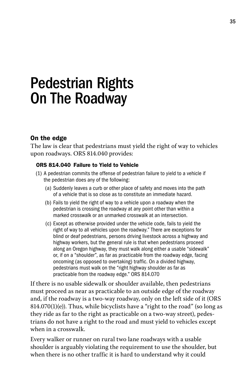# Pedestrian Rights On The Roadway

# On the edge

The law is clear that pedestrians must yield the right of way to vehicles upon roadways. ORS 814.040 provides:

#### ORS 814.040 Failure to Yield to Vehicle

- (1) A pedestrian commits the offense of pedestrian failure to yield to a vehicle if the pedestrian does any of the following:
	- (a) Suddenly leaves a curb or other place of safety and moves into the path of a vehicle that is so close as to constitute an immediate hazard.
	- (b) Fails to yield the right of way to a vehicle upon a roadway when the pedestrian is crossing the roadway at any point other than within a marked crosswalk or an unmarked crosswalk at an intersection.
	- (c) Except as otherwise provided under the vehicle code, fails to yield the right of way to all vehicles upon the roadway." There are exceptions for blind or deaf pedestrians, persons driving livestock across a highway and highway workers, but the general rule is that when pedestrians proceed along an Oregon highway, they must walk along either a usable "sidewalk" or, if on a "shoulder", as far as practicable from the roadway edge, facing oncoming (as opposed to overtaking) traffic. On a divided highway, pedestrians must walk on the "right highway shoulder as far as practicable from the roadway edge." ORS 814.070

If there is no usable sidewalk or shoulder available, then pedestrians must proceed as near as practicable to an outside edge of the roadway and, if the roadway is a two-way roadway, only on the left side of it (ORS  $814.070(1)(e)$ ). Thus, while bicyclists have a "right to the road" (so long as they ride as far to the right as practicable on a two-way street), pedestrians do not have a right to the road and must yield to vehicles except when in a crosswalk.

Every walker or runner on rural two lane roadways with a usable shoulder is arguably violating the requirement to use the shoulder, but when there is no other traffic it is hard to understand why it could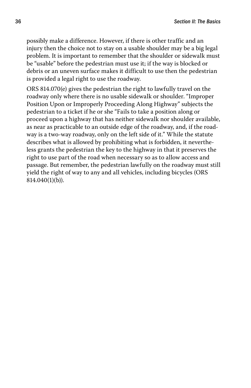possibly make a difference. However, if there is other traffic and an injury then the choice not to stay on a usable shoulder may be a big legal problem. It is important to remember that the shoulder or sidewalk must be "usable" before the pedestrian must use it; if the way is blocked or debris or an uneven surface makes it difficult to use then the pedestrian is provided a legal right to use the roadway.

ORS 814.070(e) gives the pedestrian the right to lawfully travel on the roadway only where there is no usable sidewalk or shoulder. "Improper Position Upon or Improperly Proceeding Along Highway" subjects the pedestrian to a ticket if he or she "Fails to take a position along or proceed upon a highway that has neither sidewalk nor shoulder available, as near as practicable to an outside edge of the roadway, and, if the roadway is a two-way roadway, only on the left side of it." While the statute describes what is allowed by prohibiting what is forbidden, it nevertheless grants the pedestrian the key to the highway in that it preserves the right to use part of the road when necessary so as to allow access and passage. But remember, the pedestrian lawfully on the roadway must still yield the right of way to any and all vehicles, including bicycles (ORS 814.040(1)(b)).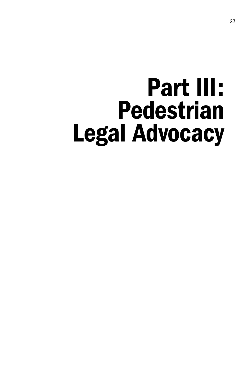# Part III: Pedestrian Legal Advocacy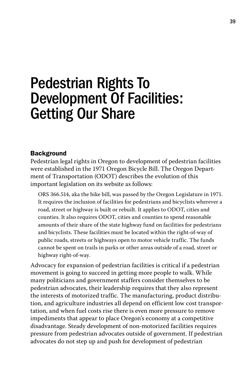# Pedestrian Rights To Development Of Facilities: Getting Our Share

#### **Background**

Pedestrian legal rights in Oregon to development of pedestrian facilities were established in the 1971 Oregon Bicycle Bill. The Oregon Department of Transportation (ODOT) describes the evolution of this important legislation on its website as follows:

ORS 366.514, aka the bike bill, was passed by the Oregon Legislature in 1971. It requires the inclusion of facilities for pedestrians and bicyclists wherever a road, street or highway is built or rebuilt. It applies to ODOT, cities and counties. It also requires ODOT, cities and counties to spend reasonable amounts of their share of the state highway fund on facilities for pedestrians and bicyclists. These facilities must be located within the right-of-way of public roads, streets or highways open to motor vehicle traffic. The funds cannot be spent on trails in parks or other areas outside of a road, street or highway right-of-way.

Advocacy for expansion of pedestrian facilities is critical if a pedestrian movement is going to succeed in getting more people to walk. While many politicians and government staffers consider themselves to be pedestrian advocates, their leadership requires that they also represent the interests of motorized traffic. The manufacturing, product distribution, and agriculture industries all depend on efficient low cost transportation, and when fuel costs rise there is even more pressure to remove impediments that appear to place Oregon's economy at a competitive disadvantage. Steady development of non-motorized facilities requires pressure from pedestrian advocates outside of government. If pedestrian advocates do not step up and push for development of pedestrian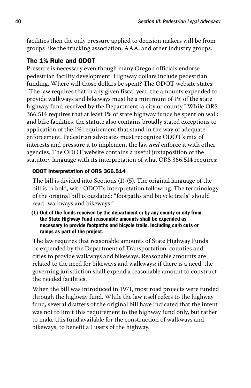facilities then the only pressure applied to decision makers will be from groups like the trucking association, AAA, and other industry groups.

### The 1% Rule and ODOT

Pressure is necessary even though many Oregon officials endorse pedestrian facility development. Highway dollars include pedestrian funding. Where will those dollars be spent? The ODOT website states: "The law requires that in any given fiscal year, the amounts expended to provide walkways and bikeways must be a minimum of 1% of the state highway fund received by the Department, a city or county." While ORS 366.514 requires that at least 1% of state highway funds be spent on walk and bike facilities, the statute also contains broadly stated exceptions to application of the 1% requirement that stand in the way of adequate enforcement. Pedestrian advocates must recognize ODOT's mix of interests and pressure it to implement the law *and* enforce it with other agencies. The ODOT website contains a useful juxtaposition of the statutory language with its interpretation of what ORS 366.514 requires:

### ODOT Interpretation of ORS 366.514

The bill is divided into Sections (1)-(5). The original language of the bill is in bold, with ODOT's interpretation following. The terminology of the original bill is outdated: "footpaths and bicycle trails" should read "walkways and bikeways."

(1) Out of the funds received by the department or by any county or city from the State Highway Fund reasonable amounts shall be expended as necessary to provide footpaths and bicycle trails, including curb cuts or ramps as part of the project.

The law requires that reasonable amounts of State Highway Funds be expended by the Department of Transportation, counties and cities to provide walkways and bikeways. Reasonable amounts are related to the need for bikeways and walkways; if there is a need, the governing jurisdiction shall expend a reasonable amount to construct the needed facilities.

When the bill was introduced in 1971, most road projects were funded through the highway fund. While the law itself refers to the highway fund, several drafters of the original bill have indicated that the intent was not to limit this requirement to the highway fund only, but rather to make this fund available for the construction of walkways and bikeways, to benefit all users of the highway.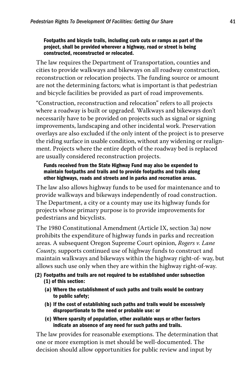#### Footpaths and bicycle trails, including curb cuts or ramps as part of the project, shall be provided wherever a highway, road or street is being constructed, reconstructed or relocated.

The law requires the Department of Transportation, counties and cities to provide walkways and bikeways on all roadway construction, reconstruction or relocation projects. The funding source or amount are not the determining factors; what is important is that pedestrian and bicycle facilities be provided as part of road improvements.

"Construction, reconstruction and relocation" refers to all projects where a roadway is built or upgraded. Walkways and bikeways don't necessarily have to be provided on projects such as signal or signing improvements, landscaping and other incidental work. Preservation overlays are also excluded if the only intent of the project is to preserve the riding surface in usable condition, without any widening or realignment. Projects where the entire depth of the roadway bed is replaced are usually considered reconstruction projects.

#### Funds received from the State Highway Fund may also be expended to maintain footpaths and trails and to provide footpaths and trails along other highways, roads and streets and in parks and recreation areas.

The law also allows highway funds to be used for maintenance and to provide walkways and bikeways independently of road construction. The Department, a city or a county may use its highway funds for projects whose primary purpose is to provide improvements for pedestrians and bicyclists.

The 1980 Constitutional Amendment (Article IX, section 3a) now prohibits the expenditure of highway funds in parks and recreation areas. A subsequent Oregon Supreme Court opinion, *Rogers v. Lane County,* supports continued use of highway funds to construct and maintain walkways and bikeways within the highway right-of- way, but allows such use only when they are within the highway right-of-way.

#### (2) Footpaths and trails are not required to be established under subsection (1) of this section:

- (a) Where the establishment of such paths and trails would be contrary to public safety;
- (b) If the cost of establishing such paths and trails would be excessively disproportionate to the need or probable use: or
- (c) Where sparsity of population, other available ways or other factors indicate an absence of any need for such paths and trails.

The law provides for reasonable exemptions. The determination that one or more exemption is met should be well-documented. The decision should allow opportunities for public review and input by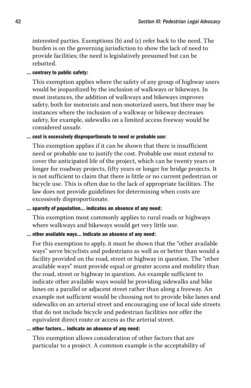interested parties. Exemptions (b) and (c) refer back to the need. The burden is on the governing jurisdiction to show the lack of need to provide facilities; the need is legislatively presumed but can be rebutted.

#### … contrary to public safety:

This exemption applies where the safety of any group of highway users would be jeopardized by the inclusion of walkways or bikeways. In most instances, the addition of walkways and bikeways improves safety, both for motorists and non-motorized users, but there may be instances where the inclusion of a walkway or bikeway decreases safety, for example, sidewalks on a limited access freeway would be considered unsafe.

#### … cost is excessively disproportionate to need or probable use:

This exemption applies if it can be shown that there is insufficient need or probable use to justify the cost. Probable use must extend to cover the anticipated life of the project, which can be twenty years or longer for roadway projects, fifty years or longer for bridge projects. It is not sufficient to claim that there is little or no current pedestrian or bicycle use. This is often due to the lack of appropriate facilities. The law does not provide guidelines for determining when costs are excessively disproportionate.

### … sparsity of population… indicates an absence of any need:

This exemption most commonly applies to rural roads or highways where walkways and bikeways would get very little use.

## … other available ways… indicate an absence of any need:

For this exemption to apply, it must be shown that the "other available ways" serve bicyclists and pedestrians as well as or better than would a facility provided on the road, street or highway in question. The "other available ways" must provide equal or greater access and mobility than the road, street or highway in question. An example sufficient to indicate other available ways would be providing sidewalks and bike lanes on a parallel or adjacent street rather than along a freeway. An example not sufficient would be choosing not to provide bike lanes and sidewalks on an arterial street and encouraging use of local side streets that do not include bicycle and pedestrian facilities nor offer the equivalent direct route or access as the arterial street.

#### … other factors… indicate an absence of any need:

This exemption allows consideration of other factors that are particular to a project. A common example is the acceptability of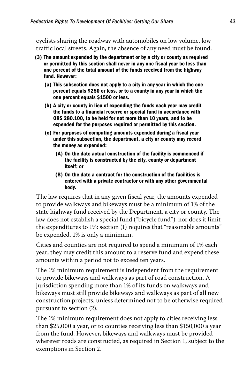cyclists sharing the roadway with automobiles on low volume, low traffic local streets. Again, the absence of any need must be found.

- (3) The amount expended by the department or by a city or county as required or permitted by this section shall never in any one fiscal year be less than one percent of the total amount of the funds received from the highway fund. However:
	- (a) This subsection does not apply to a city in any year in which the one percent equals \$250 or less, or to a county in any year in which the one percent equals \$1500 or less.
	- (b) A city or county in lieu of expending the funds each year may credit the funds to a financial reserve or special fund in accordance with ORS 280.100, to be held for not more than 10 years, and to be expended for the purposes required or permitted by this section.
	- (c) For purposes of computing amounts expended during a fiscal year under this subsection, the department, a city or county may record the money as expended:
		- (A) On the date actual construction of the facility is commenced if the facility is constructed by the city, county or department itself; or
		- (B) On the date a contract for the construction of the facilities is entered with a private contractor or with any other governmental body.

The law requires that in any given fiscal year, the amounts expended to provide walkways and bikeways must be a minimum of 1% of the state highway fund received by the Department, a city or county. The law does not establish a special fund ("bicycle fund"), nor does it limit the expenditures to 1%: section (1) requires that "reasonable amounts" be expended. 1% is only a minimum.

Cities and counties are not required to spend a minimum of 1% each year; they may credit this amount to a reserve fund and expend these amounts within a period not to exceed ten years.

The 1% minimum requirement is independent from the requirement to provide bikeways and walkways as part of road construction. A jurisdiction spending more than 1% of its funds on walkways and bikeways must still provide bikeways and walkways as part of all new construction projects, unless determined not to be otherwise required pursuant to section (2).

The 1% minimum requirement does not apply to cities receiving less than \$25,000 a year, or to counties receiving less than \$150,000 a year from the fund. However, bikeways and walkways must be provided wherever roads are constructed, as required in Section 1, subject to the exemptions in Section 2.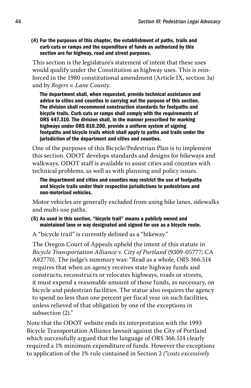(4) For the purposes of this chapter, the establishment of paths, trails and curb cuts or ramps and the expenditure of funds as authorized by this section are for highway, road and street purposes.

This section is the legislature's statement of intent that these uses would qualify under the Constitution as highway uses. This is reinforced in the 1980 constitutional amendment (Article IX, section 3a) and by *Rogers v. Lane County.*

 The department shall, when requested, provide technical assistance and advice to cities and counties in carrying out the purpose of this section. The division shall recommend construction standards for footpaths and bicycle trails. Curb cuts or ramps shall comply with the requirements of ORS 447.310. The division shall, in the manner prescribed for marking highways under ORS 810.200, provide a uniform system of signing footpaths and bicycle trails which shall apply to paths and trails under the jurisdiction of the department and cities and counties.

One of the purposes of this Bicycle/Pedestrian Plan is to implement this section. ODOT develops standards and designs for bikeways and walkways. ODOT staff is available to assist cities and counties with technical problems, as well as with planning and policy issues.

 The department and cities and counties may restrict the use of footpaths and bicycle trails under their respective jurisdictions to pedestrians and non-motorized vehicles.

Motor vehicles are generally excluded from using bike lanes, sidewalks and multi-use paths.

- (5) As used in this section, "bicycle trail" means a publicly owned and maintained lane or way designated and signed for use as a bicycle route.
- A "bicycle trail" is currently defined as a "bikeway."

The Oregon Court of Appeals upheld the intent of this statute in *Bicycle Transportation Alliance v. City of Portland* (9309-05777; CA A82770). The judge's summary was: "Read as a whole, ORS 366.514 requires that when an agency receives state highway funds and constructs, reconstructs or relocates highways, roads or streets, it must expend a reasonable amount of those funds, as necessary, on bicycle and pedestrian facilities. The statue also requires the agency to spend no less than one percent per fiscal year on such facilities, unless relieved of that obligation by one of the exceptions in subsection (2)."

Note that the ODOT website ends its interpretation with the 1993 Bicycle Transportation Alliance lawsuit against the City of Portland which successfully argued that the language of ORS 366.514 clearly required a 1% minimum expenditure of funds. However the exceptions to application of the 1% rule contained in Section 2 *("costs excessively*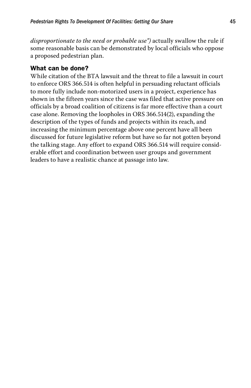*disproportionate to the need or probable use")* actually swallow the rule if some reasonable basis can be demonstrated by local officials who oppose a proposed pedestrian plan.

### What can be done?

While citation of the BTA lawsuit and the threat to file a lawsuit in court to enforce ORS 366.514 is often helpful in persuading reluctant officials to more fully include non-motorized users in a project, experience has shown in the fifteen years since the case was filed that active pressure on officials by a broad coalition of citizens is far more effective than a court case alone. Removing the loopholes in ORS 366.514(2), expanding the description of the types of funds and projects within its reach, and increasing the minimum percentage above one percent have all been discussed for future legislative reform but have so far not gotten beyond the talking stage. Any effort to expand ORS 366.514 will require considerable effort and coordination between user groups and government leaders to have a realistic chance at passage into law.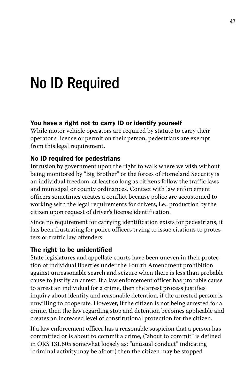# No ID Required

### You have a right not to carry ID or identify yourself

While motor vehicle operators are required by statute to carry their operator's license or permit on their person, pedestrians are exempt from this legal requirement.

#### No ID required for pedestrians

Intrusion by government upon the right to walk where we wish without being monitored by "Big Brother" or the forces of Homeland Security is an individual freedom, at least so long as citizens follow the traffic laws and municipal or county ordinances. Contact with law enforcement officers sometimes creates a conflict because police are accustomed to working with the legal requirements for drivers, i.e., production by the citizen upon request of driver's license identification.

Since no requirement for carrying identification exists for pedestrians, it has been frustrating for police officers trying to issue citations to protesters or traffic law offenders.

#### The right to be unidentified

State legislatures and appellate courts have been uneven in their protection of individual liberties under the Fourth Amendment prohibition against unreasonable search and seizure when there is less than probable cause to justify an arrest. If a law enforcement officer has probable cause to arrest an individual for a crime, then the arrest process justifies inquiry about identity and reasonable detention, if the arrested person is unwilling to cooperate. However, if the citizen is not being arrested for a crime, then the law regarding stop and detention becomes applicable and creates an increased level of constitutional protection for the citizen.

If a law enforcement officer has a reasonable suspicion that a person has committed or is about to commit a crime, ("about to commit" is defined in ORS 131.605 somewhat loosely as: "unusual conduct" indicating "criminal activity may be afoot") then the citizen may be stopped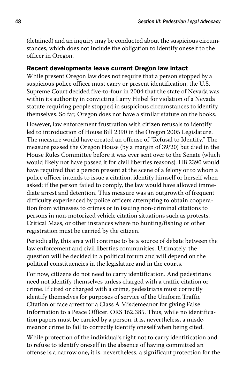(detained) and an inquiry may be conducted about the suspicious circumstances, which does not include the obligation to identify oneself to the officer in Oregon.

## Recent developments leave current Oregon law intact

While present Oregon law does not require that a person stopped by a suspicious police officer must carry or present identification, the U.S. Supreme Court decided five-to-four in 2004 that the state of Nevada was within its authority in convicting Larry Hiibel for violation of a Nevada statute requiring people stopped in suspicious circumstances to identify themselves. So far, Oregon does not have a similar statute on the books.

However, law enforcement frustration with citizen refusals to identify led to introduction of House Bill 2390 in the Oregon 2005 Legislature. The measure would have created an offense of "Refusal to Identify." The measure passed the Oregon House (by a margin of 39/20) but died in the House Rules Committee before it was ever sent over to the Senate (which would likely not have passed it for civil liberties reasons). HB 2390 would have required that a person present at the scene of a felony or to whom a police officer intends to issue a citation, identify himself or herself when asked; if the person failed to comply, the law would have allowed immediate arrest and detention. This measure was an outgrowth of frequent difficulty experienced by police officers attempting to obtain cooperation from witnesses to crimes or in issuing non-criminal citations to persons in non-motorized vehicle citation situations such as protests, Critical Mass, or other instances where no hunting/fishing or other registration must be carried by the citizen.

Periodically, this area will continue to be a source of debate between the law enforcement and civil liberties communities. Ultimately, the question will be decided in a political forum and will depend on the political constituencies in the legislature and in the courts.

For now, citizens do not need to carry identification. And pedestrians need not identify themselves unless charged with a traffic citation or crime. If cited or charged with a crime, pedestrians must correctly identify themselves for purposes of service of the Uniform Traffic Citation or face arrest for a Class A Misdemeanor for giving False Information to a Peace Officer. ORS 162.385. Thus, while no identification papers must be carried by a person, it is, nevertheless, a misdemeanor crime to fail to correctly identify oneself when being cited.

While protection of the individual's right not to carry identification and to refuse to identify oneself in the absence of having committed an offense is a narrow one, it is, nevertheless, a significant protection for the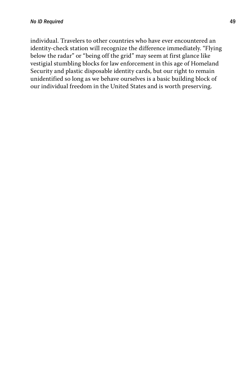individual. Travelers to other countries who have ever encountered an identity-check station will recognize the difference immediately. "Flying below the radar" or "being off the grid" may seem at first glance like vestigial stumbling blocks for law enforcement in this age of Homeland Security and plastic disposable identity cards, but our right to remain unidentified so long as we behave ourselves is a basic building block of our individual freedom in the United States and is worth preserving.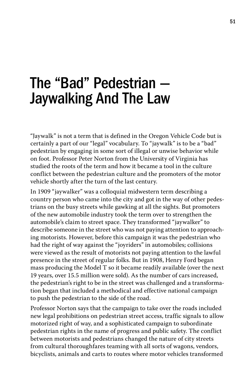# The "Bad" Pedestrian — Jaywalking And The Law

"Jaywalk" is not a term that is defined in the Oregon Vehicle Code but is certainly a part of our "legal" vocabulary. To "jaywalk" is to be a "bad" pedestrian by engaging in some sort of illegal or unwise behavior while on foot. Professor Peter Norton from the University of Virginia has studied the roots of the term and how it became a tool in the culture conflict between the pedestrian culture and the promoters of the motor vehicle shortly after the turn of the last century.

In 1909 "jaywalker" was a colloquial midwestern term describing a country person who came into the city and got in the way of other pedestrians on the busy streets while gawking at all the sights. But promoters of the new automobile industry took the term over to strengthen the automobile's claim to street space. They transformed "jaywalker" to describe someone in the street who was not paying attention to approaching motorists. However, before this campaign it was the pedestrian who had the right of way against the "joyriders" in automobiles; collisions were viewed as the result of motorists not paying attention to the lawful presence in the street of regular folks. But in 1908, Henry Ford began mass producing the Model T so it became readily available (over the next 19 years, over 15.5 million were sold). As the number of cars increased, the pedestrian's right to be in the street was challenged and a transformation began that included a methodical and effective national campaign to push the pedestrian to the side of the road.

Professor Norton says that the campaign to take over the roads included new legal prohibitions on pedestrian street access, traffic signals to allow motorized right of way, and a sophisticated campaign to subordinate pedestrian rights in the name of progress and public safety. The conflict between motorists and pedestrians changed the nature of city streets from cultural thoroughfares teaming with all sorts of wagons, vendors, bicyclists, animals and carts to routes where motor vehicles transformed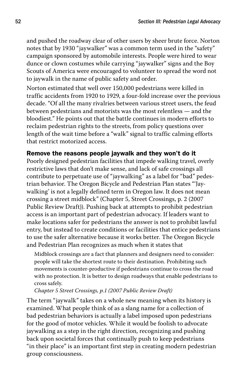and pushed the roadway clear of other users by sheer brute force. Norton notes that by 1930 "jaywalker" was a common term used in the "safety" campaign sponsored by automobile interests. People were hired to wear dunce or clown costumes while carrying "jaywalker" signs and the Boy Scouts of America were encouraged to volunteer to spread the word not to jaywalk in the name of public safety and order.

Norton estimated that well over 150,000 pedestrians were killed in traffic accidents from 1920 to 1929, a four-fold increase over the previous decade. "Of all the many rivalries between various street users, the feud between pedestrians and motorists was the most relentless — and the bloodiest." He points out that the battle continues in modern efforts to reclaim pedestrian rights to the streets, from policy questions over length of the wait time before a "walk" signal to traffic calming efforts that restrict motorized access.

### Remove the reasons people jaywalk and they won't do it

Poorly designed pedestrian facilities that impede walking travel, overly restrictive laws that don't make sense, and lack of safe crossings all contribute to perpetuate use of "jaywalking" as a label for "bad" pedestrian behavior. The Oregon Bicycle and Pedestrian Plan states "'Jaywalking' is not a legally defined term in Oregon law. It does not mean crossing a street midblock" (Chapter 5, Street Crossings, p. 2 (2007 Public Review Draft)). Pushing back at attempts to prohibit pedestrian access is an important part of pedestrian advocacy. If leaders want to make locations safer for pedestrians the answer is not to prohibit lawful entry, but instead to create conditions or facilities that entice pedestrians to use the safer alternative because it works better. The Oregon Bicycle and Pedestrian Plan recognizes as much when it states that

Midblock crossings are a fact that planners and designers need to consider: people will take the shortest route to their destination. Prohibiting such movements is counter-productive if pedestrians continue to cross the road with no protection. It is better to design roadways that enable pedestrians to cross safely.

*Chapter 5 Street Crossings, p.1 (2007 Public Review Draft)*

The term "jaywalk" takes on a whole new meaning when its history is examined. What people think of as a slang name for a collection of bad pedestrian behaviors is actually a label imposed upon pedestrians for the good of motor vehicles. While it would be foolish to advocate jaywalking as a step in the right direction, recognizing and pushing back upon societal forces that continually push to keep pedestrians "in their place" is an important first step in creating modern pedestrian group consciousness.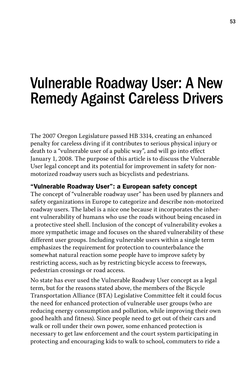# Vulnerable Roadway User: A New Remedy Against Careless Drivers

The 2007 Oregon Legislature passed HB 3314, creating an enhanced penalty for careless diving if it contributes to serious physical injury or death to a "vulnerable user of a public way", and will go into effect January 1, 2008. The purpose of this article is to discuss the Vulnerable User legal concept and its potential for improvement in safety for nonmotorized roadway users such as bicyclists and pedestrians.

### "Vulnerable Roadway User": a European safety concept

The concept of "vulnerable roadway user" has been used by planners and safety organizations in Europe to categorize and describe non-motorized roadway users. The label is a nice one because it incorporates the inherent vulnerability of humans who use the roads without being encased in a protective steel shell. Inclusion of the concept of vulnerability evokes a more sympathetic image and focuses on the shared vulnerability of these different user groups. Including vulnerable users within a single term emphasizes the requirement for protection to counterbalance the somewhat natural reaction some people have to improve safety by restricting access, such as by restricting bicycle access to freeways, pedestrian crossings or road access.

No state has ever used the Vulnerable Roadway User concept as a legal term, but for the reasons stated above, the members of the Bicycle Transportation Alliance (BTA) Legislative Committee felt it could focus the need for enhanced protection of vulnerable user groups (who are reducing energy consumption and pollution, while improving their own good health and fitness). Since people need to get out of their cars and walk or roll under their own power, some enhanced protection is necessary to get law enforcement and the court system participating in protecting and encouraging kids to walk to school, commuters to ride a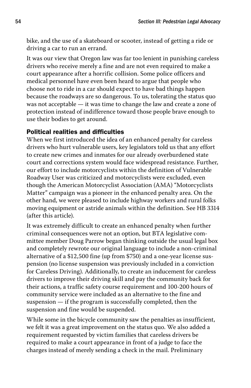bike, and the use of a skateboard or scooter, instead of getting a ride or driving a car to run an errand.

It was our view that Oregon law was far too lenient in punishing careless drivers who receive merely a fine and are not even required to make a court appearance after a horrific collision. Some police officers and medical personnel have even been heard to argue that people who choose not to ride in a car should expect to have bad things happen because the roadways are so dangerous. To us, tolerating the status quo was not acceptable — it was time to change the law and create a zone of protection instead of indifference toward those people brave enough to use their bodies to get around.

# Political realities and difficulties

When we first introduced the idea of an enhanced penalty for careless drivers who hurt vulnerable users, key legislators told us that any effort to create new crimes and inmates for our already overburdened state court and corrections system would face widespread resistance. Further, our effort to include motorcyclists within the definition of Vulnerable Roadway User was criticized and motorcyclists were excluded, even though the American Motorcyclist Association (AMA) "Motorcyclists Matter" campaign was a pioneer in the enhanced penalty area. On the other hand, we were pleased to include highway workers and rural folks moving equipment or astride animals within the definition. See HB 3314 (after this article).

It was extremely difficult to create an enhanced penalty when further criminal consequences were not an option, but BTA legislative committee member Doug Parrow began thinking outside the usual legal box and completely rewrote our original language to include a non-criminal alternative of a \$12,500 fine (up from \$750) and a one-year license suspension (no license suspension was previously included in a conviction for Careless Driving). Additionally, to create an inducement for careless drivers to improve their driving skill and pay the community back for their actions, a traffic safety course requirement and 100-200 hours of community service were included as an alternative to the fine and suspension — if the program is successfully completed, then the suspension and fine would be suspended.

While some in the bicycle community saw the penalties as insufficient, we felt it was a great improvement on the status quo. We also added a requirement requested by victim families that careless drivers be required to make a court appearance in front of a judge to face the charges instead of merely sending a check in the mail. Preliminary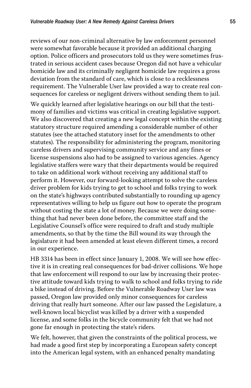reviews of our non-criminal alternative by law enforcement personnel were somewhat favorable because it provided an additional charging option. Police officers and prosecutors told us they were sometimes frustrated in serious accident cases because Oregon did not have a vehicular homicide law and its criminally negligent homicide law requires a gross deviation from the standard of care, which is close to a recklessness requirement. The Vulnerable User law provided a way to create real consequences for careless or negligent drivers without sending them to jail.

We quickly learned after legislative hearings on our bill that the testimony of families and victims was critical in creating legislative support. We also discovered that creating a new legal concept within the existing statutory structure required amending a considerable number of other statutes (see the attached statutory inset for the amendments to other statutes). The responsibility for administering the program, monitoring careless drivers and supervising community service and any fines or license suspensions also had to be assigned to various agencies. Agency legislative staffers were wary that their departments would be required to take on additional work without receiving any additional staff to perform it. However, our forward-looking attempt to solve the careless driver problem for kids trying to get to school and folks trying to work on the state's highways contributed substantially to rounding up agency representatives willing to help us figure out how to operate the program without costing the state a lot of money. Because we were doing something that had never been done before, the committee staff and the Legislative Counsel's office were required to draft and study multiple amendments, so that by the time the Bill wound its way through the legislature it had been amended at least eleven different times, a record in our experience.

HB 3314 has been in effect since January 1, 2008. We will see how effective it is in creating real consequences for bad-driver collisions. We hope that law enforcement will respond to our law by increasing their protective attitude toward kids trying to walk to school and folks trying to ride a bike instead of driving. Before the Vulnerable Roadway User law was passed, Oregon law provided only minor consequences for careless driving that really hurt someone. After our law passed the Legislature, a well-known local bicyclist was killed by a driver with a suspended license, and some folks in the bicycle community felt that we had not gone far enough in protecting the state's riders.

We felt, however, that given the constraints of the political process, we had made a good first step by incorporating a European safety concept into the American legal system, with an enhanced penalty mandating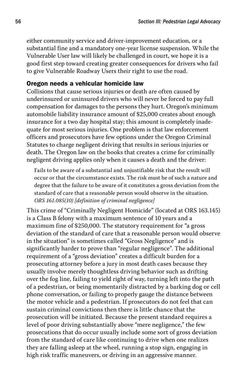either community service and driver-improvement education, or a substantial fine and a mandatory one-year license suspension. While the Vulnerable User law will likely be challenged in court, we hope it is a good first step toward creating greater consequences for drivers who fail to give Vulnerable Roadway Users their right to use the road.

#### Oregon needs a vehicular homicide law

Collisions that cause serious injuries or death are often caused by underinsured or uninsured drivers who will never be forced to pay full compensation for damages to the persons they hurt. Oregon's minimum automobile liability insurance amount of \$25,000 creates about enough insurance for a two day hospital stay; this amount is completely inadequate for most serious injuries. One problem is that law enforcement officers and prosecutors have few options under the Oregon Criminal Statutes to charge negligent driving that results in serious injuries or death. The Oregon law on the books that creates a crime for criminally negligent driving applies only when it causes a death and the driver:

Fails to be aware of a substantial and unjustifiable risk that the result will occur or that the circumstance exists. The risk must be of such a nature and degree that the failure to be aware of it constitutes a gross deviation from the standard of care that a reasonable person would observe in the situation. *ORS 161.085(10) [definition of criminal negligence]*

This crime of "Criminally Negligent Homicide" (located at ORS 163.145) is a Class B felony with a maximum sentence of 10 years and a maximum fine of \$250,000. The statutory requirement for "a gross deviation of the standard of care that a reasonable person would observe in the situation" is sometimes called "Gross Negligence" and is significantly harder to prove than "regular negligence". The additional requirement of a "gross deviation" creates a difficult burden for a prosecuting attorney before a jury in most death cases because they usually involve merely thoughtless driving behavior such as drifting over the fog line, failing to yield right of way, turning left into the path of a pedestrian, or being momentarily distracted by a barking dog or cell phone conversation, or failing to properly gauge the distance between the motor vehicle and a pedestrian. If prosecutors do not feel that can sustain criminal convictions then there is little chance that the prosecution will be initiated. Because the present standard requires a level of poor driving substantially above "mere negligence," the few prosecutions that do occur usually include some sort of gross deviation from the standard of care like continuing to drive when one realizes they are falling asleep at the wheel, running a stop sign, engaging in high risk traffic maneuvers, or driving in an aggressive manner.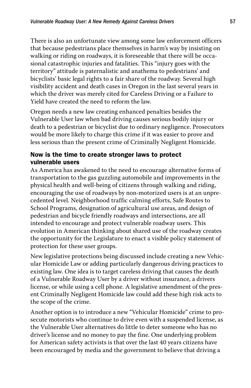There is also an unfortunate view among some law enforcement officers that because pedestrians place themselves in harm's way by insisting on walking or riding on roadways, it is foreseeable that there will be occasional catastrophic injuries and fatalities. This "injury goes with the territory" attitude is paternalistic and anathema to pedestrians' and bicyclists' basic legal rights to a fair share of the roadway. Several high visibility accident and death cases in Oregon in the last several years in which the driver was merely cited for Careless Driving or a Failure to Yield have created the need to reform the law.

Oregon needs a new law creating enhanced penalties besides the Vulnerable User law when bad driving causes serious bodily injury or death to a pedestrian or bicyclist due to ordinary negligence. Prosecutors would be more likely to charge this crime if it was easier to prove and less serious than the present crime of Criminally Negligent Homicide.

# Now is the time to create stronger laws to protect vulnerable users

As America has awakened to the need to encourage alternative forms of transportation to the gas guzzling automobile and improvements in the physical health and well-being of citizens through walking and riding, encouraging the use of roadways by non-motorized users is at an unprecedented level. Neighborhood traffic calming efforts, Safe Routes to School Programs, designation of agricultural use areas, and design of pedestrian and bicycle friendly roadways and intersections, are all intended to encourage and protect vulnerable roadway users. This evolution in American thinking about shared use of the roadway creates the opportunity for the Legislature to enact a visible policy statement of protection for these user groups.

New legislative protections being discussed include creating a new Vehicular Homicide Law or adding particularly dangerous driving practices to existing law. One idea is to target careless driving that causes the death of a Vulnerable Roadway User by a driver without insurance, a drivers license, or while using a cell phone. A legislative amendment of the present Criminally Negligent Homicide law could add these high risk acts to the scope of the crime.

Another option is to introduce a new "Vehicular Homicide" crime to prosecute motorists who continue to drive even with a suspended license, as the Vulnerable User alternatives do little to deter someone who has no driver's license and no money to pay the fine. One underlying problem for American safety activists is that over the last 40 years citizens have been encouraged by media and the government to believe that driving a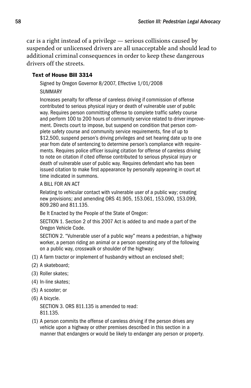car is a right instead of a privilege — serious collisions caused by suspended or unlicensed drivers are all unacceptable and should lead to additional criminal consequences in order to keep these dangerous drivers off the streets.

#### Text of House Bill 3314

 Signed by Oregon Governor 8/2007, Effective 1/01/2008 **SUMMARY** 

 Increases penalty for offense of careless driving if commission of offense contributed to serious physical injury or death of vulnerable user of public way. Requires person committing offense to complete traffic safety course and perform 100 to 200 hours of community service related to driver improvement. Directs court to impose, but suspend on condition that person complete safety course and community service requirements, fine of up to \$12,500, suspend person's driving privileges and set hearing date up to one year from date of sentencing to determine person's compliance with requirements. Requires police officer issuing citation for offense of careless driving to note on citation if cited offense contributed to serious physical injury or death of vulnerable user of public way. Requires defendant who has been issued citation to make first appearance by personally appearing in court at time indicated in summons.

#### A BILL FOR AN ACT

 Relating to vehicular contact with vulnerable user of a public way; creating new provisions; and amending ORS 41.905, 153.061, 153.090, 153.099, 809.280 and 811.135.

Be It Enacted by the People of the State of Oregon:

 SECTION 1. Section 2 of this 2007 Act is added to and made a part of the Oregon Vehicle Code.

 SECTION 2. "Vulnerable user of a public way" means a pedestrian, a highway worker, a person riding an animal or a person operating any of the following on a public way, crosswalk or shoulder of the highway:

- (1) A farm tractor or implement of husbandry without an enclosed shell;
- (2) A skateboard;
- (3) Roller skates;
- (4) In-line skates;
- (5) A scooter; or
- (6) A bicycle.

 SECTION 3. ORS 811.135 is amended to read: 811.135.

(1) A person commits the offense of careless driving if the person drives any vehicle upon a highway or other premises described in this section in a manner that endangers or would be likely to endanger any person or property.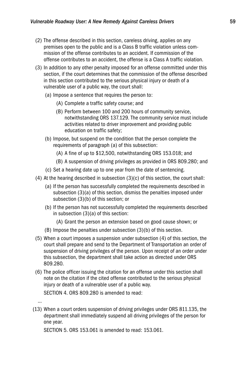- (2) The offense described in this section, careless driving, applies on any premises open to the public and is a Class B traffic violation unless commission of the offense contributes to an accident. If commission of the offense contributes to an accident, the offense is a Class A traffic violation.
- (3) In addition to any other penalty imposed for an offense committed under this section, if the court determines that the commission of the offense described in this section contributed to the serious physical injury or death of a vulnerable user of a public way, the court shall:
	- (a) Impose a sentence that requires the person to:
		- (A) Complete a traffic safety course; and
		- (B) Perform between 100 and 200 hours of community service, notwithstanding ORS 137.129. The community service must include activities related to driver improvement and providing public education on traffic safety;
	- (b) Impose, but suspend on the condition that the person complete the requirements of paragraph (a) of this subsection:
		- (A) A fine of up to \$12,500, notwithstanding ORS 153.018; and
		- (B) A suspension of driving privileges as provided in ORS 809.280; and
	- (c) Set a hearing date up to one year from the date of sentencing.
- (4) At the hearing described in subsection (3)(c) of this section, the court shall:
	- (a) If the person has successfully completed the requirements described in subsection (3)(a) of this section, dismiss the penalties imposed under subsection (3)(b) of this section; or
	- (b) If the person has not successfully completed the requirements described in subsection (3)(a) of this section:
		- (A) Grant the person an extension based on good cause shown; or
	- (B) Impose the penalties under subsection (3)(b) of this section.
- (5) When a court imposes a suspension under subsection (4) of this section, the court shall prepare and send to the Department of Transportation an order of suspension of driving privileges of the person. Upon receipt of an order under this subsection, the department shall take action as directed under ORS 809.280.
- (6) The police officer issuing the citation for an offense under this section shall note on the citation if the cited offense contributed to the serious physical injury or death of a vulnerable user of a public way.

SECTION 4. ORS 809.280 is amended to read:

…

(13) When a court orders suspension of driving privileges under ORS 811.135, the department shall immediately suspend all driving privileges of the person for one year.

SECTION 5. ORS 153.061 is amended to read: 153.061.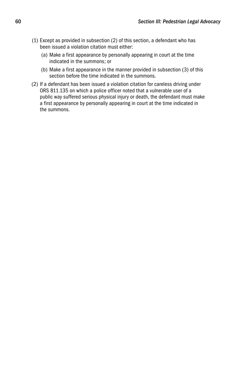- (1) Except as provided in subsection (2) of this section, a defendant who has been issued a violation citation must either:
	- (a) Make a first appearance by personally appearing in court at the time indicated in the summons; or
	- (b) Make a first appearance in the manner provided in subsection (3) of this section before the time indicated in the summons.
- (2) If a defendant has been issued a violation citation for careless driving under ORS 811.135 on which a police officer noted that a vulnerable user of a public way suffered serious physical injury or death, the defendant must make a first appearance by personally appearing in court at the time indicated in the summons.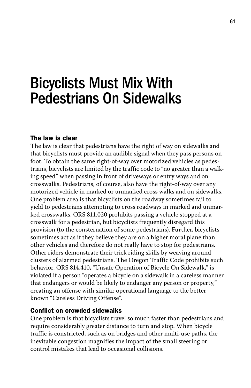# Bicyclists Must Mix With Pedestrians On Sidewalks

#### The law is clear

The law is clear that pedestrians have the right of way on sidewalks and that bicyclists must provide an audible signal when they pass persons on foot. To obtain the same right-of-way over motorized vehicles as pedestrians, bicyclists are limited by the traffic code to "no greater than a walking speed" when passing in front of driveways or entry ways and on crosswalks. Pedestrians, of course, also have the right-of-way over any motorized vehicle in marked or unmarked cross walks and on sidewalks. One problem area is that bicyclists on the roadway sometimes fail to yield to pedestrians attempting to cross roadways in marked and unmarked crosswalks. ORS 811.020 prohibits passing a vehicle stopped at a crosswalk for a pedestrian, but bicyclists frequently disregard this provision (to the consternation of some pedestrians). Further, bicyclists sometimes act as if they believe they are on a higher moral plane than other vehicles and therefore do not really have to stop for pedestrians. Other riders demonstrate their trick riding skills by weaving around clusters of alarmed pedestrians. The Oregon Traffic Code prohibits such behavior. ORS 814.410, "Unsafe Operation of Bicycle On Sidewalk," is violated if a person "operates a bicycle on a sidewalk in a careless manner that endangers or would be likely to endanger any person or property," creating an offense with similar operational language to the better known "Careless Driving Offense".

#### Conflict on crowded sidewalks

One problem is that bicyclists travel so much faster than pedestrians and require considerably greater distance to turn and stop. When bicycle traffic is constricted, such as on bridges and other multi-use paths, the inevitable congestion magnifies the impact of the small steering or control mistakes that lead to occasional collisions.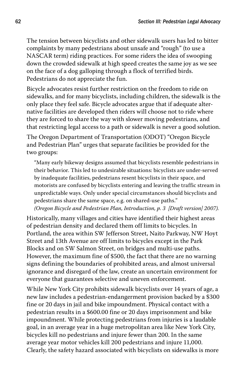The tension between bicyclists and other sidewalk users has led to bitter complaints by many pedestrians about unsafe and "rough" (to use a NASCAR term) riding practices. For some riders the idea of swooping down the crowded sidewalk at high speed creates the same joy as we see on the face of a dog galloping through a flock of terrified birds. Pedestrians do not appreciate the fun.

Bicycle advocates resist further restriction on the freedom to ride on sidewalks, and for many bicyclists, including children, the sidewalk is the only place they feel safe. Bicycle advocates argue that if adequate alternative facilities are developed then riders will choose not to ride where they are forced to share the way with slower moving pedestrians, and that restricting legal access to a path or sidewalk is never a good solution.

The Oregon Department of Transportation (ODOT) "Oregon Bicycle and Pedestrian Plan" urges that separate facilities be provided for the two groups:

"Many early bikeway designs assumed that bicyclists resemble pedestrians in their behavior. This led to undesirable situations: bicyclists are under-served by inadequate facilities, pedestrians resent bicyclists in their space, and motorists are confused by bicyclists entering and leaving the traffic stream in unpredictable ways. Only under special circumstances should bicyclists and pedestrians share the same space, e.g. on shared-use paths." *(Oregon Bicycle and Pedestrian Plan, Introduction, p. 3 [Draft version] 2007).*

Historically, many villages and cities have identified their highest areas of pedestrian density and declared them off limits to bicycles. In Portland, the area within SW Jefferson Street, Naito Parkway, NW Hoyt Street and 13th Avenue are off limits to bicycles except in the Park Blocks and on SW Salmon Street, on bridges and multi-use paths. However, the maximum fine of \$500, the fact that there are no warning signs defining the boundaries of prohibited areas, and almost universal ignorance and disregard of the law, create an uncertain environment for everyone that guarantees selective and uneven enforcement.

While New York City prohibits sidewalk bicyclists over 14 years of age, a new law includes a pedestrian-endangerment provision backed by a \$300 fine or 20 days in jail and bike impoundment. Physical contact with a pedestrian results in a \$600.00 fine or 20 days imprisonment and bike impoundment. While protecting pedestrians from injuries is a laudable goal, in an average year in a huge metropolitan area like New York City, bicycles kill no pedestrians and injure fewer than 200. In the same average year motor vehicles kill 200 pedestrians and injure 11,000. Clearly, the safety hazard associated with bicyclists on sidewalks is more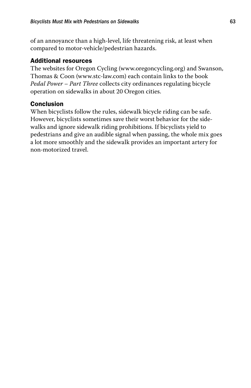of an annoyance than a high-level, life threatening risk, at least when compared to motor-vehicle/pedestrian hazards.

## Additional resources

The websites for Oregon Cycling (www.oregoncycling.org) and Swanson, Thomas & Coon (www.stc-law.com) each contain links to the book *Pedal Power – Part Three* collects city ordinances regulating bicycle operation on sidewalks in about 20 Oregon cities.

# Conclusion

When bicyclists follow the rules, sidewalk bicycle riding can be safe. However, bicyclists sometimes save their worst behavior for the sidewalks and ignore sidewalk riding prohibitions. If bicyclists yield to pedestrians and give an audible signal when passing, the whole mix goes a lot more smoothly and the sidewalk provides an important artery for non-motorized travel.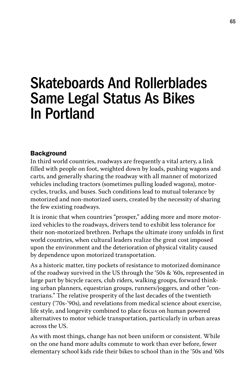# Skateboards And Rollerblades Same Legal Status As Bikes In Portland

# **Background**

In third world countries, roadways are frequently a vital artery, a link filled with people on foot, weighted down by loads, pushing wagons and carts, and generally sharing the roadway with all manner of motorized vehicles including tractors (sometimes pulling loaded wagons), motorcycles, trucks, and buses. Such conditions lead to mutual tolerance by motorized and non-motorized users, created by the necessity of sharing the few existing roadways.

It is ironic that when countries "prosper," adding more and more motorized vehicles to the roadways, drivers tend to exhibit less tolerance for their non-motorized brethren. Perhaps the ultimate irony unfolds in first world countries, when cultural leaders realize the great cost imposed upon the environment and the deterioration of physical vitality caused by dependence upon motorized transportation.

As a historic matter, tiny pockets of resistance to motorized dominance of the roadway survived in the US through the '50s & '60s, represented in large part by bicycle racers, club riders, walking groups, forward thinking urban planners, equestrian groups, runners/joggers, and other "contrarians." The relative prosperity of the last decades of the twentieth century ('70s-'90s), and revelations from medical science about exercise, life style, and longevity combined to place focus on human powered alternatives to motor vehicle transportation, particularly in urban areas across the US.

As with most things, change has not been uniform or consistent. While on the one hand more adults commute to work than ever before, fewer elementary school kids ride their bikes to school than in the '50s and '60s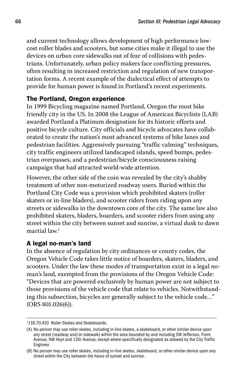and current technology allows development of high performance lowcost roller blades and scooters, but some cities make it illegal to use the devices on urban core sidewalks out of fear of collisions with pedestrians. Unfortunately, urban policy makers face conflicting pressures, often resulting in increased restriction and regulation of new transportation forms. A recent example of the dialectical effect of attempts to provide for human power is found in Portland's recent experiments.

# The Portland, Oregon experience

In 1999 Bicycling magazine named Portland, Oregon the most bike friendly city in the US. In 2008 the League of American Bicyclists (LAB) awarded Portland a Platinum designation for its historic efforts and positive bicycle culture. City officials and bicycle advocates have collaborated to create the nation's most advanced systems of bike lanes and pedestrian facilities. Aggressively pursuing "traffic calming" techniques, city traffic engineers utilized landscaped islands, speed bumps, pedestrian overpasses, and a pedestrian/bicycle consciousness raising campaign that had attracted world-wide attention.

However, the other side of the coin was revealed by the city's shabby treatment of other non-motorized roadway users. Buried within the Portland City Code was a provision which prohibited skaters (roller skaters or in-line bladers), and scooter riders from riding upon any streets or sidewalks in the downtown core of the city. The same law also prohibited skaters, bladers, boarders, and scooter riders from using any street within the city between sunset and sunrise, a virtual dusk to dawn martial law. $1$ 

# A legal no-man's land

In the absence of regulation by city ordinances or county codes, the Oregon Vehicle Code takes little notice of boarders, skaters, bladers, and scooters. Under the law these modes of transportation exist in a legal noman's land, exempted from the provisions of the Oregon Vehicle Code: "Devices that are powered exclusively by human power are not subject to those provisions of the vehicle code that relate to vehicles. Notwithstanding this subsection, bicycles are generally subject to the vehicle code…" (ORS 801.026(6)).

<sup>1</sup> 116.70.410 Roller Skates and Skateboards.

<sup>(</sup>A) No person may use roller skates, including in-line skates, a skateboard, or other similar device upon any street (roadway and/or sidewalk) within the area bounded by and including SW Jefferson, Front Avenue, NW Hoyt and 13th Avenue, except where specifically designated as allowed by the City Traffic Engineer.

<sup>(</sup>B) No person may use roller skates, including in-line skates, skateboard, or other similar device upon any street within the City between the hours of sunset and sunrise.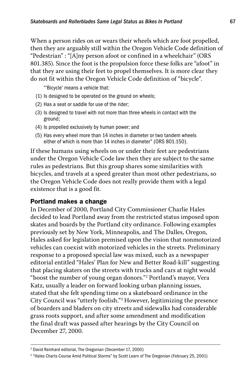When a person rides on or wears their wheels which are foot propelled, then they are arguably still within the Oregon Vehicle Code definition of "Pedestrian" : "[A]ny person afoot or confined in a wheelchair" (ORS 801.385). Since the foot is the propulsion force these folks are "afoot" in that they are using their feet to propel themselves. It is more clear they do not fit within the Oregon Vehicle Code definition of "bicycle".

"'Bicycle' means a vehicle that:

- (1) Is designed to be operated on the ground on wheels;
- (2) Has a seat or saddle for use of the rider;
- (3) Is designed to travel with not more than three wheels in contact with the ground;
- (4) Is propelled exclusively by human power; and
- (5) Has every wheel more than 14 inches in diameter or two tandem wheels either of which is more than 14 inches in diameter" (ORS 801.150).

If these humans using wheels on or under their feet are pedestrians under the Oregon Vehicle Code law then they are subject to the same rules as pedestrians. But this group shares some similarities with bicycles, and travels at a speed greater than most other pedestrians, so the Oregon Vehicle Code does not really provide them with a legal existence that is a good fit.

# Portland makes a change

In December of 2000, Portland City Commissioner Charlie Hales decided to lead Portland away from the restricted status imposed upon skates and boards by the Portland city ordinance. Following examples previously set by New York, Minneapolis, and The Dalles, Oregon, Hales asked for legislation premised upon the vision that nonmotorized vehicles can coexist with motorized vehicles in the streets. Preliminary response to a proposed special law was mixed, such as a newspaper editorial entitled "Hales' Plan for New and Better Road-kill" suggesting that placing skaters on the streets with trucks and cars at night would "boost the number of young organ donors."2 Portland's mayor, Vera Katz, usually a leader on forward looking urban planning issues, stated that she felt spending time on a skateboard ordinance in the City Council was "utterly foolish."3 However, legitimizing the presence of boarders and bladers on city streets and sidewalks had considerable grass roots support, and after some amendment and modification the final draft was passed after hearings by the City Council on December 27, 2000.

<sup>2</sup> David Reinhard editorial, The Oregonian (December 17, 2000)

<sup>&</sup>lt;sup>3</sup> "Hales Charts Course Amid Political Storms" by Scott Learn of The Oregonian (February 25, 2001)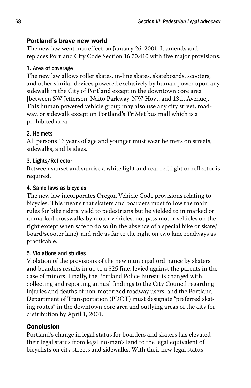# Portland's brave new world

The new law went into effect on January 26, 2001. It amends and replaces Portland City Code Section 16.70.410 with five major provisions.

# 1. Area of coverage

The new law allows roller skates, in-line skates, skateboards, scooters, and other similar devices powered exclusively by human power upon any sidewalk in the City of Portland except in the downtown core area [between SW Jefferson, Naito Parkway, NW Hoyt, and 13th Avenue]. This human powered vehicle group may also use any city street, roadway, or sidewalk except on Portland's TriMet bus mall which is a prohibited area.

# 2. Helmets

All persons 16 years of age and younger must wear helmets on streets, sidewalks, and bridges.

# 3. Lights/Reflector

Between sunset and sunrise a white light and rear red light or reflector is required.

# 4. Same laws as bicycles

The new law incorporates Oregon Vehicle Code provisions relating to bicycles. This means that skaters and boarders must follow the main rules for bike riders: yield to pedestrians but be yielded to in marked or unmarked crosswalks by motor vehicles, not pass motor vehicles on the right except when safe to do so (in the absence of a special bike or skate/ board/scooter lane), and ride as far to the right on two lane roadways as practicable.

# 5. Violations and studies

Violation of the provisions of the new municipal ordinance by skaters and boarders results in up to a \$25 fine, levied against the parents in the case of minors. Finally, the Portland Police Bureau is charged with collecting and reporting annual findings to the City Council regarding injuries and deaths of non-motorized roadway users, and the Portland Department of Transportation (PDOT) must designate "preferred skating routes" in the downtown core area and outlying areas of the city for distribution by April 1, 2001.

# Conclusion

Portland's change in legal status for boarders and skaters has elevated their legal status from legal no-man's land to the legal equivalent of bicyclists on city streets and sidewalks. With their new legal status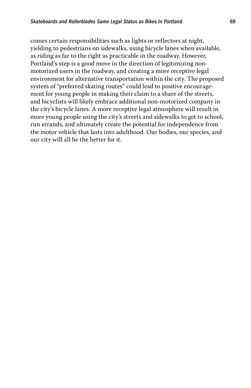comes certain responsibilities such as lights or reflectors at night, yielding to pedestrians on sidewalks, using bicycle lanes when available, as riding as far to the right as practicable in the roadway. However, Portland's step is a good move in the direction of legitimizing nonmotorized users in the roadway, and creating a more receptive legal environment for alternative transportation within the city. The proposed system of "preferred skating routes" could lead to positive encouragement for young people in making their claim to a share of the streets, and bicyclists will likely embrace additional non-motorized company in the city's bicycle lanes. A more receptive legal atmosphere will result in more young people using the city's streets and sidewalks to get to school, run errands, and ultimately create the potential for independence from the motor vehicle that lasts into adulthood. Our bodies, our species, and our city will all be the better for it.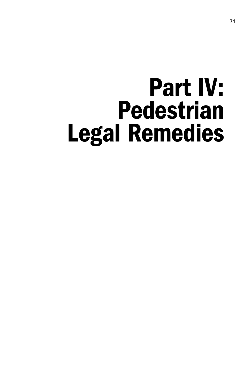# Part IV: Pedestrian Legal Remedies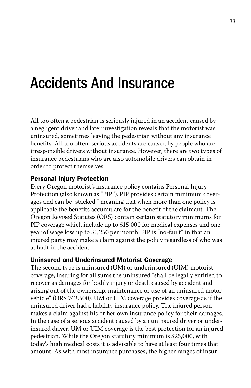# Accidents And Insurance

All too often a pedestrian is seriously injured in an accident caused by a negligent driver and later investigation reveals that the motorist was uninsured, sometimes leaving the pedestrian without any insurance benefits. All too often, serious accidents are caused by people who are irresponsible drivers without insurance. However, there are two types of insurance pedestrians who are also automobile drivers can obtain in order to protect themselves.

# Personal Injury Protection

Every Oregon motorist's insurance policy contains Personal Injury Protection (also known as "PIP"). PIP provides certain minimum coverages and can be "stacked," meaning that when more than one policy is applicable the benefits accumulate for the benefit of the claimant. The Oregon Revised Statutes (ORS) contain certain statutory minimums for PIP coverage which include up to \$15,000 for medical expenses and one year of wage loss up to \$1,250 per month. PIP is "no-fault" in that an injured party may make a claim against the policy regardless of who was at fault in the accident.

# Uninsured and Underinsured Motorist Coverage

The second type is uninsured (UM) or underinsured (UIM) motorist coverage, insuring for all sums the uninsured "shall be legally entitled to recover as damages for bodily injury or death caused by accident and arising out of the ownership, maintenance or use of an uninsured motor vehicle" (ORS 742.500). UM or UIM coverage provides coverage as if the uninsured driver had a liability insurance policy. The injured person makes a claim against his or her own insurance policy for their damages. In the case of a serious accident caused by an uninsured driver or underinsured driver, UM or UIM coverage is the best protection for an injured pedestrian. While the Oregon statutory minimum is \$25,000, with today's high medical costs it is advisable to have at least four times that amount. As with most insurance purchases, the higher ranges of insur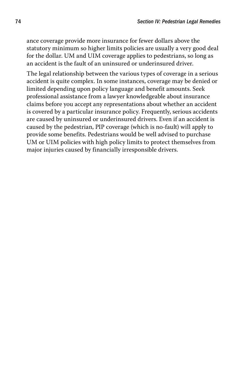ance coverage provide more insurance for fewer dollars above the statutory minimum so higher limits policies are usually a very good deal for the dollar. UM and UIM coverage applies to pedestrians, so long as an accident is the fault of an uninsured or underinsured driver.

The legal relationship between the various types of coverage in a serious accident is quite complex. In some instances, coverage may be denied or limited depending upon policy language and benefit amounts. Seek professional assistance from a lawyer knowledgeable about insurance claims before you accept any representations about whether an accident is covered by a particular insurance policy. Frequently, serious accidents are caused by uninsured or underinsured drivers. Even if an accident is caused by the pedestrian, PIP coverage (which is no-fault) will apply to provide some benefits. Pedestrians would be well advised to purchase UM or UIM policies with high policy limits to protect themselves from major injuries caused by financially irresponsible drivers.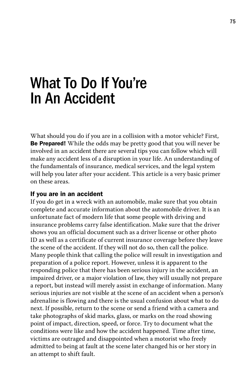# What To Do If You're In An Accident

What should you do if you are in a collision with a motor vehicle? First, Be Prepared! While the odds may be pretty good that you will never be involved in an accident there are several tips you can follow which will make any accident less of a disruption in your life. An understanding of the fundamentals of insurance, medical services, and the legal system will help you later after your accident. This article is a very basic primer on these areas.

### If you are in an accident

If you do get in a wreck with an automobile, make sure that you obtain complete and accurate information about the automobile driver. It is an unfortunate fact of modern life that some people with driving and insurance problems carry false identification. Make sure that the driver shows you an official document such as a driver license or other photo ID as well as a certificate of current insurance coverage before they leave the scene of the accident. If they will not do so, then call the police. Many people think that calling the police will result in investigation and preparation of a police report. However, unless it is apparent to the responding police that there has been serious injury in the accident, an impaired driver, or a major violation of law, they will usually not prepare a report, but instead will merely assist in exchange of information. Many serious injuries are not visible at the scene of an accident when a person's adrenaline is flowing and there is the usual confusion about what to do next. If possible, return to the scene or send a friend with a camera and take photographs of skid marks, glass, or marks on the road showing point of impact, direction, speed, or force. Try to document what the conditions were like and how the accident happened. Time after time, victims are outraged and disappointed when a motorist who freely admitted to being at fault at the scene later changed his or her story in an attempt to shift fault.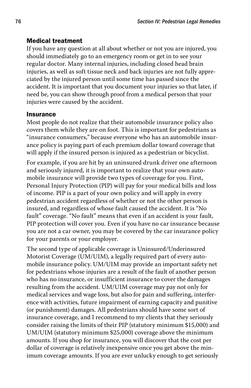# Medical treatment

If you have any question at all about whether or not you are injured, you should immediately go to an emergency room or get in to see your regular doctor. Many internal injuries, including closed head brain injuries, as well as soft tissue neck and back injuries are not fully appreciated by the injured person until some time has passed since the accident. It is important that you document your injuries so that later, if need be, you can show through proof from a medical person that your injuries were caused by the accident.

# Insurance

Most people do not realize that their automobile insurance policy also covers them while they are on foot. This is important for pedestrians as "insurance consumers," because everyone who has an automobile insurance policy is paying part of each premium dollar toward coverage that will apply if the insured person is injured as a pedestrian or bicyclist.

For example, if you are hit by an uninsured drunk driver one afternoon and seriously injured, it is important to realize that your own automobile insurance will provide two types of coverage for you. First, Personal Injury Protection (PIP) will pay for your medical bills and loss of income. PIP is a part of your own policy and will apply in every pedestrian accident regardless of whether or not the other person is insured, and regardless of whose fault caused the accident. It is "No fault" coverage. "No fault" means that even if an accident is your fault, PIP protection will cover you. Even if you have no car insurance because you are not a car owner, you may be covered by the car insurance policy for your parents or your employer.

The second type of applicable coverage is Uninsured/Underinsured Motorist Coverage (UM/UIM), a legally required part of every automobile insurance policy. UM/UIM may provide an important safety net for pedestrians whose injuries are a result of the fault of another person who has no insurance, or insufficient insurance to cover the damages resulting from the accident. UM/UIM coverage may pay not only for medical services and wage loss, but also for pain and suffering, interference with activities, future impairment of earning capacity and punitive (or punishment) damages. All pedestrians should have some sort of insurance coverage, and I recommend to my clients that they seriously consider raising the limits of their PIP (statutory minimum \$15,000) and UM/UIM (statutory minimum \$25,000) coverage above the minimum amounts. If you shop for insurance, you will discover that the cost per dollar of coverage is relatively inexpensive once you get above the minimum coverage amounts. If you are ever unlucky enough to get seriously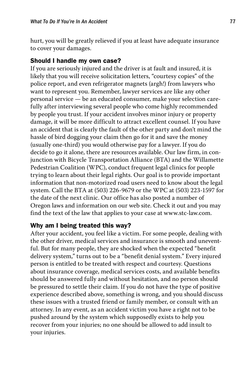hurt, you will be greatly relieved if you at least have adequate insurance to cover your damages.

### Should I handle my own case?

If you are seriously injured and the driver is at fault and insured, it is likely that you will receive solicitation letters, "courtesy copies" of the police report, and even refrigerator magnets (argh!) from lawyers who want to represent you. Remember, lawyer services are like any other personal service — be an educated consumer, make your selection carefully after interviewing several people who come highly recommended by people you trust. If your accident involves minor injury or property damage, it will be more difficult to attract excellent counsel. If you have an accident that is clearly the fault of the other party and don't mind the hassle of bird dogging your claim then go for it and save the money (usually one-third) you would otherwise pay for a lawyer. If you do decide to go it alone, there are resources available. Our law firm, in conjunction with Bicycle Transportation Alliance (BTA) and the Willamette Pedestrian Coalition (WPC), conduct frequent legal clinics for people trying to learn about their legal rights. Our goal is to provide important information that non-motorized road users need to know about the legal system. Call the BTA at (503) 226-9679 or the WPC at (503) 223-1597 for the date of the next clinic. Our office has also posted a number of Oregon laws and information on our web site. Check it out and you may find the text of the law that applies to your case at www.stc-law.com.

# Why am I being treated this way?

After your accident, you feel like a victim. For some people, dealing with the other driver, medical services and insurance is smooth and uneventful. But for many people, they are shocked when the expected "benefit delivery system," turns out to be a "benefit denial system." Every injured person is entitled to be treated with respect and courtesy. Questions about insurance coverage, medical services costs, and available benefits should be answered fully and without hesitation, and no person should be pressured to settle their claim. If you do not have the type of positive experience described above, something is wrong, and you should discuss these issues with a trusted friend or family member, or consult with an attorney. In any event, as an accident victim you have a right not to be pushed around by the system which supposedly exists to help you recover from your injuries; no one should be allowed to add insult to your injuries.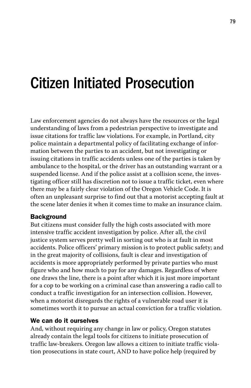# Citizen Initiated Prosecution

Law enforcement agencies do not always have the resources or the legal understanding of laws from a pedestrian perspective to investigate and issue citations for traffic law violations. For example, in Portland, city police maintain a departmental policy of facilitating exchange of information between the parties to an accident, but not investigating or issuing citations in traffic accidents unless one of the parties is taken by ambulance to the hospital, or the driver has an outstanding warrant or a suspended license. And if the police assist at a collision scene, the investigating officer still has discretion not to issue a traffic ticket, even where there may be a fairly clear violation of the Oregon Vehicle Code. It is often an unpleasant surprise to find out that a motorist accepting fault at the scene later denies it when it comes time to make an insurance claim.

# Background

But citizens must consider fully the high costs associated with more intensive traffic accident investigation by police. After all, the civil justice system serves pretty well in sorting out who is at fault in most accidents. Police officers' primary mission is to protect public safety; and in the great majority of collisions, fault is clear and investigation of accidents is more appropriately performed by private parties who must figure who and how much to pay for any damages. Regardless of where one draws the line, there is a point after which it is just more important for a cop to be working on a criminal case than answering a radio call to conduct a traffic investigation for an intersection collision. However, when a motorist disregards the rights of a vulnerable road user it is sometimes worth it to pursue an actual conviction for a traffic violation.

# We can do it ourselves

And, without requiring any change in law or policy, Oregon statutes already contain the legal tools for citizens to initiate prosecution of traffic law-breakers. Oregon law allows a citizen to initiate traffic violation prosecutions in state court, AND to have police help (required by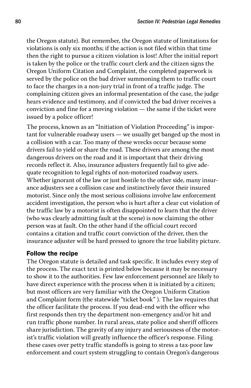the Oregon statute). But remember, the Oregon statute of limitations for violations is only six months; if the action is not filed within that time then the right to pursue a citizen violation is lost! After the initial report is taken by the police or the traffic court clerk and the citizen signs the Oregon Uniform Citation and Complaint, the completed paperwork is served by the police on the bad driver summoning them to traffic court to face the charges in a non-jury trial in front of a traffic judge. The complaining citizen gives an informal presentation of the case, the judge hears evidence and testimony, and if convicted the bad driver receives a conviction and fine for a moving violation — the same if the ticket were issued by a police officer!

The process, known as an "Initiation of Violation Proceeding" is important for vulnerable roadway users — we usually get banged up the most in a collision with a car. Too many of these wrecks occur because some drivers fail to yield or share the road. These drivers are among the most dangerous drivers on the road and it is important that their driving records reflect it. Also, insurance adjusters frequently fail to give adequate recognition to legal rights of non-motorized roadway users. Whether ignorant of the law or just hostile to the other side, many insurance adjusters see a collision case and instinctively favor their insured motorist. Since only the most serious collisions involve law enforcement accident investigation, the person who is hurt after a clear cut violation of the traffic law by a motorist is often disappointed to learn that the driver (who was clearly admitting fault at the scene) is now claiming the other person was at fault. On the other hand if the official court record contains a citation and traffic court conviction of the driver, then the insurance adjuster will be hard pressed to ignore the true liability picture.

# Follow the recipe

The Oregon statute is detailed and task specific. It includes every step of the process. The exact text is printed below because it may be necessary to show it to the authorities. Few law enforcement personnel are likely to have direct experience with the process when it is initiated by a citizen; but most officers are very familiar with the Oregon Uniform Citation and Complaint form (the statewide "ticket book" ). The law requires that the officer facilitate the process. If you dead-end with the officer who first responds then try the department non-emergency and/or hit and run traffic phone number. In rural areas, state police and sheriff officers share jurisdiction. The gravity of any injury and seriousness of the motorist's traffic violation will greatly influence the officer's response. Filing these cases over petty traffic standoffs is going to stress a tax-poor law enforcement and court system struggling to contain Oregon's dangerous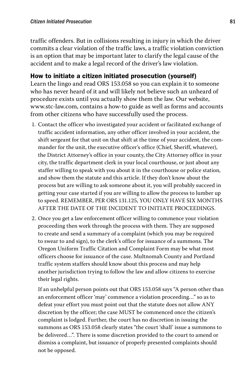traffic offenders. But in collisions resulting in injury in which the driver commits a clear violation of the traffic laws, a traffic violation conviction is an option that may be important later to clarify the legal cause of the accident and to make a legal record of the driver's law violation.

# How to initiate a citizen initiated prosecution (yourself)

Learn the lingo and read ORS 153.058 so you can explain it to someone who has never heard of it and will likely not believe such an unheard of procedure exists until you actually show them the law. Our website, www.stc-law.com, contains a how-to guide as well as forms and accounts from other citizens who have successfully used the process.

- 1. Contact the officer who investigated your accident or facilitated exchange of traffic accident information, any other officer involved in your accident, the shift sergeant for that unit on that shift at the time of your accident, the commander for the unit, the executive officer's office (Chief, Sheriff, whatever), the District Attorney's office in your county, the City Attorney office in your city, the traffic department clerk in your local courthouse, or just about any staffer willing to speak with you about it in the courthouse or police station, and show them the statute and this article. If they don't know about the process but are willing to ask someone about it, you will probably succeed in getting your case started if you are willing to allow the process to lumber up to speed. REMEMBER, PER ORS 131.125, YOU ONLY HAVE SIX MONTHS AFTER THE DATE OF THE INCIDENT TO INITIATE PROCEEDINGS.
- 2. Once you get a law enforcement officer willing to commence your violation proceeding then work through the process with them. They are supposed to create and send a summary of a complaint (which you may be required to swear to and sign), to the clerk's office for issuance of a summons. The Oregon Uniform Traffic Citation and Complaint Form may be what most officers choose for issuance of the case. Multnomah County and Portland traffic system staffers should know about this process and may help another jurisdiction trying to follow the law and allow citizens to exercise their legal rights.

If an unhelpful person points out that ORS 153.058 says "A person other than an enforcement officer 'may' commence a violation proceeding…" so as to defeat your effort you must point out that the statute does not allow ANY discretion by the officer; the case MUST be commenced once the citizen's complaint is lodged. Further, the court has no discretion in issuing the summons as ORS 153.058 clearly states "the court 'shall' issue a summons to be delivered…". There is some discretion provided to the court to amend or dismiss a complaint, but issuance of properly presented complaints should not be opposed.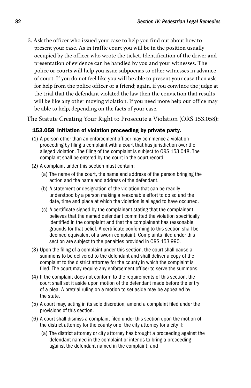3. Ask the officer who issued your case to help you find out about how to present your case. As in traffic court you will be in the position usually occupied by the officer who wrote the ticket. Identification of the driver and presentation of evidence can be handled by you and your witnesses. The police or courts will help you issue subpoenas to other witnesses in advance of court. If you do not feel like you will be able to present your case then ask for help from the police officer or a friend; again, if you convince the judge at the trial that the defendant violated the law then the conviction that results will be like any other moving violation. If you need more help our office may be able to help, depending on the facts of your case.

The Statute Creating Your Right to Prosecute a Violation (ORS 153.058):

### 153.058 Initiation of violation proceeding by private party.

- (1) A person other than an enforcement officer may commence a violation proceeding by filing a complaint with a court that has jurisdiction over the alleged violation. The filing of the complaint is subject to ORS 153.048. The complaint shall be entered by the court in the court record.
- (2) A complaint under this section must contain:
	- (a) The name of the court, the name and address of the person bringing the action and the name and address of the defendant.
	- (b) A statement or designation of the violation that can be readily understood by a person making a reasonable effort to do so and the date, time and place at which the violation is alleged to have occurred.
	- (c) A certificate signed by the complainant stating that the complainant believes that the named defendant committed the violation specifically identified in the complaint and that the complainant has reasonable grounds for that belief. A certificate conforming to this section shall be deemed equivalent of a sworn complaint. Complaints filed under this section are subject to the penalties provided in ORS 153.990.
- (3) Upon the filing of a complaint under this section, the court shall cause a summons to be delivered to the defendant and shall deliver a copy of the complaint to the district attorney for the county in which the complaint is filed. The court may require any enforcement officer to serve the summons.
- (4) If the complaint does not conform to the requirements of this section, the court shall set it aside upon motion of the defendant made before the entry of a plea. A pretrial ruling on a motion to set aside may be appealed by the state.
- (5) A court may, acting in its sole discretion, amend a complaint filed under the provisions of this section.
- (6) A court shall dismiss a complaint filed under this section upon the motion of the district attorney for the county or of the city attorney for a city if:
	- (a) The district attorney or city attorney has brought a proceeding against the defendant named in the complaint or intends to bring a proceeding against the defendant named in the complaint; and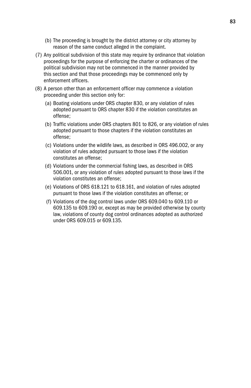- (b) The proceeding is brought by the district attorney or city attorney by reason of the same conduct alleged in the complaint.
- (7) Any political subdivision of this state may require by ordinance that violation proceedings for the purpose of enforcing the charter or ordinances of the political subdivision may not be commenced in the manner provided by this section and that those proceedings may be commenced only by enforcement officers.
- (8) A person other than an enforcement officer may commence a violation proceeding under this section only for:
	- (a) Boating violations under ORS chapter 830, or any violation of rules adopted pursuant to ORS chapter 830 if the violation constitutes an offense;
	- (b) Traffic violations under ORS chapters 801 to 826, or any violation of rules adopted pursuant to those chapters if the violation constitutes an offense;
	- (c) Violations under the wildlife laws, as described in ORS 496.002, or any violation of rules adopted pursuant to those laws if the violation constitutes an offense;
	- (d) Violations under the commercial fishing laws, as described in ORS 506.001, or any violation of rules adopted pursuant to those laws if the violation constitutes an offense;
	- (e) Violations of ORS 618.121 to 618.161, and violation of rules adopted pursuant to those laws if the violation constitutes an offense; or
	- (f) Violations of the dog control laws under ORS 609.040 to 609.110 or 609.135 to 609.190 or, except as may be provided otherwise by county law, violations of county dog control ordinances adopted as authorized under ORS 609.015 or 609.135.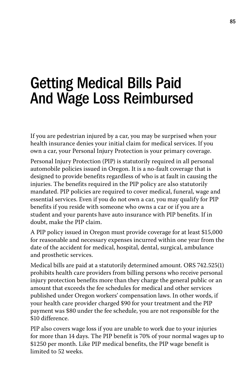# Getting Medical Bills Paid And Wage Loss Reimbursed

If you are pedestrian injured by a car, you may be surprised when your health insurance denies your initial claim for medical services. If you own a car, your Personal Injury Protection is your primary coverage.

Personal Injury Protection (PIP) is statutorily required in all personal automobile policies issued in Oregon. It is a no-fault coverage that is designed to provide benefits regardless of who is at fault in causing the injuries. The benefits required in the PIP policy are also statutorily mandated. PIP policies are required to cover medical, funeral, wage and essential services. Even if you do not own a car, you may qualify for PIP benefits if you reside with someone who owns a car or if you are a student and your parents have auto insurance with PIP benefits. If in doubt, make the PIP claim.

A PIP policy issued in Oregon must provide coverage for at least \$15,000 for reasonable and necessary expenses incurred within one year from the date of the accident for medical, hospital, dental, surgical, ambulance and prosthetic services.

Medical bills are paid at a statutorily determined amount. ORS 742.525(1) prohibits health care providers from billing persons who receive personal injury protection benefits more than they charge the general public or an amount that exceeds the fee schedules for medical and other services published under Oregon workers' compensation laws. In other words, if your health care provider charged \$90 for your treatment and the PIP payment was \$80 under the fee schedule, you are not responsible for the \$10 difference.

PIP also covers wage loss if you are unable to work due to your injuries for more than 14 days. The PIP benefit is 70% of your normal wages up to \$1250 per month. Like PIP medical benefits, the PIP wage benefit is limited to 52 weeks.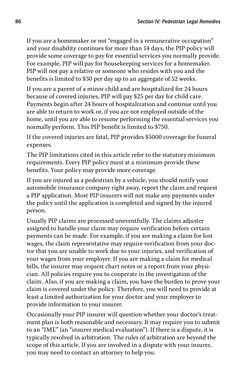If you are a homemaker or not "engaged in a remunerative occupation" and your disability continues for more than 14 days, the PIP policy will provide some coverage to pay for essential services you normally provide. For example, PIP will pay for housekeeping services for a homemaker. PIP will not pay a relative or someone who resides with you and the benefits is limited to \$30 per day up to an aggregate of 52 weeks.

If you are a parent of a minor child and are hospitalized for 24 hours because of covered injuries, PIP will pay \$25 per day for child care. Payments begin after 24 hours of hospitalization and continue until you are able to return to work or, if you are not employed outside of the home, until you are able to resume performing the essential services you normally perform. This PIP benefit is limited to \$750.

If the covered injuries are fatal, PIP provides \$5000 coverage for funeral expenses.

The PIP limitations cited in this article refer to the statutory minimum requirements. Every PIP policy must at a minimum provide these benefits. Your policy may provide more coverage.

If you are injured as a pedestrian by a vehicle, you should notify your automobile insurance company right away, report the claim and request a PIP application. Most PIP insurers will not make any payments under the policy until the application is completed and signed by the injured person.

Usually PIP claims are processed uneventfully. The claims adjuster assigned to handle your claim may require verification before certain payments can be made. For example, if you are making a claim for lost wages, the claim representative may require verification from your doctor that you are unable to work due to your injuries, and verification of your wages from your employer. If you are making a claim for medical bills, the insurer may request chart notes or a report from your physician. All policies require you to cooperate in the investigation of the claim. Also, if you are making a claim, you have the burden to prove your claim is covered under the policy. Therefore, you will need to provide at least a limited authorization for your doctor and your employer to provide information to your insurer.

Occasionally your PIP insurer will question whether your doctor's treatment plan is both reasonable and necessary. It may require you to submit to an "IME" (an "insurer medical evaluation"). If there is a dispute, it is typically resolved in arbitration. The rules of arbitration are beyond the scope of this article. If you are involved in a dispute with your insurer, you may need to contact an attorney to help you.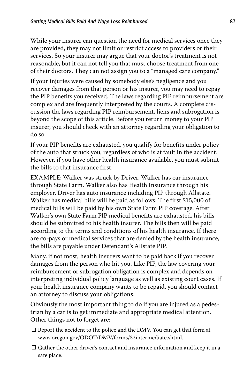While your insurer can question the need for medical services once they are provided, they may not limit or restrict access to providers or their services. So your insurer may argue that your doctor's treatment is not reasonable, but it can not tell you that must choose treatment from one of their doctors. They can not assign you to a "managed care company."

If your injuries were caused by somebody else's negligence and you recover damages from that person or his insurer, you may need to repay the PIP benefits you received. The laws regarding PIP reimbursement are complex and are frequently interpreted by the courts. A complete discussion the laws regarding PIP reimbursement, liens and subrogation is beyond the scope of this article. Before you return money to your PIP insurer, you should check with an attorney regarding your obligation to do so.

If your PIP benefits are exhausted, you qualify for benefits under policy of the auto that struck you, regardless of who is at fault in the accident. However, if you have other health insurance available, you must submit the bills to that insurance first.

EXAMPLE: Walker was struck by Driver. Walker has car insurance through State Farm. Walker also has Health Insurance through his employer. Driver has auto insurance including PIP through Allstate. Walker has medical bills will be paid as follows: The first \$15,000 of medical bills will be paid by his own State Farm PIP coverage. After Walker's own State Farm PIP medical benefits are exhausted, his bills should be submitted to his health insurer. The bills then will be paid according to the terms and conditions of his health insurance. If there are co-pays or medical services that are denied by the health insurance, the bills are payable under Defendant's Allstate PIP.

Many, if not most, health insurers want to be paid back if you recover damages from the person who hit you. Like PIP, the law covering your reimbursement or subrogation obligation is complex and depends on interpreting individual policy language as well as existing court cases. If your health insurance company wants to be repaid, you should contact an attorney to discuss your obligations.

Obviously the most important thing to do if you are injured as a pedestrian by a car is to get immediate and appropriate medical attention. Other things not to forget are:

- $\Box$  Report the accident to the police and the DMV. You can get that form at www.oregon.gov/ODOT/DMV/forms/32intermediate.shtml.
- $\Box$  Gather the other driver's contact and insurance information and keep it in a safe place.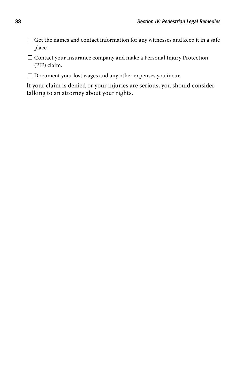- $\Box$  Get the names and contact information for any witnesses and keep it in a safe place.
- $\Box$  Contact your insurance company and make a Personal Injury Protection (PIP) claim.
- $\Box$  Document your lost wages and any other expenses you incur.

If your claim is denied or your injuries are serious, you should consider talking to an attorney about your rights.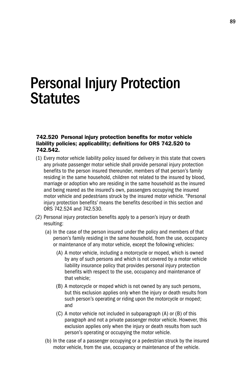# Personal Injury Protection **Statutes**

#### 742.520 Personal injury protection benefits for motor vehicle liability policies; applicability; definitions for ORS 742.520 to 742.542.

- (1) Every motor vehicle liability policy issued for delivery in this state that covers any private passenger motor vehicle shall provide personal injury protection benefits to the person insured thereunder, members of that person's family residing in the same household, children not related to the insured by blood, marriage or adoption who are residing in the same household as the insured and being reared as the insured's own, passengers occupying the insured motor vehicle and pedestrians struck by the insured motor vehicle. "Personal injury protection benefits' means the benefits described in this section and ORS 742.524 and 742.530.
- (2) Personal injury protection benefits apply to a person's injury or death resulting:
	- (a) In the case of the person insured under the policy and members of that person's family residing in the same household, from the use, occupancy or maintenance of any motor vehicle, except the following vehicles:
		- (A) A motor vehicle, including a motorcycle or moped, which is owned by any of such persons and which is not covered by a motor vehicle liability insurance policy that provides personal injury protection benefits with respect to the use, occupancy and maintenance of that vehicle;
		- (B) A motorcycle or moped which is not owned by any such persons, but this exclusion applies only when the injury or death results from such person's operating or riding upon the motorcycle or moped; and
		- (C) A motor vehicle not included in subparagraph (A) or (B) of this paragraph and not a private passenger motor vehicle. However, this exclusion applies only when the injury or death results from such person's operating or occupying the motor vehicle.
	- (b) In the case of a passenger occupying or a pedestrian struck by the insured motor vehicle, from the use, occupancy or maintenance of the vehicle.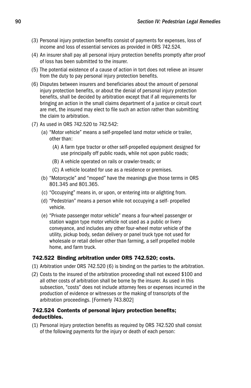- (3) Personal injury protection benefits consist of payments for expenses, loss of income and loss of essential services as provided in ORS 742.524.
- (4) An insurer shall pay all personal injury protection benefits promptly after proof of loss has been submitted to the insurer.
- (5) The potential existence of a cause of action in tort does not relieve an insurer from the duty to pay personal injury protection benefits.
- (6) Disputes between insurers and beneficiaries about the amount of personal injury protection benefits, or about the denial of personal injury protection benefits, shall be decided by arbitration except that if all requirements for bringing an action in the small claims department of a justice or circuit court are met, the insured may elect to file such an action rather than submitting the claim to arbitration.
- (7) As used in ORS 742.520 to 742.542:
	- (a) "Motor vehicle" means a self-propelled land motor vehicle or trailer, other than:
		- (A) A farm type tractor or other self-propelled equipment designed for use principally off public roads, while not upon public roads;
		- (B) A vehicle operated on rails or crawler-treads; or
		- (C) A vehicle located for use as a residence or premises.
	- (b) "Motorcycle" and "moped" have the meanings give those terms in ORS 801.345 and 801.365.
	- (c) "Occupying" means in, or upon, or entering into or alighting from.
	- (d) "Pedestrian" means a person while not occupying a self- propelled vehicle.
	- (e) "Private passenger motor vehicle" means a four-wheel passenger or station wagon type motor vehicle not used as a public or livery conveyance, and includes any other four-wheel motor vehicle of the utility, pickup body, sedan delivery or panel truck type not used for wholesale or retail deliver other than farming, a self propelled mobile home, and farm truck.

### 742.522 Binding arbitration under ORS 742.520; costs.

- (1) Arbitration under ORS 742.520 (6) is binding on the parties to the arbitration.
- (2) Costs to the insured of the arbitration proceeding shall not exceed \$100 and all other costs of arbitration shall be borne by the insurer. As used in this subsection, "costs" does not include attorney fees or expenses incurred in the production of evidence or witnesses or the making of transcripts of the arbitration proceedings. [Formerly 743.802]

### 742.524 Contents of personal injury protection benefits; deductibles.

(1) Personal injury protection benefits as required by ORS 742.520 shall consist of the following payments for the injury or death of each person: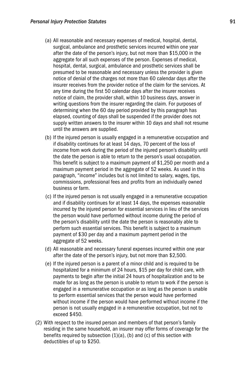- (a) All reasonable and necessary expenses of medical, hospital, dental, surgical, ambulance and prosthetic services incurred within one year after the date of the person's injury, but not more than \$15,000 in the aggregate for all such expenses of the person. Expenses of medical, hospital, dental, surgical, ambulance and prosthetic services shall be presumed to be reasonable and necessary unless the provider is given notice of denial of the charges not more than 60 calendar days after the insurer receives from the provider notice of the claim for the services. At any time during the first 50 calendar days after the insurer receives notice of claim, the provider shall, within 10 business days, answer in writing questions from the insurer regarding the claim. For purposes of determining when the 60 day period provided by this paragraph has elapsed, counting of days shall be suspended if the provider does not supply written answers to the insurer within 10 days and shall not resume until the answers are supplied.
- (b) If the injured person is usually engaged in a remunerative occupation and if disability continues for at least 14 days, 70 percent of the loss of income from work during the period of the injured person's disability until the date the person is able to return to the person's usual occupation. This benefit is subject to a maximum payment of \$1,250 per month and a maximum payment period in the aggregate of 52 weeks. As used in this paragraph, "income" includes but is not limited to salary, wages, tips, commissions, professional fees and profits from an individually owned business or farm.
- (c) If the injured person is not usually engaged in a remunerative occupation and if disability continues for at least 14 days, the expenses reasonable incurred by the injured person for essential services in lieu of the services the person would have performed without income during the period of the person's disability until the date the person is reasonably able to perform such essential services. This benefit is subject to a maximum payment of \$30 per day and a maximum payment period in the aggregate of 52 weeks.
- (d) All reasonable and necessary funeral expenses incurred within one year after the date of the person's injury, but not more than \$2,500.
- (e) If the injured person is a parent of a minor child and is required to be hospitalized for a minimum of 24 hours, \$15 per day for child care, with payments to begin after the initial 24 hours of hospitalization and to be made for as long as the person is unable to return to work if the person is engaged in a remunerative occupation or as long as the person is unable to perform essential services that the person would have performed without income if the person would have performed without income if the person is not usually engaged in a remunerative occupation, but not to exceed \$450.
- (2) With respect to the insured person and members of that person's family residing in the same household, an insurer may offer forms of coverage for the benefits required by subsection  $(1)(a)$ ,  $(b)$  and  $(c)$  of this section with deductibles of up to \$250.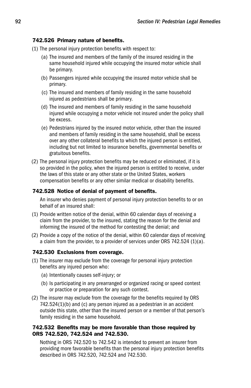### 742.526 Primary nature of benefits.

- (1) The personal injury protection benefits with respect to:
	- (a) The insured and members of the family of the insured residing in the same household injured while occupying the insured motor vehicle shall be primary.
	- (b) Passengers injured while occupying the insured motor vehicle shall be primary.
	- (c) The insured and members of family residing in the same household injured as pedestrians shall be primary.
	- (d) The insured and members of family residing in the same household injured while occupying a motor vehicle not insured under the policy shall be excess.
	- (e) Pedestrians injured by the insured motor vehicle, other than the insured and members of family residing in the same household, shall be excess over any other collateral benefits to which the injured person is entitled, including but not limited to insurance benefits, governmental benefits or gratuitous benefits.
- (2) The personal injury protection benefits may be reduced or eliminated, if it is so provided in the policy, when the injured person is entitled to receive, under the laws of this state or any other state or the United States, workers compensation benefits or any other similar medical or disability benefits.

### 742.528 Notice of denial of payment of benefits.

 An insurer who denies payment of personal injury protection benefits to or on behalf of an insured shall:

- (1) Provide written notice of the denial, within 60 calendar days of receiving a claim from the provider, to the insured, stating the reason for the denial and informing the insured of the method for contesting the denial; and
- (2) Provide a copy of the notice of the denial, within 60 calendar days of receiving a claim from the provider, to a provider of services under ORS 742.524 (1)(a).

### 742.530 Exclusions from coverage.

- (1) The insurer may exclude from the coverage for personal injury protection benefits any injured person who:
	- (a) Intentionally causes self-injury; or
	- (b) Is participating in any prearranged or organized racing or speed contest or practice or preparation for any such contest.
- (2) The insurer may exclude from the coverage for the benefits required by ORS 742.524(1)(b) and (c) any person injured as a pedestrian in an accident outside this state, other than the insured person or a member of that person's family residing in the same household.

### 742.532 Benefits may be more favorable than those required by ORS 742.520, 742.524 and 742.530.

 Nothing in ORS 742.520 to 742.542 is intended to prevent an insurer from providing more favorable benefits than the personal injury protection benefits described in ORS 742.520, 742.524 and 742.530.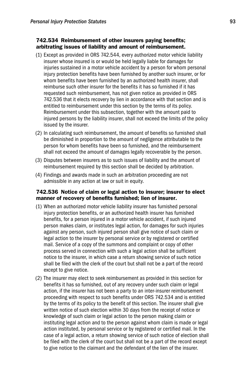#### 742.534 Reimbursement of other insurers paying benefits; arbitrating issues of liability and amount of reimbursement.

- (1) Except as provided in ORS 742.544, every authorized motor vehicle liability insurer whose insured is or would be held legally liable for damages for injuries sustained in a motor vehicle accident by a person for whom personal injury protection benefits have been furnished by another such insurer, or for whom benefits have been furnished by an authorized health insurer, shall reimburse such other insurer for the benefits it has so furnished if it has requested such reimbursement, has not given notice as provided in ORS 742.536 that it elects recovery by lien in accordance with that section and is entitled to reimbursement under this section by the terms of its policy. Reimbursement under this subsection, together with the amount paid to injured persons by the liability insurer, shall not exceed the limits of the policy issued by the insurer.
- (2) In calculating such reimbursement, the amount of benefits so furnished shall be diminished in proportion to the amount of negligence attributable to the person for whom benefits have been so furnished, and the reimbursement shall not exceed the amount of damages legally recoverable by the person.
- (3) Disputes between insurers as to such issues of liability and the amount of reimbursement required by this section shall be decided by arbitration.
- (4) Findings and awards made in such an arbitration proceeding are not admissible in any action at law or suit in equity.

#### 742.536 Notice of claim or legal action to insurer; insurer to elect manner of recovery of benefits furnished; lien of insurer.

- (1) When an authorized motor vehicle liability insurer has furnished personal injury protection benefits, or an authorized health insurer has furnished benefits, for a person injured in a motor vehicle accident, if such injured person makes claim, or institutes legal action, for damages for such injuries against any person, such injured person shall give notice of such claim or legal action to the insurer by personal service or by registered or certified mail. Service of a copy of the summons and complaint or copy of other process served in connection with such a legal action shall be sufficient notice to the insurer, in which case a return showing service of such notice shall be filed with the clerk of the court but shall not be a part of the record except to give notice.
- (2) The insurer may elect to seek reimbursement as provided in this section for benefits it has so furnished, out of any recovery under such claim or legal action, if the insurer has not been a party to an inter-insurer reimbursement proceeding with respect to such benefits under ORS 742.534 and is entitled by the terms of its policy to the benefit of this section. The insurer shall give written notice of such election within 30 days from the receipt of notice or knowledge of such claim or legal action to the person making claim or instituting legal action and to the person against whom claim is made or legal action instituted, by personal service or by registered or certified mail. In the case of a legal action, a return showing service of such notice of election shall be filed with the clerk of the court but shall not be a part of the record except to give notice to the claimant and the defendant of the lien of the insurer.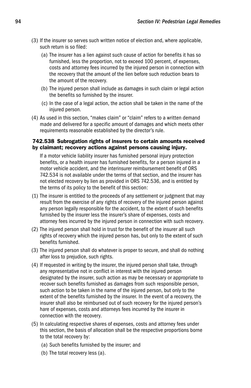- (3) If the insurer so serves such written notice of election and, where applicable, such return is so filed:
	- (a) The insurer has a lien against such cause of action for benefits it has so furnished, less the proportion, not to exceed 100 percent, of expenses, costs and attorney fees incurred by the injured person in connection with the recovery that the amount of the lien before such reduction bears to the amount of the recovery.
	- (b) The injured person shall include as damages in such claim or legal action the benefits so furnished by the insurer.
	- (c) In the case of a legal action, the action shall be taken in the name of the injured person.
- (4) As used in this section, "makes claim" or "claim" refers to a written demand made and delivered for a specific amount of damages and which meets other requirements reasonable established by the director's rule.

#### 742.538 Subrogation rights of insurers to certain amounts received by claimant; recovery actions against persons causing injury.

 If a motor vehicle liability insurer has furnished personal injury protection benefits, or a health insurer has furnished benefits, for a person injured in a motor vehicle accident, and the interinsurer reimbursement benefit of ORS 742.534 is not available under the terms of that section, and the insurer has not elected recovery by lien as provided in ORS 742.536, and is entitled by the terms of its policy to the benefit of this section:

- (1) The insurer is entitled to the proceeds of any settlement or judgment that may result from the exercise of any rights of recovery of the injured person against any person legally responsible for the accident, to the extent of such benefits furnished by the insurer less the insurer's share of expenses, costs and attorney fees incurred by the injured person in connection with such recovery.
- (2) The injured person shall hold in trust for the benefit of the insurer all such rights of recovery which the injured person has, but only to the extent of such benefits furnished.
- (3) The injured person shall do whatever is proper to secure, and shall do nothing after loss to prejudice, such rights.
- (4) If requested in writing by the insurer, the injured person shall take, through any representative not in conflict in interest with the injured person designated by the insurer, such action as may be necessary or appropriate to recover such benefits furnished as damages from such responsible person, such action to be taken in the name of the injured person, but only to the extent of the benefits furnished by the insurer. In the event of a recovery, the insurer shall also be reimbursed out of such recovery for the injured person's hare of expenses, costs and attorneys fees incurred by the insurer in connection with the recovery.
- (5) In calculating respective shares of expenses, costs and attorney fees under this section, the basis of allocation shall be the respective proportions borne to the total recovery by:
	- (a) Such benefits furnished by the insurer; and
	- (b) The total recovery less (a).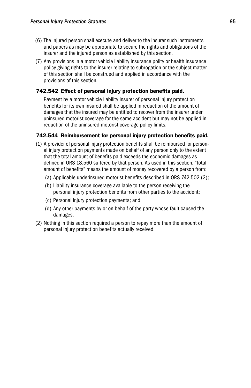- (6) The injured person shall execute and deliver to the insurer such instruments and papers as may be appropriate to secure the rights and obligations of the insurer and the injured person as established by this section.
- (7) Any provisions in a motor vehicle liability insurance polity or health insurance policy giving rights to the insurer relating to subrogation or the subject matter of this section shall be construed and applied in accordance with the provisions of this section.

### 742.542 Effect of personal injury protection benefits paid.

 Payment by a motor vehicle liability insurer of personal injury protection benefits for its own insured shall be applied in reduction of the amount of damages that the insured may be entitled to recover from the insurer under uninsured motorist coverage for the same accident but may not be applied in reduction of the uninsured motorist coverage policy limits.

### 742.544 Reimbursement for personal injury protection benefits paid.

- (1) A provider of personal injury protection benefits shall be reimbursed for personal injury protection payments made on behalf of any person only to the extent that the total amount of benefits paid exceeds the economic damages as defined in ORS 18.560 suffered by that person. As used in this section, "total amount of benefits" means the amount of money recovered by a person from:
	- (a) Applicable underinsured motorist benefits described in ORS 742.502 (2);
	- (b) Liability insurance coverage available to the person receiving the personal injury protection benefits from other parties to the accident;
	- (c) Personal injury protection payments; and
	- (d) Any other payments by or on behalf of the party whose fault caused the damages.
- (2) Nothing in this section required a person to repay more than the amount of personal injury protection benefits actually received.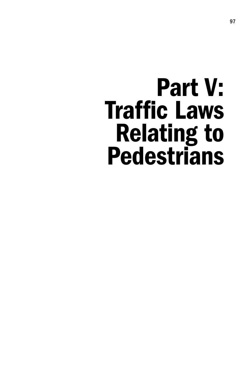# Part V: Traffic Laws Relating to **Pedestrians**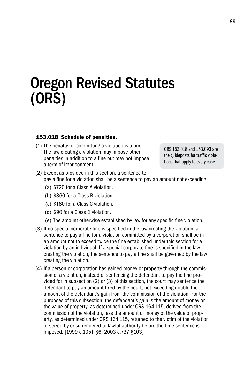# Oregon Revised Statutes (ORS)

#### 153.018 Schedule of penalties.

(1) The penalty for committing a violation is a fine. The law creating a violation may impose other penalties in addition to a fine but may not impose a term of imprisonment.

ORS 153.018 and 153.093 are the guideposts for traffic violations that apply to every case.

- (2) Except as provided in this section, a sentence to pay a fine for a violation shall be a sentence to pay an amount not exceeding:
	- (a) \$720 for a Class A violation.
	- (b) \$360 for a Class B violation.
	- (c) \$180 for a Class C violation.
	- (d) \$90 for a Class D violation.
	- (e) The amount otherwise established by law for any specific fine violation.
- (3) If no special corporate fine is specified in the law creating the violation, a sentence to pay a fine for a violation committed by a corporation shall be in an amount not to exceed twice the fine established under this section for a violation by an individual. If a special corporate fine is specified in the law creating the violation, the sentence to pay a fine shall be governed by the law creating the violation.
- (4) If a person or corporation has gained money or property through the commission of a violation, instead of sentencing the defendant to pay the fine provided for in subsection (2) or (3) of this section, the court may sentence the defendant to pay an amount fixed by the court, not exceeding double the amount of the defendant's gain from the commission of the violation. For the purposes of this subsection, the defendant's gain is the amount of money or the value of property, as determined under ORS 164.115, derived from the commission of the violation, less the amount of money or the value of property, as determined under ORS 164.115, returned to the victim of the violation or seized by or surrendered to lawful authority before the time sentence is imposed. [1999 c.1051 §6; 2003 c.737 §103]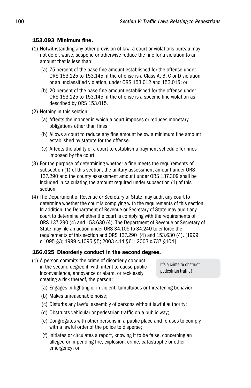### 153.093 Minimum fine.

- (1) Notwithstanding any other provision of law, a court or violations bureau may not defer, waive, suspend or otherwise reduce the fine for a violation to an amount that is less than:
	- (a) 75 percent of the base fine amount established for the offense under ORS 153.125 to 153.145, if the offense is a Class A, B, C or D violation, or an unclassified violation, under ORS 153.012 and 153.015; or
	- (b) 20 percent of the base fine amount established for the offense under ORS 153.125 to 153.145, if the offense is a specific fine violation as described by ORS 153.015.
- (2) Nothing in this section:
	- (a) Affects the manner in which a court imposes or reduces monetary obligations other than fines.
	- (b) Allows a court to reduce any fine amount below a minimum fine amount established by statute for the offense.
	- (c) Affects the ability of a court to establish a payment schedule for fines imposed by the court.
- (3) For the purpose of determining whether a fine meets the requirements of subsection (1) of this section, the unitary assessment amount under ORS 137.290 and the county assessment amount under ORS 137.309 shall be included in calculating the amount required under subsection (1) of this section.
- (4) The Department of Revenue or Secretary of State may audit any court to determine whether the court is complying with the requirements of this section. In addition, the Department of Revenue or Secretary of State may audit any court to determine whether the court is complying with the requirements of ORS 137.290 (4) and 153.630 (4). The Department of Revenue or Secretary of State may file an action under ORS 34.105 to 34.240 to enforce the requirements of this section and ORS 137.290 (4) and 153.630 (4). [1999 c.1095 §3; 1999 c.1095 §5; 2003 c.14 §61; 2003 c.737 §104]

### 166.025 Disorderly conduct in the second degree.

(1) A person commits the crime of disorderly conduct in the second degree if, with intent to cause public inconvenience, annoyance or alarm, or recklessly creating a risk thereof, the person:

It's a crime to obstruct pedestrian traffic!

- (a) Engages in fighting or in violent, tumultuous or threatening behavior;
- (b) Makes unreasonable noise;
- (c) Disturbs any lawful assembly of persons without lawful authority;
- (d) Obstructs vehicular or pedestrian traffic on a public way;
- (e) Congregates with other persons in a public place and refuses to comply with a lawful order of the police to disperse;
- (f) Initiates or circulates a report, knowing it to be false, concerning an alleged or impending fire, explosion, crime, catastrophe or other emergency; or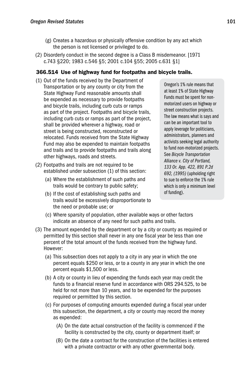- (g) Creates a hazardous or physically offensive condition by any act which the person is not licensed or privileged to do.
- (2) Disorderly conduct in the second degree is a Class B misdemeanor. [1971 c.743 §220; 1983 c.546 §5; 2001 c.104 §55; 2005 c.631 §1]

### 366.514 Use of highway fund for footpaths and bicycle trails.

- (1) Out of the funds received by the Department of Transportation or by any county or city from the State Highway Fund reasonable amounts shall be expended as necessary to provide footpaths and bicycle trails, including curb cuts or ramps as part of the project. Footpaths and bicycle trails, including curb cuts or ramps as part of the project, shall be provided wherever a highway, road or street is being constructed, reconstructed or relocated. Funds received from the State Highway Fund may also be expended to maintain footpaths and trails and to provide footpaths and trails along other highways, roads and streets.
- (2) Footpaths and trails are not required to be established under subsection (1) of this section:
	- (a) Where the establishment of such paths and trails would be contrary to public safety;
	- (b) If the cost of establishing such paths and trails would be excessively disproportionate to the need or probable use; or

Oregon's 1% rule means that at least 1% of State Highway Funds must be spent for nonmotorized users on highway or street construction projects. The law means what is says and can be an important tool to apply leverage for politicians, administrators, planners and activists seeking legal authority to fund non-motorized projects. See *Bicycle Transportation Alliance v. City of Portland, 133 Or. App. 422, 891 P.2d 692, (1995)* (upholding right to sue to enforce the 1% rule which is only a minimum level of funding).

- (c) Where sparsity of population, other available ways or other factors indicate an absence of any need for such paths and trails.
- (3) The amount expended by the department or by a city or county as required or permitted by this section shall never in any one fiscal year be less than one percent of the total amount of the funds received from the highway fund. However:
	- (a) This subsection does not apply to a city in any year in which the one percent equals \$250 or less, or to a county in any year in which the one percent equals \$1,500 or less.
	- (b) A city or county in lieu of expending the funds each year may credit the funds to a financial reserve fund in accordance with ORS 294.525, to be held for not more than 10 years, and to be expended for the purposes required or permitted by this section.
	- (c) For purposes of computing amounts expended during a fiscal year under this subsection, the department, a city or county may record the money as expended:
		- (A) On the date actual construction of the facility is commenced if the facility is constructed by the city, county or department itself; or
		- (B) On the date a contract for the construction of the facilities is entered with a private contractor or with any other governmental body.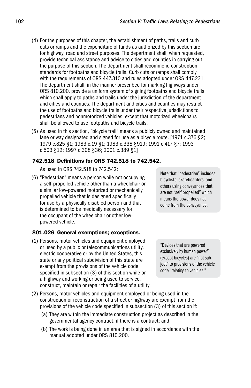- (4) For the purposes of this chapter, the establishment of paths, trails and curb cuts or ramps and the expenditure of funds as authorized by this section are for highway, road and street purposes. The department shall, when requested, provide technical assistance and advice to cities and counties in carrying out the purpose of this section. The department shall recommend construction standards for footpaths and bicycle trails. Curb cuts or ramps shall comply with the requirements of ORS 447.310 and rules adopted under ORS 447.231. The department shall, in the manner prescribed for marking highways under ORS 810.200, provide a uniform system of signing footpaths and bicycle trails which shall apply to paths and trails under the jurisdiction of the department and cities and counties. The department and cities and counties may restrict the use of footpaths and bicycle trails under their respective jurisdictions to pedestrians and nonmotorized vehicles, except that motorized wheelchairs shall be allowed to use footpaths and bicycle trails.
- (5) As used in this section, "bicycle trail" means a publicly owned and maintained lane or way designated and signed for use as a bicycle route. [1971 c.376 §2; 1979 c.825 §1; 1983 c.19 §1; 1983 c.338 §919; 1991 c.417 §7; 1993 c.503 §12; 1997 c.308 §36; 2001 c.389 §1]

### 742.518 Definitions for ORS 742.518 to 742.542.

As used in ORS 742.518 to 742.542:

(6) "Pedestrian" means a person while not occupying a self-propelled vehicle other than a wheelchair or a similar low-powered motorized or mechanically propelled vehicle that is designed specifically for use by a physically disabled person and that is determined to be medically necessary for the occupant of the wheelchair or other lowpowered vehicle.

### 801.026 General exemptions; exceptions.

- (1) Persons, motor vehicles and equipment employed or used by a public or telecommunications utility, electric cooperative or by the United States, this state or any political subdivision of this state are exempt from the provisions of the vehicle code specified in subsection (3) of this section while on a highway and working or being used to service, construct, maintain or repair the facilities of a utility.
- Note that "pedestrian" includes bicyclists, skateboarders, and others using conveyances that are not "self propelled" which means the power does not come from the conveyance.

"Devices that are powered exclusively by human power" (except bicycles) are "not subject" to provisions of the vehicle code "relating to vehicles."

- (2) Persons, motor vehicles and equipment employed or being used in the construction or reconstruction of a street or highway are exempt from the provisions of the vehicle code specified in subsection (3) of this section if:
	- (a) They are within the immediate construction project as described in the governmental agency contract, if there is a contract; and
	- (b) The work is being done in an area that is signed in accordance with the manual adopted under ORS 810.200.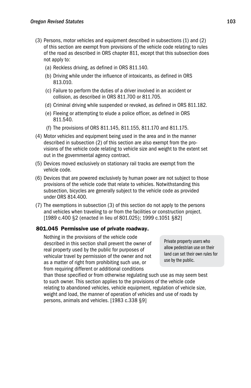- (3) Persons, motor vehicles and equipment described in subsections (1) and (2) of this section are exempt from provisions of the vehicle code relating to rules of the road as described in ORS chapter 811, except that this subsection does not apply to:
	- (a) Reckless driving, as defined in ORS 811.140.
	- (b) Driving while under the influence of intoxicants, as defined in ORS 813.010.
	- (c) Failure to perform the duties of a driver involved in an accident or collision, as described in ORS 811.700 or 811.705.
	- (d) Criminal driving while suspended or revoked, as defined in ORS 811.182.
	- (e) Fleeing or attempting to elude a police officer, as defined in ORS 811.540.
	- (f) The provisions of ORS 811.145, 811.155, 811.170 and 811.175.
- (4) Motor vehicles and equipment being used in the area and in the manner described in subsection (2) of this section are also exempt from the provisions of the vehicle code relating to vehicle size and weight to the extent set out in the governmental agency contract.
- (5) Devices moved exclusively on stationary rail tracks are exempt from the vehicle code.
- (6) Devices that are powered exclusively by human power are not subject to those provisions of the vehicle code that relate to vehicles. Notwithstanding this subsection, bicycles are generally subject to the vehicle code as provided under ORS 814.400.
- (7) The exemptions in subsection (3) of this section do not apply to the persons and vehicles when traveling to or from the facilities or construction project. [1989 c.400 §2 (enacted in lieu of 801.025); 1999 c.1051 §82]

# 801.045 Permissive use of private roadway.

 Nothing in the provisions of the vehicle code described in this section shall prevent the owner of real property used by the public for purposes of vehicular travel by permission of the owner and not as a matter of right from prohibiting such use, or from requiring different or additional conditions

Private property users who allow pedestrian use on their land can set their own rules for use by the public.

than those specified or from otherwise regulating such use as may seem best to such owner. This section applies to the provisions of the vehicle code relating to abandoned vehicles, vehicle equipment, regulation of vehicle size, weight and load, the manner of operation of vehicles and use of roads by persons, animals and vehicles. [1983 c.338 §9]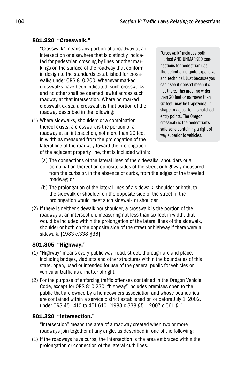#### 801.220 "Crosswalk."

 "Crosswalk" means any portion of a roadway at an intersection or elsewhere that is distinctly indicated for pedestrian crossing by lines or other markings on the surface of the roadway that conform in design to the standards established for crosswalks under ORS 810.200. Whenever marked crosswalks have been indicated, such crosswalks and no other shall be deemed lawful across such roadway at that intersection. Where no marked crosswalk exists, a crosswalk is that portion of the roadway described in the following:

(1) Where sidewalks, shoulders or a combination thereof exists, a crosswalk is the portion of a roadway at an intersection, not more than 20 feet in width as measured from the prolongation of the lateral line of the roadway toward the prolongation of the adjacent property line, that is included within:

"Crosswalk" includes both marked AND UNMARKED connections for pedestrian use. The definition is quite expansive and technical. Just because you can't see it doesn't mean it's not there. This area, no wider than 20 feet or narrower than six feet, may be trapezoidal in shape to adjust to mismatched entry points. The Oregon crosswalk is the pedestrian's safe zone containing a right of way superior to vehicles.

- (a) The connections of the lateral lines of the sidewalks, shoulders or a combination thereof on opposite sides of the street or highway measured from the curbs or, in the absence of curbs, from the edges of the traveled roadway; or
- (b) The prolongation of the lateral lines of a sidewalk, shoulder or both, to the sidewalk or shoulder on the opposite side of the street, if the prolongation would meet such sidewalk or shoulder.
- (2) If there is neither sidewalk nor shoulder, a crosswalk is the portion of the roadway at an intersection, measuring not less than six feet in width, that would be included within the prolongation of the lateral lines of the sidewalk, shoulder or both on the opposite side of the street or highway if there were a sidewalk. [1983 c.338 §36]

# 801.305 "Highway."

- (1) "Highway" means every public way, road, street, thoroughfare and place, including bridges, viaducts and other structures within the boundaries of this state, open, used or intended for use of the general public for vehicles or vehicular traffic as a matter of right.
- (2) For the purpose of enforcing traffic offenses contained in the Oregon Vehicle Code, except for ORS 810.230, "highway" includes premises open to the public that are owned by a homeowners association and whose boundaries are contained within a service district established on or before July 1, 2002, under ORS 451.410 to 451.610. [1983 c.338 §51; 2007 c.561 §1]

#### 801.320 "Intersection."

 "Intersection" means the area of a roadway created when two or more roadways join together at any angle, as described in one of the following:

(1) If the roadways have curbs, the intersection is the area embraced within the prolongation or connection of the lateral curb lines.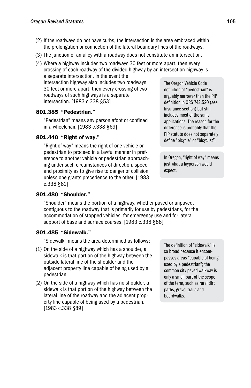- (2) If the roadways do not have curbs, the intersection is the area embraced within the prolongation or connection of the lateral boundary lines of the roadways.
- (3) The junction of an alley with a roadway does not constitute an intersection.
- (4) Where a highway includes two roadways 30 feet or more apart, then every crossing of each roadway of the divided highway by an intersection highway is a separate intersection. In the event the intersection highway also includes two roadways 30 feet or more apart, then every crossing of two roadways of such highways is a separate The Oregon Vehicle Code

intersection. [1983 c.338 §53]

# 801.385 "Pedestrian."

 "Pedestrian" means any person afoot or confined in a wheelchair. [1983 c.338 §69]

# 801.440 "Right of way."

 "Right of way" means the right of one vehicle or pedestrian to proceed in a lawful manner in preference to another vehicle or pedestrian approaching under such circumstances of direction, speed and proximity as to give rise to danger of collision unless one grants precedence to the other. [1983 c.338 §81]

# 801.480 "Shoulder."

 "Shoulder" means the portion of a highway, whether paved or unpaved, contiguous to the roadway that is primarily for use by pedestrians, for the accommodation of stopped vehicles, for emergency use and for lateral support of base and surface courses. [1983 c.338 §88]

# 801.485 "Sidewalk."

"Sidewalk" means the area determined as follows:

- (1) On the side of a highway which has a shoulder, a sidewalk is that portion of the highway between the outside lateral line of the shoulder and the adjacent property line capable of being used by a pedestrian.
- (2) On the side of a highway which has no shoulder, a sidewalk is that portion of the highway between the lateral line of the roadway and the adjacent property line capable of being used by a pedestrian. [1983 c.338 §89]

The definition of "sidewalk" is so broad because it encompasses areas "capable of being used by a pedestrian"; the common city paved walkway is only a small part of the scope of the term, such as rural dirt paths, gravel trails and boardwalks.

definition of "pedestrian" is arguably narrower than the PIP definition in ORS 742.520 (see Insurance section) but still includes most of the same applications. The reason for the difference is probably that the PIP statute does not separately define "bicycle" or "bicyclist".

In Oregon, "right of way" means just what a layperson would expect.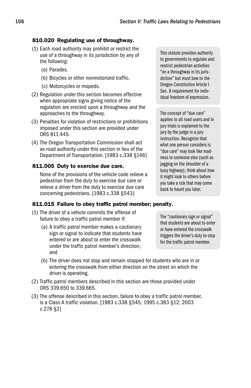### 810.020 Regulating use of throughway.

- (1) Each road authority may prohibit or restrict the use of a throughway in its jurisdiction by any of the following:
	- (a) Parades.
	- (b) Bicycles or other nonmotorized traffic.
	- (c) Motorcycles or mopeds.
- (2) Regulation under this section becomes effective when appropriate signs giving notice of the regulation are erected upon a throughway and the approaches to the throughway.
- (3) Penalties for violation of restrictions or prohibitions imposed under this section are provided under ORS 811.445.
- (4) The Oregon Transportation Commission shall act as road authority under this section in lieu of the Department of Transportation. [1983 c.338 §146]

#### 811.005 Duty to exercise due care.

 None of the provisions of the vehicle code relieve a pedestrian from the duty to exercise due care or relieve a driver from the duty to exercise due care concerning pedestrians. [1983 c.338 §543]

#### 811.015 Failure to obey traffic patrol member; penalty.

- (1) The driver of a vehicle commits the offense of failure to obey a traffic patrol member if:
	- (a) A traffic patrol member makes a cautionary sign or signal to indicate that students have entered or are about to enter the crosswalk under the traffic patrol member's direction; and

This statute provides authority to governments to regulate and restrict pedestrian activities "on a throughway in its jurisdiction" but must bow to the Oregon Constitution Article I Sec. 8 requirement for individual freedom of expression.

The concept of "due care" applies to all road users and in jury trials is explained to the jury by the judge in a jury instruction. Recognize that what one person considers is "due care" may look like madness to someone else (such as jogging on the shoulder of a busy highway); think about how it might look to others before you take a risk that may come back to haunt you later.

The "cautionary sign or signal" that students are about to enter or have entered the crosswalk triggers the driver's duty to stop for the traffic patrol member.

- (b) The driver does not stop and remain stopped for students who are in or entering the crosswalk from either direction on the street on which the driver is operating.
- (2) Traffic patrol members described in this section are those provided under ORS 339.650 to 339.665.
- (3) The offense described in this section, failure to obey a traffic patrol member, is a Class A traffic violation. [1983 c.338 §545; 1995 c.383 §12; 2003 c.278 §2]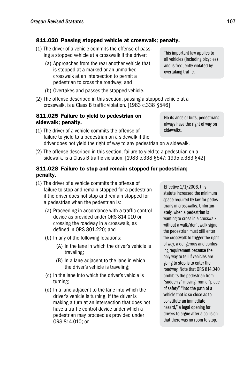# 811.020 Passing stopped vehicle at crosswalk; penalty.

- (1) The driver of a vehicle commits the offense of passing a stopped vehicle at a crosswalk if the driver:
	- (a) Approaches from the rear another vehicle that is stopped at a marked or an unmarked crosswalk at an intersection to permit a pedestrian to cross the roadway; and
	- (b) Overtakes and passes the stopped vehicle.
- (2) The offense described in this section, passing a stopped vehicle at a crosswalk, is a Class B traffic violation. [1983 c.338 §546]

#### 811.025 Failure to yield to pedestrian on sidewalk; penalty.

- (1) The driver of a vehicle commits the offense of failure to yield to a pedestrian on a sidewalk if the driver does not yield the right of way to any pedestrian on a sidewalk. sidewalks.
- (2) The offense described in this section, failure to yield to a pedestrian on a sidewalk, is a Class B traffic violation. [1983 c.338 §547; 1995 c.383 §42]

### 811.028 Failure to stop and remain stopped for pedestrian; penalty.

- (1) The driver of a vehicle commits the offense of failure to stop and remain stopped for a pedestrian if the driver does not stop and remain stopped for a pedestrian when the pedestrian is:
	- (a) Proceeding in accordance with a traffic control device as provided under ORS 814.010 or crossing the roadway in a crosswalk, as defined in ORS 801.220; and
	- (b) In any of the following locations:
		- (A) In the lane in which the driver's vehicle is traveling;
		- (B) In a lane adjacent to the lane in which the driver's vehicle is traveling;
	- (c) In the lane into which the driver's vehicle is turning;
	- (d) In a lane adjacent to the lane into which the driver's vehicle is turning, if the driver is making a turn at an intersection that does not have a traffic control device under which a pedestrian may proceed as provided under ORS 814.010; or

Effective 1/1/2006, this statute increased the minimum space required by law for pedestrians in crosswalks. Unfortunately, when a pedestrian is wanting to cross in a crosswalk without a walk/don't walk signal the pedestrian must still enter the crosswalk to trigger the right of way, a dangerous and confusing requirement because the only way to tell if vehicles are going to stop is to enter the roadway. Note that ORS 814.040 prohibits the pedestrian from "suddenly" moving from a "place of safety" "into the path of a vehicle that is so close as to constitute an immediate hazard," a legal opening for drivers to argue after a collision that there was no room to stop.

This important law applies to all vehicles (including bicycles) and is frequently violated by overtaking traffic.

No ifs ands or buts, pedestrians always have the right of way on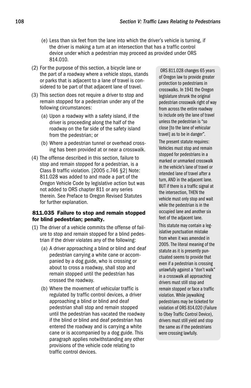- (e) Less than six feet from the lane into which the driver's vehicle is turning, if the driver is making a turn at an intersection that has a traffic control device under which a pedestrian may proceed as provided under ORS 814.010.
- (2) For the purpose of this section, a bicycle lane or the part of a roadway where a vehicle stops, stands or parks that is adjacent to a lane of travel is considered to be part of that adjacent lane of travel.
- (3) This section does not require a driver to stop and remain stopped for a pedestrian under any of the following circumstances:
	- (a) Upon a roadway with a safety island, if the driver is proceeding along the half of the roadway on the far side of the safety island from the pedestrian; or
	- (b) Where a pedestrian tunnel or overhead crossing has been provided at or near a crosswalk.
- (4) The offense described in this section, failure to stop and remain stopped for a pedestrian, is a Class B traffic violation. [2005 c.746 §2] Note: 811.028 was added to and made a part of the Oregon Vehicle Code by legislative action but was not added to ORS chapter 811 or any series therein. See Preface to Oregon Revised Statutes for further explanation.

#### 811.035 Failure to stop and remain stopped for blind pedestrian; penalty.

- (1) The driver of a vehicle commits the offense of failure to stop and remain stopped for a blind pedestrian if the driver violates any of the following:
	- (a) A driver approaching a blind or blind and deaf pedestrian carrying a white cane or accompanied by a dog guide, who is crossing or about to cross a roadway, shall stop and remain stopped until the pedestrian has crossed the roadway.
	- (b) Where the movement of vehicular traffic is regulated by traffic control devices, a driver approaching a blind or blind and deaf pedestrian shall stop and remain stopped until the pedestrian has vacated the roadway if the blind or blind and deaf pedestrian has entered the roadway and is carrying a white cane or is accompanied by a dog guide. This paragraph applies notwithstanding any other provisions of the vehicle code relating to traffic control devices.

ORS 811.028 changes 65 years of Oregon law to provide greater protection to pedestrians in crosswalks. In 1941 the Oregon legislature shrunk the original pedestrian crosswalk right of way from across the entire roadway to include only the lane of travel unless the pedestrian is "so close [to the lane of vehicular travel] as to be in danger".

The present statute requires: Vehicles must stop and remain stopped for pedestrians in a marked or unmarked crosswalk in the vehicle's lane of travel or intended lane of travel after a turn, AND in the adjacent lane. BUT if there is a traffic signal at the intersection, THEN the vehicle must only stop and wait while the pedestrian is in the occupied lane and another six feet of the adjacent lane.

This statute may contain a legislative punctuation mistake from when it was amended in 2005. The literal meaning of the statute as it is presently punctuated seems to provide that even if a pedestrian is crossing unlawfully against a "don't walk" in a crosswalk all approaching drivers must still stop and remain stopped or face a traffic violation. While jaywalking pedestrians may be ticketed for violation of ORS 814.020 (Failure to Obey Traffic Control Device), drivers must still yield and stop the same as if the pedestrians were crossing lawfully.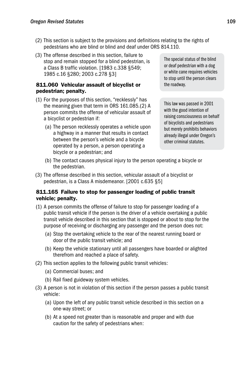- (2) This section is subject to the provisions and definitions relating to the rights of pedestrians who are blind or blind and deaf under ORS 814.110.
- (3) The offense described in this section, failure to stop and remain stopped for a blind pedestrian, is a Class B traffic violation. [1983 c.338 §549; 1985 c.16 §280; 2003 c.278 §3]

# 811.060 Vehicular assault of bicyclist or pedestrian; penalty.

- (1) For the purposes of this section, "recklessly" has the meaning given that term in ORS 161.085.(2) A person commits the offense of vehicular assault of a bicyclist or pedestrian if:
	- (a) The person recklessly operates a vehicle upon a highway in a manner that results in contact between the person's vehicle and a bicycle operated by a person, a person operating a bicycle or a pedestrian; and

The special status of the blind or deaf pedestrian with a dog or white cane requires vehicles to stop until the person clears the roadway.

This law was passed in 2001 with the good intention of raising consciousness on behalf of bicyclists and pedestrians but merely prohibits behaviors already illegal under Oregon's other criminal statutes.

- (b) The contact causes physical injury to the person operating a bicycle or the pedestrian.
- (3) The offense described in this section, vehicular assault of a bicyclist or pedestrian, is a Class A misdemeanor. [2001 c.635 §5]

# 811.165 Failure to stop for passenger loading of public transit vehicle; penalty.

- (1) A person commits the offense of failure to stop for passenger loading of a public transit vehicle if the person is the driver of a vehicle overtaking a public transit vehicle described in this section that is stopped or about to stop for the purpose of receiving or discharging any passenger and the person does not:
	- (a) Stop the overtaking vehicle to the rear of the nearest running board or door of the public transit vehicle; and
	- (b) Keep the vehicle stationary until all passengers have boarded or alighted therefrom and reached a place of safety.
- (2) This section applies to the following public transit vehicles:
	- (a) Commercial buses; and
	- (b) Rail fixed guideway system vehicles.
- (3) A person is not in violation of this section if the person passes a public transit vehicle:
	- (a) Upon the left of any public transit vehicle described in this section on a one-way street; or
	- (b) At a speed not greater than is reasonable and proper and with due caution for the safety of pedestrians when: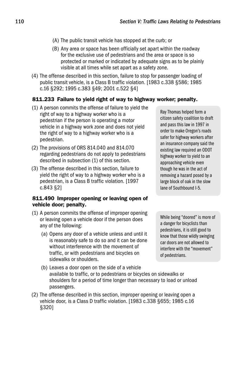- (A) The public transit vehicle has stopped at the curb; or
- (B) Any area or space has been officially set apart within the roadway for the exclusive use of pedestrians and the area or space is so protected or marked or indicated by adequate signs as to be plainly visible at all times while set apart as a safety zone.
- (4) The offense described in this section, failure to stop for passenger loading of public transit vehicle, is a Class B traffic violation. [1983 c.338 §586; 1985 c.16 §292; 1995 c.383 §49; 2001 c.522 §4]

### 811.233 Failure to yield right of way to highway worker; penalty.

- (1) A person commits the offense of failure to yield the right of way to a highway worker who is a pedestrian if the person is operating a motor vehicle in a highway work zone and does not yield the right of way to a highway worker who is a pedestrian.
- (2) The provisions of ORS 814.040 and 814.070 regarding pedestrians do not apply to pedestrians described in subsection (1) of this section.
- (3) The offense described in this section, failure to yield the right of way to a highway worker who is a pedestrian, is a Class B traffic violation. [1997 c.843 §2]

#### 811.490 Improper opening or leaving open of vehicle door; penalty.

- (1) A person commits the offense of improper opening or leaving open a vehicle door if the person does any of the following:
	- (a) Opens any door of a vehicle unless and until it is reasonably safe to do so and it can be done without interference with the movement of traffic, or with pedestrians and bicycles on sidewalks or shoulders.

Ray Thomas helped form a citizen safety coalition to draft and pass this law in 1997 in order to make Oregon's roads safer for highway workers after an insurance company said the existing law required an ODOT highway worker to yield to an approaching vehicle even though he was in the act of removing a hazard posed by a large block of oak in the slow lane of Southbound I-5.

While being "doored" is more of a danger for bicyclists than pedestrians, it is still good to know that those wildly swinging car doors are not allowed to interfere with the "movement" of pedestrians.

- (b) Leaves a door open on the side of a vehicle available to traffic, or to pedestrians or bicycles on sidewalks or shoulders for a period of time longer than necessary to load or unload passengers.
- (2) The offense described in this section, improper opening or leaving open a vehicle door, is a Class D traffic violation. [1983 c.338 §655; 1985 c.16 §320]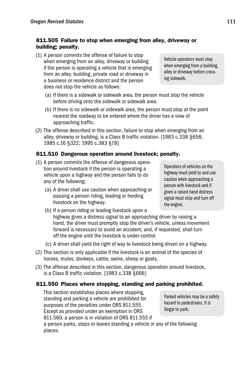# 811.505 Failure to stop when emerging from alley, driveway or building; penalty.

- (1) A person commits the offense of failure to stop when emerging from an alley, driveway or building if the person is operating a vehicle that is emerging from an alley, building, private road or driveway in a business or residence district and the person does not stop the vehicle as follows:
	- (a) If there is a sidewalk or sidewalk area, the person must stop the vehicle before driving onto the sidewalk or sidewalk area.
	- (b) If there is no sidewalk or sidewalk area, the person must stop at the point nearest the roadway to be entered where the driver has a view of approaching traffic.
- (2) The offense described in this section, failure to stop when emerging from an alley, driveway or building, is a Class B traffic violation. [1983 c.338 §658; 1985 c.16 §322; 1995 c.383 §78]

# 811.510 Dangerous operation around livestock; penalty.

- (1) A person commits the offense of dangerous operation around livestock if the person is operating a vehicle upon a highway and the person fails to do any of the following:
	- (a) A driver shall use caution when approaching or passing a person riding, leading or herding livestock on the highway.

Operators of vehicles on the highway must yield to and use caution when approaching a person with livestock and if given a raised hand distress signal must stop and turn off the engine.

- (b) If a person riding or leading livestock upon a highway gives a distress signal to an approaching driver by raising a hand, the driver must promptly stop the driver's vehicle, unless movement forward is necessary to avoid an accident, and, if requested, shall turn off the engine until the livestock is under control.
- (c) A driver shall yield the right of way to livestock being driven on a highway.
- (2) This section is only applicable if the livestock is an animal of the species of horses, mules, donkeys, cattle, swine, sheep or goats.
- (3) The offense described in this section, dangerous operation around livestock, is a Class B traffic violation. [1983 c.338 §666]

# 811.550 Places where stopping, standing and parking prohibited.

 This section establishes places where stopping, standing and parking a vehicle are prohibited for purposes of the penalties under ORS 811.555. Except as provided under an exemption in ORS 811.560, a person is in violation of ORS 811.555 if

Parked vehicles may be a safety hazard to pedestrians. It is illegal to park:

a person parks, stops or leaves standing a vehicle in any of the following places:

Vehicle operators must stop when emerging from a building, alley or driveway before crossing sidewalk.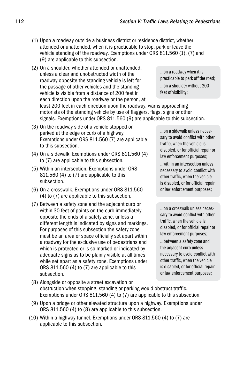- (1) Upon a roadway outside a business district or residence district, whether attended or unattended, when it is practicable to stop, park or leave the vehicle standing off the roadway. Exemptions under ORS 811.560 (1), (7) and (9) are applicable to this subsection.
- (2) On a shoulder, whether attended or unattended, unless a clear and unobstructed width of the roadway opposite the standing vehicle is left for the passage of other vehicles and the standing vehicle is visible from a distance of 200 feet in each direction upon the roadway or the person, at least 200 feet in each direction upon the roadway, warns approaching motorists of the standing vehicle by use of flaggers, flags, signs or other signals. Exemptions under ORS 811.560 (9) are applicable to this subsection. …on a shoulder without 200 feet of visibility;
- (3) On the roadway side of a vehicle stopped or parked at the edge or curb of a highway. Exemptions under ORS 811.560 (7) are applicable to this subsection.
- (4) On a sidewalk. Exemptions under ORS 811.560 (4) to (7) are applicable to this subsection.
- (5) Within an intersection. Exemptions under ORS 811.560 (4) to (7) are applicable to this subsection.
- (6) On a crosswalk. Exemptions under ORS 811.560 (4) to (7) are applicable to this subsection.
- (7) Between a safety zone and the adjacent curb or within 30 feet of points on the curb immediately opposite the ends of a safety zone, unless a different length is indicated by signs and markings. For purposes of this subsection the safety zone must be an area or space officially set apart within a roadway for the exclusive use of pedestrians and which is protected or is so marked or indicated by adequate signs as to be plainly visible at all times while set apart as a safety zone. Exemptions under ORS 811.560 (4) to (7) are applicable to this subsection.

…on a roadway when it is practicable to park off the road;

…on a sidewalk unless necessary to avoid conflict with other traffic, when the vehicle is disabled, or for official repair or law enforcement purposes;

…within an intersection unless necessary to avoid conflict with other traffic, when the vehicle is disabled, or for official repair or law enforcement purposes;

…on a crosswalk unless necessary to avoid conflict with other traffic, when the vehicle is disabled, or for official repair or law enforcement purposes;

…between a safety zone and the adjacent curb unless necessary to avoid conflict with other traffic, when the vehicle is disabled, or for official repair or law enforcement purposes;

- (8) Alongside or opposite a street excavation or obstruction when stopping, standing or parking would obstruct traffic. Exemptions under ORS 811.560 (4) to (7) are applicable to this subsection.
- (9) Upon a bridge or other elevated structure upon a highway. Exemptions under ORS 811.560 (4) to (8) are applicable to this subsection.
- (10) Within a highway tunnel. Exemptions under ORS 811.560 (4) to (7) are applicable to this subsection.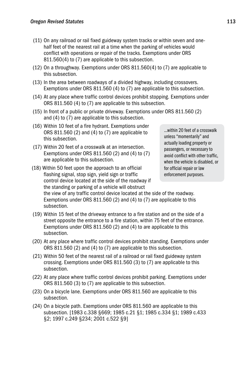- (11) On any railroad or rail fixed guideway system tracks or within seven and onehalf feet of the nearest rail at a time when the parking of vehicles would conflict with operations or repair of the tracks. Exemptions under ORS 811.560(4) to (7) are applicable to this subsection.
- (12) On a throughway. Exemptions under ORS 811.560(4) to (7) are applicable to this subsection.
- (13) In the area between roadways of a divided highway, including crossovers. Exemptions under ORS 811.560 (4) to (7) are applicable to this subsection.
- (14) At any place where traffic control devices prohibit stopping. Exemptions under ORS 811.560 (4) to (7) are applicable to this subsection.
- (15) In front of a public or private driveway. Exemptions under ORS 811.560 (2) and (4) to (7) are applicable to this subsection.
- (16) Within 10 feet of a fire hydrant. Exemptions under ORS 811.560 (2) and (4) to (7) are applicable to this subsection.
- (17) Within 20 feet of a crosswalk at an intersection. Exemptions under ORS 811.560 (2) and (4) to (7) are applicable to this subsection.
- (18) Within 50 feet upon the approach to an official flashing signal, stop sign, yield sign or traffic control device located at the side of the roadway if the standing or parking of a vehicle will obstruct the view of any traffic control device located at the side of the roadway. Exemptions under ORS 811.560 (2) and (4) to (7) are applicable to this subsection. for official repair or law enforcement purposes.
- (19) Within 15 feet of the driveway entrance to a fire station and on the side of a street opposite the entrance to a fire station, within 75 feet of the entrance. Exemptions under ORS 811.560 (2) and (4) to are applicable to this subsection.
- (20) At any place where traffic control devices prohibit standing. Exemptions under ORS 811.560 (2) and (4) to (7) are applicable to this subsection.
- (21) Within 50 feet of the nearest rail of a railroad or rail fixed guideway system crossing. Exemptions under ORS 811.560 (3) to (7) are applicable to this subsection.
- (22) At any place where traffic control devices prohibit parking. Exemptions under ORS 811.560 (3) to (7) are applicable to this subsection.
- (23) On a bicycle lane. Exemptions under ORS 811.560 are applicable to this subsection.
- (24) On a bicycle path. Exemptions under ORS 811.560 are applicable to this subsection. [1983 c.338 §669; 1985 c.21 §1; 1985 c.334 §1; 1989 c.433 §2; 1997 c.249 §234; 2001 c.522 §9]

…within 20 feet of a crosswalk unless "momentarily" and actually loading property or passengers, or necessary to avoid conflict with other traffic, when the vehicle is disabled, or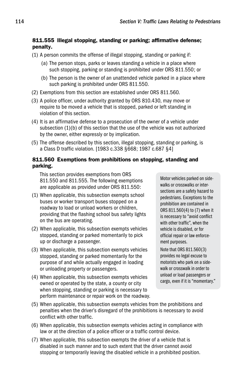#### 811.555 Illegal stopping, standing or parking; affirmative defense; penalty.

- (1) A person commits the offense of illegal stopping, standing or parking if:
	- (a) The person stops, parks or leaves standing a vehicle in a place where such stopping, parking or standing is prohibited under ORS 811.550; or
	- (b) The person is the owner of an unattended vehicle parked in a place where such parking is prohibited under ORS 811.550.
- (2) Exemptions from this section are established under ORS 811.560.
- (3) A police officer, under authority granted by ORS 810.430, may move or require to be moved a vehicle that is stopped, parked or left standing in violation of this section.
- (4) It is an affirmative defense to a prosecution of the owner of a vehicle under subsection (1)(b) of this section that the use of the vehicle was not authorized by the owner, either expressly or by implication.
- (5) The offense described by this section, illegal stopping, standing or parking, is a Class D traffic violation. [1983 c.338 §668; 1987 c.687 §4]

#### 811.560 Exemptions from prohibitions on stopping, standing and parking.

 This section provides exemptions from ORS 811.550 and 811.555. The following exemptions are applicable as provided under ORS 811.550:

- (1) When applicable, this subsection exempts school buses or worker transport buses stopped on a roadway to load or unload workers or children, providing that the flashing school bus safety lights on the bus are operating.
- (2) When applicable, this subsection exempts vehicles stopped, standing or parked momentarily to pick up or discharge a passenger.
- (3) When applicable, this subsection exempts vehicles stopped, standing or parked momentarily for the purpose of and while actually engaged in loading or unloading property or passengers.
- (4) When applicable, this subsection exempts vehicles owned or operated by the state, a county or city when stopping, standing or parking is necessary to perform maintenance or repair work on the roadway.

Motor vehicles parked on sidewalks or crosswalks or intersections are a safety hazard to pedestrians. Exceptions to the prohibition are contained in ORS 811.560(4) to (7) when it is necessary to "avoid conflict with other traffic", when the vehicle is disabled, or for official repair or law enforcement purposes.

Note that ORS 811.560(3) provides no legal excuse to motorists who park on a sidewalk or crosswalk in order to unload or load passengers or cargo, even if it is "momentary."

- (5) When applicable, this subsection exempts vehicles from the prohibitions and penalties when the driver's disregard of the prohibitions is necessary to avoid conflict with other traffic.
- (6) When applicable, this subsection exempts vehicles acting in compliance with law or at the direction of a police officer or a traffic control device.
- (7) When applicable, this subsection exempts the driver of a vehicle that is disabled in such manner and to such extent that the driver cannot avoid stopping or temporarily leaving the disabled vehicle in a prohibited position.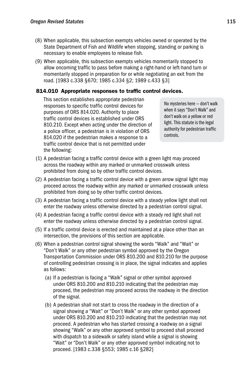- (8) When applicable, this subsection exempts vehicles owned or operated by the State Department of Fish and Wildlife when stopping, standing or parking is necessary to enable employees to release fish.
- (9) When applicable, this subsection exempts vehicles momentarily stopped to allow oncoming traffic to pass before making a right-hand or left-hand turn or momentarily stopped in preparation for or while negotiating an exit from the road. [1983 c.338 §670; 1985 c.334 §2; 1989 c.433 §3]

# 814.010 Appropriate responses to traffic control devices.

 This section establishes appropriate pedestrian responses to specific traffic control devices for purposes of ORS 814.020. Authority to place traffic control devices is established under ORS 810.210. Except when acting under the direction of a police officer, a pedestrian is in violation of ORS 814.020 if the pedestrian makes a response to a traffic control device that is not permitted under the following:

No mysteries here — don't walk when it says "Don't Walk" and don't walk on a yellow or red light. This statute is the legal authority for pedestrian traffic controls.

- (1) A pedestrian facing a traffic control device with a green light may proceed across the roadway within any marked or unmarked crosswalk unless prohibited from doing so by other traffic control devices.
- (2) A pedestrian facing a traffic control device with a green arrow signal light may proceed across the roadway within any marked or unmarked crosswalk unless prohibited from doing so by other traffic control devices.
- (3) A pedestrian facing a traffic control device with a steady yellow light shall not enter the roadway unless otherwise directed by a pedestrian control signal.
- (4) A pedestrian facing a traffic control device with a steady red light shall not enter the roadway unless otherwise directed by a pedestrian control signal.
- (5) If a traffic control device is erected and maintained at a place other than an intersection, the provisions of this section are applicable.
- (6) When a pedestrian control signal showing the words "Walk" and "Wait" or "Don't Walk" or any other pedestrian symbol approved by the Oregon Transportation Commission under ORS 810.200 and 810.210 for the purpose of controlling pedestrian crossing is in place, the signal indicates and applies as follows:
	- (a) If a pedestrian is facing a "Walk" signal or other symbol approved under ORS 810.200 and 810.210 indicating that the pedestrian may proceed, the pedestrian may proceed across the roadway in the direction of the signal.
	- (b) A pedestrian shall not start to cross the roadway in the direction of a signal showing a "Wait" or "Don't Walk" or any other symbol approved under ORS 810.200 and 810.210 indicating that the pedestrian may not proceed. A pedestrian who has started crossing a roadway on a signal showing "Walk" or any other approved symbol to proceed shall proceed with dispatch to a sidewalk or safety island while a signal is showing "Wait" or "Don't Walk" or any other approved symbol indicating not to proceed. [1983 c.338 §553; 1985 c.16 §282]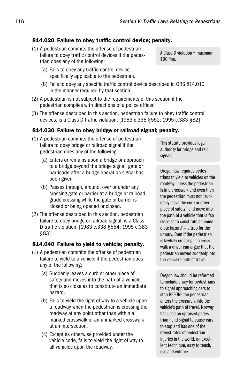# 814.020 Failure to obey traffic control device; penalty.

- (1) A pedestrian commits the offense of pedestrian failure to obey traffic control devices if the pedestrian does any of the following:
	- (a) Fails to obey any traffic control device specifically applicable to the pedestrian.
	- (b) Fails to obey any specific traffic control device described in ORS 814.010 in the manner required by that section.
- (2) A pedestrian is not subject to the requirements of this section if the pedestrian complies with directions of a police officer.
- (3) The offense described in this section, pedestrian failure to obey traffic control devices, is a Class D traffic violation. [1983 c.338 §552; 1995 c.383 §82]

#### 814.030 Failure to obey bridge or railroad signal; penalty.

- (1) A pedestrian commits the offense of pedestrian failure to obey bridge or railroad signal if the pedestrian does any of the following:
	- (a) Enters or remains upon a bridge or approach to a bridge beyond the bridge signal, gate or barricade after a bridge operation signal has been given.
	- (b) Passes through, around, over or under any crossing gate or barrier at a bridge or railroad grade crossing while the gate or barrier is closed or being opened or closed.
- (2) The offense described in this section, pedestrian failure to obey bridge or railroad signal, is a Class D traffic violation. [1983 c.338 §554; 1995 c.383 §83]

#### 814.040 Failure to yield to vehicle; penalty.

- (1) A pedestrian commits the offense of pedestrian failure to yield to a vehicle if the pedestrian does any of the following:
	- (a) Suddenly leaves a curb or other place of safety and moves into the path of a vehicle that is so close as to constitute an immediate hazard.
	- (b) Fails to yield the right of way to a vehicle upon a roadway when the pedestrian is crossing the roadway at any point other than within a marked crosswalk or an unmarked crosswalk at an intersection.
	- (c) Except as otherwise provided under the vehicle code, fails to yield the right of way to all vehicles upon the roadway.

A Class D violation = maximum \$90 fine.

This statute provides legal authority for bridge and rail signals.

Oregon law requires pedestrians to yield to vehicles on the roadway unless the pedestrian is in a crosswalk and even then the pedestrian must not "suddenly leave the curb or other place of safety" and move into the path of a vehicle that is "so close as to constitute an immediate hazard"— a trap for the unwary. Even if the pedestrian is lawfully crossing in a crosswalk a driver can argue that the pedestrian moved suddenly into the vehicle's path of travel.

Oregon law should be reformed to include a way for pedestrians to signal approaching cars to stop BEFORE the pedestrian enters the crosswalk into the vehicle's path of travel. Norway has used an upraised pedestrian hand signal to cause cars to stop and has one of the lowest rates of pedestrian injuries in the world, an excellent technique, easy to teach, use and enforce.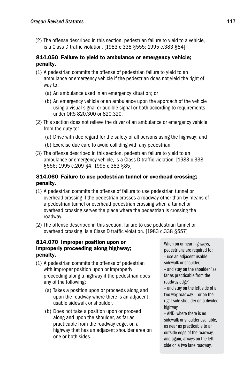(2) The offense described in this section, pedestrian failure to yield to a vehicle, is a Class D traffic violation. [1983 c.338 §555; 1995 c.383 §84]

# 814.050 Failure to yield to ambulance or emergency vehicle; penalty.

- (1) A pedestrian commits the offense of pedestrian failure to yield to an ambulance or emergency vehicle if the pedestrian does not yield the right of way to:
	- (a) An ambulance used in an emergency situation; or
	- (b) An emergency vehicle or an ambulance upon the approach of the vehicle using a visual signal or audible signal or both according to requirements under ORS 820.300 or 820.320.
- (2) This section does not relieve the driver of an ambulance or emergency vehicle from the duty to:
	- (a) Drive with due regard for the safety of all persons using the highway; and
	- (b) Exercise due care to avoid colliding with any pedestrian.
- (3) The offense described in this section, pedestrian failure to yield to an ambulance or emergency vehicle, is a Class D traffic violation. [1983 c.338 §556; 1995 c.209 §4; 1995 c.383 §85]

# 814.060 Failure to use pedestrian tunnel or overhead crossing; penalty.

- (1) A pedestrian commits the offense of failure to use pedestrian tunnel or overhead crossing if the pedestrian crosses a roadway other than by means of a pedestrian tunnel or overhead pedestrian crossing when a tunnel or overhead crossing serves the place where the pedestrian is crossing the roadway.
- (2) The offense described in this section, failure to use pedestrian tunnel or overhead crossing, is a Class D traffic violation. [1983 c.338 §557]

# 814.070 Improper position upon or improperly proceeding along highway; penalty.

- (1) A pedestrian commits the offense of pedestrian with improper position upon or improperly proceeding along a highway if the pedestrian does any of the following:
	- (a) Takes a position upon or proceeds along and upon the roadway where there is an adjacent usable sidewalk or shoulder.
	- (b) Does not take a position upon or proceed along and upon the shoulder, as far as practicable from the roadway edge, on a highway that has an adjacent shoulder area on one or both sides.

When on or near highways, pedestrians are required to: – use an adjacent usable sidewalk or shoulder,

– and stay on the shoulder "as far as practicable from the roadway edge"

– and stay on the left side of a two way roadway — or on the right side shoulder on a divided highway

– AND, where there is no sidewalk or shoulder available, as near as practicable to an outside edge of the roadway, and again, always on the left side on a two lane roadway.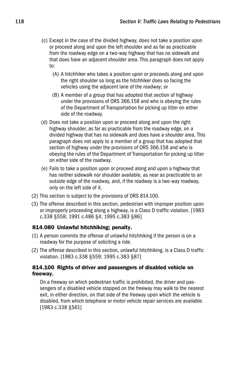- (c) Except in the case of the divided highway, does not take a position upon or proceed along and upon the left shoulder and as far as practicable from the roadway edge on a two-way highway that has no sidewalk and that does have an adjacent shoulder area. This paragraph does not apply to:
	- (A) A hitchhiker who takes a position upon or proceeds along and upon the right shoulder so long as the hitchhiker does so facing the vehicles using the adjacent lane of the roadway; or
	- (B) A member of a group that has adopted that section of highway under the provisions of ORS 366.158 and who is obeying the rules of the Department of Transportation for picking up litter on either side of the roadway.
- (d) Does not take a position upon or proceed along and upon the right highway shoulder, as far as practicable from the roadway edge, on a divided highway that has no sidewalk and does have a shoulder area. This paragraph does not apply to a member of a group that has adopted that section of highway under the provisions of ORS 366.158 and who is obeying the rules of the Department of Transportation for picking up litter on either side of the roadway.
- (e) Fails to take a position upon or proceed along and upon a highway that has neither sidewalk nor shoulder available, as near as practicable to an outside edge of the roadway, and, if the roadway is a two-way roadway, only on the left side of it.
- (2) This section is subject to the provisions of ORS 814.100.
- (3) The offense described in this section, pedestrian with improper position upon or improperly proceeding along a highway, is a Class D traffic violation. [1983 c.338 §558; 1991 c.486 §4; 1995 c.383 §86]

# 814.080 Unlawful hitchhiking; penalty.

- (1) A person commits the offense of unlawful hitchhiking if the person is on a roadway for the purpose of soliciting a ride.
- (2) The offense described in this section, unlawful hitchhiking, is a Class D traffic violation. [1983 c.338 §559; 1995 c.383 §87]

# 814.100 Rights of driver and passengers of disabled vehicle on freeway.

 On a freeway on which pedestrian traffic is prohibited, the driver and passengers of a disabled vehicle stopped on the freeway may walk to the nearest exit, in either direction, on that side of the freeway upon which the vehicle is disabled, from which telephone or motor vehicle repair services are available. [1983 c.338 §561]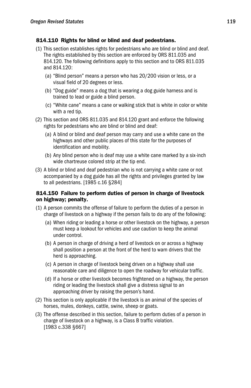# 814.110 Rights for blind or blind and deaf pedestrians.

- (1) This section establishes rights for pedestrians who are blind or blind and deaf. The rights established by this section are enforced by ORS 811.035 and 814.120. The following definitions apply to this section and to ORS 811.035 and 814.120:
	- (a) "Blind person" means a person who has 20/200 vision or less, or a visual field of 20 degrees or less.
	- (b) "Dog guide" means a dog that is wearing a dog guide harness and is trained to lead or guide a blind person.
	- (c) "White cane" means a cane or walking stick that is white in color or white with a red tip.
- (2) This section and ORS 811.035 and 814.120 grant and enforce the following rights for pedestrians who are blind or blind and deaf:
	- (a) A blind or blind and deaf person may carry and use a white cane on the highways and other public places of this state for the purposes of identification and mobility.
	- (b) Any blind person who is deaf may use a white cane marked by a six-inch wide chartreuse colored strip at the tip end.
- (3) A blind or blind and deaf pedestrian who is not carrying a white cane or not accompanied by a dog guide has all the rights and privileges granted by law to all pedestrians. [1985 c.16 §284]

# 814.150 Failure to perform duties of person in charge of livestock on highway; penalty.

- (1) A person commits the offense of failure to perform the duties of a person in charge of livestock on a highway if the person fails to do any of the following:
	- (a) When riding or leading a horse or other livestock on the highway, a person must keep a lookout for vehicles and use caution to keep the animal under control.
	- (b) A person in charge of driving a herd of livestock on or across a highway shall position a person at the front of the herd to warn drivers that the herd is approaching.
	- (c) A person in charge of livestock being driven on a highway shall use reasonable care and diligence to open the roadway for vehicular traffic.
	- (d) If a horse or other livestock becomes frightened on a highway, the person riding or leading the livestock shall give a distress signal to an approaching driver by raising the person's hand.
- (2) This section is only applicable if the livestock is an animal of the species of horses, mules, donkeys, cattle, swine, sheep or goats.
- (3) The offense described in this section, failure to perform duties of a person in charge of livestock on a highway, is a Class B traffic violation. [1983 c.338 §667]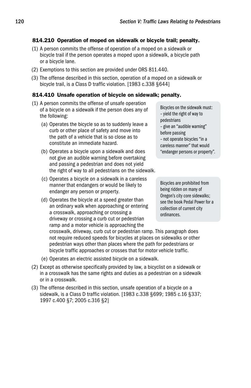# 814.210 Operation of moped on sidewalk or bicycle trail; penalty.

- (1) A person commits the offense of operation of a moped on a sidewalk or bicycle trail if the person operates a moped upon a sidewalk, a bicycle path or a bicycle lane.
- (2) Exemptions to this section are provided under ORS 811.440.
- (3) The offense described in this section, operation of a moped on a sidewalk or bicycle trail, is a Class D traffic violation. [1983 c.338 §644]

# 814.410 Unsafe operation of bicycle on sidewalk; penalty.

- (1) A person commits the offense of unsafe operation of a bicycle on a sidewalk if the person does any of the following:
	- (a) Operates the bicycle so as to suddenly leave a curb or other place of safety and move into the path of a vehicle that is so close as to constitute an immediate hazard.
	- (b) Operates a bicycle upon a sidewalk and does not give an audible warning before overtaking and passing a pedestrian and does not yield the right of way to all pedestrians on the sidewalk.
	- (c) Operates a bicycle on a sidewalk in a careless manner that endangers or would be likely to endanger any person or property.
	- (d) Operates the bicycle at a speed greater than an ordinary walk when approaching or entering a crosswalk, approaching or crossing a driveway or crossing a curb cut or pedestrian ramp and a motor vehicle is approaching the

Bicycles on the sidewalk must: – yield the right of way to pedestrians – give an "audible warning" before passing – not operate bicycles "in a careless manner" that would "endanger persons or property".

Bicycles are prohibited from being ridden on many of Oregon's city core sidewalks; see the book Pedal Power for a collection of current city ordinances.

crosswalk, driveway, curb cut or pedestrian ramp. This paragraph does not require reduced speeds for bicycles at places on sidewalks or other pedestrian ways other than places where the path for pedestrians or bicycle traffic approaches or crosses that for motor vehicle traffic.

- (e) Operates an electric assisted bicycle on a sidewalk.
- (2) Except as otherwise specifically provided by law, a bicyclist on a sidewalk or in a crosswalk has the same rights and duties as a pedestrian on a sidewalk or in a crosswalk.
- (3) The offense described in this section, unsafe operation of a bicycle on a sidewalk, is a Class D traffic violation. [1983 c.338 §699; 1985 c.16 §337; 1997 c.400 §7; 2005 c.316 §2]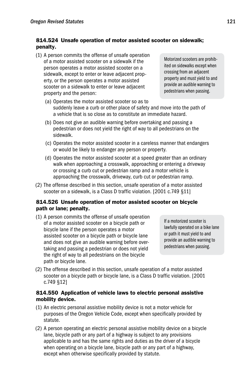# 814.524 Unsafe operation of motor assisted scooter on sidewalk; penalty.

(1) A person commits the offense of unsafe operation of a motor assisted scooter on a sidewalk if the person operates a motor assisted scooter on a sidewalk, except to enter or leave adjacent property, or the person operates a motor assisted scooter on a sidewalk to enter or leave adjacent property and the person:

Motorized scooters are prohibited on sidewalks except when crossing from an adjacent property and must yield to and provide an audible warning to pedestrians when passing.

- (a) Operates the motor assisted scooter so as to suddenly leave a curb or other place of safety and move into the path of a vehicle that is so close as to constitute an immediate hazard.
- (b) Does not give an audible warning before overtaking and passing a pedestrian or does not yield the right of way to all pedestrians on the sidewalk.
- (c) Operates the motor assisted scooter in a careless manner that endangers or would be likely to endanger any person or property.
- (d) Operates the motor assisted scooter at a speed greater than an ordinary walk when approaching a crosswalk, approaching or entering a driveway or crossing a curb cut or pedestrian ramp and a motor vehicle is approaching the crosswalk, driveway, curb cut or pedestrian ramp.
- (2) The offense described in this section, unsafe operation of a motor assisted scooter on a sidewalk, is a Class D traffic violation. [2001 c.749 §11]

# 814.526 Unsafe operation of motor assisted scooter on bicycle path or lane; penalty.

(1) A person commits the offense of unsafe operation of a motor assisted scooter on a bicycle path or bicycle lane if the person operates a motor assisted scooter on a bicycle path or bicycle lane and does not give an audible warning before overtaking and passing a pedestrian or does not yield the right of way to all pedestrians on the bicycle path or bicycle lane.

If a motorized scooter is lawfully operated on a bike lane or path it must yield to and provide an audible warning to pedestrians when passing.

(2) The offense described in this section, unsafe operation of a motor assisted scooter on a bicycle path or bicycle lane, is a Class D traffic violation. [2001 c.749 §12]

#### 814.550 Application of vehicle laws to electric personal assistive mobility device.

- (1) An electric personal assistive mobility device is not a motor vehicle for purposes of the Oregon Vehicle Code, except when specifically provided by statute.
- (2) A person operating an electric personal assistive mobility device on a bicycle lane, bicycle path or any part of a highway is subject to any provisions applicable to and has the same rights and duties as the driver of a bicycle when operating on a bicycle lane, bicycle path or any part of a highway, except when otherwise specifically provided by statute.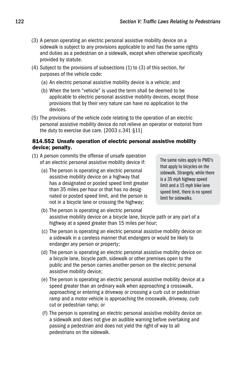- (3) A person operating an electric personal assistive mobility device on a sidewalk is subject to any provisions applicable to and has the same rights and duties as a pedestrian on a sidewalk, except when otherwise specifically provided by statute.
- (4) Subject to the provisions of subsections (1) to (3) of this section, for purposes of the vehicle code:
	- (a) An electric personal assistive mobility device is a vehicle; and
	- (b) When the term "vehicle" is used the term shall be deemed to be applicable to electric personal assistive mobility devices, except those provisions that by their very nature can have no application to the devices.
- (5) The provisions of the vehicle code relating to the operation of an electric personal assistive mobility device do not relieve an operator or motorist from the duty to exercise due care. [2003 c.341 §11]

#### 814.552 Unsafe operation of electric personal assistive mobility device; penalty.

- (1) A person commits the offense of unsafe operation of an electric personal assistive mobility device if:
	- (a) The person is operating an electric personal assistive mobility device on a highway that has a designated or posted speed limit greater than 35 miles per hour or that has no designated or posted speed limit, and the person is not in a bicycle lane or crossing the highway;

The same rules apply to PMD's that apply to bicycles on the sidewalk. Strangely, while there is a 35 mph highway speed limit and a 15 mph bike lane speed limit, there is no speed limit for sidewalks.

- (b) The person is operating an electric personal assistive mobility device on a bicycle lane, bicycle path or any part of a highway at a speed greater than 15 miles per hour;
- (c) The person is operating an electric personal assistive mobility device on a sidewalk in a careless manner that endangers or would be likely to endanger any person or property;
- (d) The person is operating an electric personal assistive mobility device on a bicycle lane, bicycle path, sidewalk or other premises open to the public and the person carries another person on the electric personal assistive mobility device;
- (e) The person is operating an electric personal assistive mobility device at a speed greater than an ordinary walk when approaching a crosswalk, approaching or entering a driveway or crossing a curb cut or pedestrian ramp and a motor vehicle is approaching the crosswalk, driveway, curb cut or pedestrian ramp; or
- (f) The person is operating an electric personal assistive mobility device on a sidewalk and does not give an audible warning before overtaking and passing a pedestrian and does not yield the right of way to all pedestrians on the sidewalk.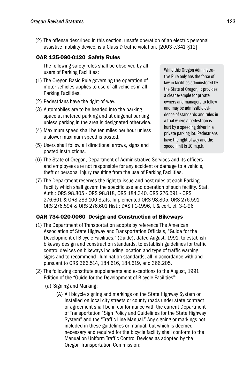(2) The offense described in this section, unsafe operation of an electric personal assistive mobility device, is a Class D traffic violation. [2003 c.341 §12]

# OAR 125-090-0120 Safety Rules

 The following safety rules shall be observed by all users of Parking Facilities:

- (1) The Oregon Basic Rule governing the operation of motor vehicles applies to use of all vehicles in all Parking Facilities.
- (2) Pedestrians have the right-of-way.
- (3) Automobiles are to be headed into the parking space at metered parking and at diagonal parking unless parking in the area is designated otherwise.
- (4) Maximum speed shall be ten miles per hour unless a slower maximum speed is posted.
- (5) Users shall follow all directional arrows, signs and posted instructions.

While this Oregon Administrative Rule only has the force of law in facilities administered by the State of Oregon, it provides a clear example for private owners and managers to follow and may be admissible evidence of standards and rules in a trial where a pedestrian is hurt by a speeding driver in a private parking lot. Pedestrians have the right of way and the speed limit is 10 m.p.h.

- (6) The State of Oregon, Department of Administrative Services and its officers and employees are not responsible for any accident or damage to a vehicle, theft or personal injury resulting from the use of Parking Facilities.
- (7) The Department reserves the right to issue and post rules at each Parking Facility which shall govern the specific use and operation of such facility. Stat. Auth.: ORS 98.805 - ORS 98.818, ORS 184.340, ORS 276.591 - ORS 276.601 & ORS 283.100 Stats. Implemented ORS 98.805, ORS 276.591, ORS 276.594 & ORS 276.601 Hist.: DASII 1-1996, f. & cert. ef. 3-1-96

# OAR 734-020-0060 Design and Construction of Bikeways

- (1) The Department of Transportation adopts by reference The American Association of State Highway and Transportation Officials, "Guide for the Development of Bicycle Facilities," (Guide), dated August, 1991, to establish bikeway design and construction standards, to establish guidelines for traffic control devices on bikeways including location and type of traffic warning signs and to recommend illumination standards, all in accordance with and pursuant to ORS 366.514, 184.616, 184.619, and 366.205.
- (2) The following constitute supplements and exceptions to the August, 1991 Edition of the "Guide for the Development of Bicycle Facilities":
	- (a) Signing and Marking:
		- (A) All bicycle signing and markings on the State Highway System or installed on local city streets or county roads under state contract or agreement shall be in conformance with the current Department of Transportation "Sign Policy and Guidelines for the State Highway System" and the "Traffic Line Manual." Any signing or markings not included in these guidelines or manual, but which is deemed necessary and required for the bicycle facility shall conform to the Manual on Uniform Traffic Control Devices as adopted by the Oregon Transportation Commission;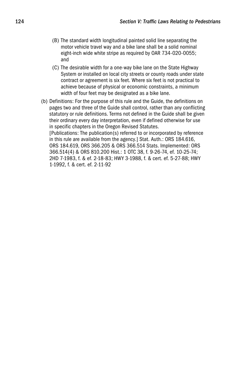- (B) The standard width longitudinal painted solid line separating the motor vehicle travel way and a bike lane shall be a solid nominal eight-inch wide white stripe as required by OAR 734-020-0055; and
- (C) The desirable width for a one-way bike lane on the State Highway System or installed on local city streets or county roads under state contract or agreement is six feet. Where six feet is not practical to achieve because of physical or economic constraints, a minimum width of four feet may be designated as a bike lane.
- (b) Definitions: For the purpose of this rule and the Guide, the definitions on pages two and three of the Guide shall control, rather than any conflicting statutory or rule definitions. Terms not defined in the Guide shall be given their ordinary every day interpretation, even if defined otherwise for use in specific chapters in the Oregon Revised Statutes. [Publications: The publication(s) referred to or incorporated by reference in this rule are available from the agency.] Stat. Auth.: ORS 184.616, ORS 184.619, ORS 366.205 & ORS 366.514 Stats. Implemented: ORS 366.514(4) & ORS 810.200 Hist.: 1 OTC 38, f. 9-26-74, ef. 10-25-74; 2HD 7-1983, f. & ef. 2-18-83; HWY 3-1988, f. & cert. ef. 5-27-88; HWY 1-1992, f. & cert. ef. 2-11-92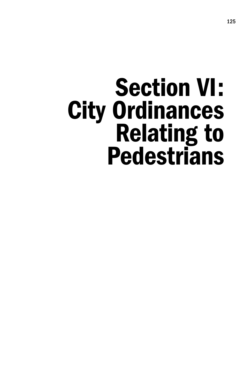# Section VI: City Ordinances Relating to **Pedestrians**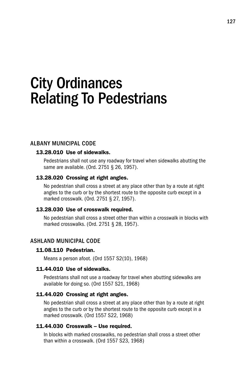# City Ordinances Relating To Pedestrians

# Albany Municipal Code

#### 13.28.010 Use of sidewalks.

 Pedestrians shall not use any roadway for travel when sidewalks abutting the same are available. (Ord. 2751 § 26, 1957).

#### 13.28.020 Crossing at right angles.

 No pedestrian shall cross a street at any place other than by a route at right angles to the curb or by the shortest route to the opposite curb except in a marked crosswalk. (Ord. 2751 § 27, 1957).

#### 13.28.030 Use of crosswalk required.

 No pedestrian shall cross a street other than within a crosswalk in blocks with marked crosswalks. (Ord. 2751 § 28, 1957).

# Ashland Municipal Code

# 11.08.110 Pedestrian.

Means a person afoot. (Ord 1557 S2(10), 1968)

#### 11.44.010 Use of sidewalks.

 Pedestrians shall not use a roadway for travel when abutting sidewalks are available for doing so. (Ord 1557 S21, 1968)

#### 11.44.020 Crossing at right angles.

 No pedestrian shall cross a street at any place other than by a route at right angles to the curb or by the shortest route to the opposite curb except in a marked crosswalk. (Ord 1557 S22, 1968)

#### 11.44.030 Crosswalk – Use required.

 In blocks with marked crosswalks, no pedestrian shall cross a street other than within a crosswalk. (Ord 1557 S23, 1968)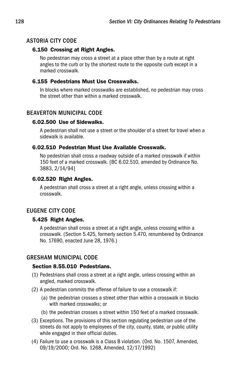# Astoria City Code

# 6.150 Crossing at Right Angles.

 No pedestrian may cross a street at a place other than by a route at right angles to the curb or by the shortest route to the opposite curb except in a marked crosswalk.

# 6.155 Pedestrians Must Use Crosswalks.

 In blocks where marked crosswalks are established, no pedestrian may cross the street other than within a marked crosswalk.

# Beaverton Municipal Code

# 6.02.500 Use of Sidewalks.

 A pedestrian shall not use a street or the shoulder of a street for travel when a sidewalk is available.

# 6.02.510 Pedestrian Must Use Available Crosswalk.

 No pedestrian shall cross a roadway outside of a marked crosswalk if within 150 feet of a marked crosswalk. [BC 6.02.510, amended by Ordinance No. 3883, 2/14/94]

# 6.02.520 Right Angles.

 A pedestrian shall cross a street at a right angle, unless crossing within a crosswalk.

# Eugene City Code

# 5.425 Right Angles.

 A pedestrian shall cross a street at a right angle, unless crossing within a crosswalk. (Section 5.425, formerly section 5.470, renumbered by Ordinance No. 17690, enacted June 28, 1976.)

# Gresham Municipal Code

# Section 8.55.010 Pedestrians.

- (1) Pedestrians shall cross a street at a right angle, unless crossing within an angled, marked crosswalk.
- (2) A pedestrian commits the offense of failure to use a crosswalk if:
	- (a) the pedestrian crosses a street other than within a crosswalk in blocks with marked crosswalks; or
	- (b) the pedestrian crosses a street within 150 feet of a marked crosswalk.
- (3) Exceptions. The provisions of this section regulating pedestrian use of the streets do not apply to employees of the city, county, state, or public utility while engaged in their official duties.
- (4) Failure to use a crosswalk is a Class B violation. (Ord. No. 1507, Amended, 09/19/2000; Ord. No. 1268, Amended, 12/17/1992)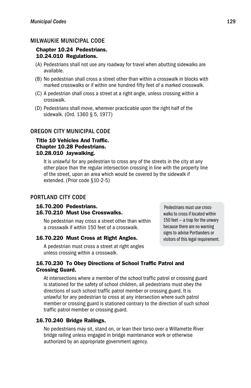# Milwaukie Municipal Code

#### Chapter 10.24 Pedestrians. 10.24.010 Regulations.

- (A) Pedestrians shall not use any roadway for travel when abutting sidewalks are available.
- (B) No pedestrian shall cross a street other than within a crosswalk in blocks with marked crosswalks or if within one hundred fifty feet of a marked crosswalk.
- (C) A pedestrian shall cross a street at a right angle, unless crossing within a crosswalk.
- (D) Pedestrians shall move, wherever practicable upon the right half of the sidewalk. (Ord. 1360 § 5, 1977)

# Oregon City Municipal Code

# Title 10 Vehicles And Traffic. Chapter 10.28 Pedestrians. 10.28.010 Jaywalking.

 It is unlawful for any pedestrian to cross any of the streets in the city at any other place than the regular intersection crossing in line with the property line of the street, upon an area which would be covered by the sidewalk if extended. (Prior code §10-2-5)

# Portland City Code

#### 16.70.200 Pedestrians. 16.70.210 Must Use Crosswalks.

 No pedestrian may cross a street other than within a crosswalk if within 150 feet of a crosswalk.

#### 16.70.220 Must Cross at Right Angles.

 A pedestrian must cross a street at right angles unless crossing within a crosswalk.

Pedestrians must use crosswalks to cross if located within 150 feet — a trap for the unwary because there are no warning signs to advise Portlanders or visitors of this legal requirement.

#### 16.70.230 To Obey Directions of School Traffic Patrol and Crossing Guard.

 At intersections where a member of the school traffic patrol or crossing guard is stationed for the safety of school children, all pedestrians must obey the directions of such school traffic patrol member or crossing guard. It is unlawful for any pedestrian to cross at any intersection where such patrol member or crossing guard is stationed contrary to the direction of such school traffic patrol member or crossing guard.

# 16.70.240 Bridge Railings.

 No pedestrians may sit, stand on, or lean their torso over a Willamette River bridge railing unless engaged in bridge maintenance work or otherwise authorized by an appropriate government agency.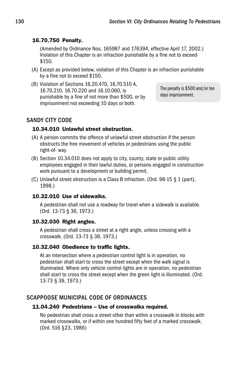# 16.70.750 Penalty.

 (Amended by Ordinance Nos. 165987 and 176394, effective April 17, 2002.) Violation of this Chapter is an infraction punishable by a fine not to exceed \$150.

- (A) Except as provided below, violation of this Chapter is an infraction punishable by a fine not to exceed \$150.
- (B) Violation of Sections 16.20.470, 16.70.510 A, 16.70.210, 16.70.220 and 16.10.060, is punishable by a fine of not more than \$500, or by imprisonment not exceeding 10 days or both.

The penalty is \$500 and/or ten days imprisonment.

# Sandy City Code

# 10.34.010 Unlawful street obstruction.

- (A) A person commits the offence of unlawful street obstruction if the person obstructs the free movement of vehicles or pedestrians using the public right-of- way.
- (B) Section 10.34.010 does not apply to city, county, state or public utility employees engaged in their lawful duties, or persons engaged in construction work pursuant to a development or building permit.
- (C) Unlawful street obstruction is a Class B infraction. (Ord. 98-15 § 1 (part), 1998.)

# 10.32.010 Use of sidewalks.

 A pedestrian shall not use a roadway for travel when a sidewalk is available. (Ord. 13-73 § 36, 1973.)

# 10.32.030 Right angles.

 A pedestrian shall cross a street at a right angle, unless crossing with a crosswalk. (Ord. 13-73 § 38, 1973.)

# 10.32.040 Obedience to traffic lights.

 At an intersection where a pedestrian control light is in operation, no pedestrian shall start to cross the street except when the walk signal is illuminated. Where only vehicle control lights are in operation, no pedestrian shall start to cross the street except when the green light is illuminated. (Ord. 13-73 § 39, 1973.)

# Scappoose Municipal Code of Ordinances

# 11.04.240 Pedestrians – Use of crosswalks required.

 No pedestrian shall cross a street other than within a crosswalk in blocks with marked crosswalks, or if within one hundred fifty feet of a marked crosswalk. (Ord. 516 §23, 1986)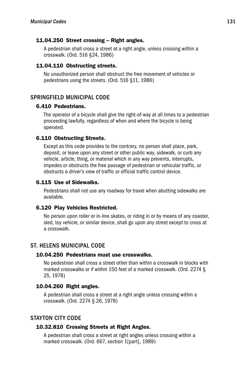#### 11.04.250 Street crossing – Right angles.

 A pedestrian shall cross a street at a right angle, unless crossing within a crosswalk. (Ord. 516 §24, 1986)

#### 11.04.110 Obstructing streets.

 No unauthorized person shall obstruct the free movement of vehicles or pedestrians using the streets. (Ord. 516 §11, 1986)

# Springfield Municipal Code

# 6.410 Pedestrians.

 The operator of a bicycle shall give the right-of-way at all times to a pedestrian proceeding lawfully, regardless of when and where the bicycle is being operated.

#### 6.110 Obstructing Streets.

 Except as this code provides to the contrary, no person shall place, park, deposit, or leave upon any street or other public way, sidewalk, or curb any vehicle, article, thing, or material which in any way prevents, interrupts, impedes or obstructs the free passage of pedestrian or vehicular traffic, or obstructs a driver's view of traffic or official traffic control device.

#### 6.115 Use of Sidewalks.

 Pedestrians shall not use any roadway for travel when abutting sidewalks are available.

#### 6.120 Play Vehicles Restricted.

 No person upon roller or in-line skates, or riding in or by means of any coaster, sled, toy vehicle, or similar device, shall go upon any street except to cross at a crosswalk.

# St. Helens Municipal Code

#### 10.04.250 Pedestrians must use crosswalks.

 No pedestrian shall cross a street other than within a crosswalk in blocks with marked crosswalks or if within 150 feet of a marked crosswalk. (Ord. 2274 § 25, 1978)

#### 10.04.260 Right angles.

 A pedestrian shall cross a street at a right angle unless crossing within a crosswalk. (Ord. 2274 § 26, 1978)

# Stayton City Code

#### 10.32.810 Crossing Streets at Right Angles.

 A pedestrian shall cross a street at right angles unless crossing within a marked crosswalk. (Ord. 667, section 1[part], 1989)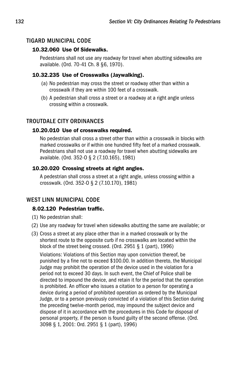# Tigard Municipal Code

# 10.32.060 Use Of Sidewalks.

 Pedestrians shall not use any roadway for travel when abutting sidewalks are available. (Ord. 70-41 Ch. 8 §6, 1970).

#### 10.32.235 Use of Crosswalks (Jaywalking).

- (a) No pedestrian may cross the street or roadway other than within a crosswalk if they are within 100 feet of a crosswalk.
- (b) A pedestrian shall cross a street or a roadway at a right angle unless crossing within a crosswalk.

# Troutdale City Ordinances

#### 10.20.010 Use of crosswalks required.

 No pedestrian shall cross a street other than within a crosswalk in blocks with marked crosswalks or if within one hundred fifty feet of a marked crosswalk. Pedestrians shall not use a roadway for travel when abutting sidewalks are available. (Ord. 352-O § 2 (7.10.165), 1981)

#### 10.20.020 Crossing streets at right angles.

 A pedestrian shall cross a street at a right angle, unless crossing within a crosswalk. (Ord. 352-O § 2 (7.10.170), 1981)

# West Linn Municipal Code

# 8.02.120 Pedestrian traffic.

- (1) No pedestrian shall:
- (2) Use any roadway for travel when sidewalks abutting the same are available; or
- (3) Cross a street at any place other than in a marked crosswalk or by the shortest route to the opposite curb if no crosswalks are located within the block of the street being crossed. (Ord. 2951 § 1 (part), 1996)

 Violations: Violations of this Section may upon conviction thereof, be punished by a fine not to exceed \$100.00. In addition thereto, the Municipal Judge may prohibit the operation of the device used in the violation for a period not to exceed 30 days. In such event, the Chief of Police shall be directed to impound the device, and retain it for the period that the operation is prohibited. An officer who issues a citation to a person for operating a device during a period of prohibited operation as ordered by the Municipal Judge, or to a person previously convicted of a violation of this Section during the preceding twelve-month period, may impound the subject device and dispose of it in accordance with the procedures in this Code for disposal of personal property, if the person is found guilty of the second offense. (Ord. 3098 § 1, 2001: Ord. 2951 § 1 (part), 1996)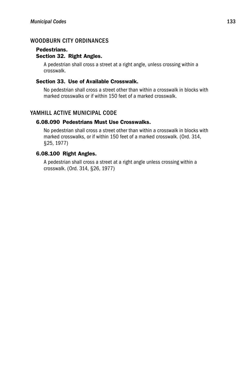# WOODBURN CITY ORDINANCES

# Pedestrians. Section 32. Right Angles.

 A pedestrian shall cross a street at a right angle, unless crossing within a crosswalk.

#### Section 33. Use of Available Crosswalk.

 No pedestrian shall cross a street other than within a crosswalk in blocks with marked crosswalks or if within 150 feet of a marked crosswalk.

# YAMHILL ACTIVE MUNICIPAL CODE

# 6.08.090 Pedestrians Must Use Crosswalks.

 No pedestrian shall cross a street other than within a crosswalk in blocks with marked crosswalks, or if within 150 feet of a marked crosswalk. (Ord. 314, §25, 1977)

# 6.08.100 Right Angles.

 A pedestrian shall cross a street at a right angle unless crossing within a crosswalk. (Ord. 314, §26, 1977)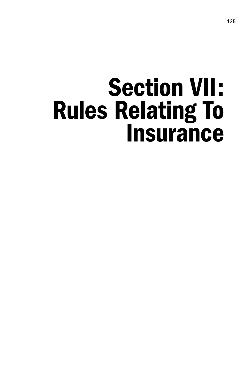# Section VII: Rules Relating To **Insurance**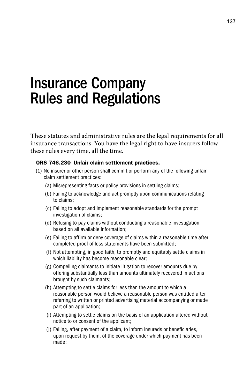# Insurance Company Rules and Regulations

These statutes and administrative rules are the legal requirements for all insurance transactions. You have the legal right to have insurers follow these rules every time, all the time.

# ORS 746.230 Unfair claim settlement practices.

- (1) No insurer or other person shall commit or perform any of the following unfair claim settlement practices:
	- (a) Misrepresenting facts or policy provisions in settling claims;
	- (b) Failing to acknowledge and act promptly upon communications relating to claims;
	- (c) Failing to adopt and implement reasonable standards for the prompt investigation of claims;
	- (d) Refusing to pay claims without conducting a reasonable investigation based on all available information;
	- (e) Failing to affirm or deny coverage of claims within a reasonable time after completed proof of loss statements have been submitted;
	- (f) Not attempting, in good faith, to promptly and equitably settle claims in which liability has become reasonable clear;
	- (g) Compelling claimants to initiate litigation to recover amounts due by offering substantially less than amounts ultimately recovered in actions brought by such claimants;
	- (h) Attempting to settle claims for less than the amount to which a reasonable person would believe a reasonable person was entitled after referring to written or printed advertising material accompanying or made part of an application;
	- (i) Attempting to settle claims on the basis of an application altered without notice to or consent of the applicant;
	- (j) Failing, after payment of a claim, to inform insureds or beneficiaries, upon request by them, of the coverage under which payment has been made;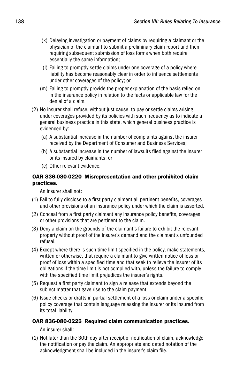- (k) Delaying investigation or payment of claims by requiring a claimant or the physician of the claimant to submit a preliminary claim report and then requiring subsequent submission of loss forms when both require essentially the same information;
- (l) Failing to promptly settle claims under one coverage of a policy where liability has become reasonably clear in order to influence settlements under other coverages of the policy; or
- (m) Failing to promptly provide the proper explanation of the basis relied on in the insurance policy in relation to the facts or applicable law for the denial of a claim.
- (2) No insurer shall refuse, without just cause, to pay or settle claims arising under coverages provided by its policies with such frequency as to indicate a general business practice in this state, which general business practice is evidenced by:
	- (a) A substantial increase in the number of complaints against the insurer received by the Department of Consumer and Business Services;
	- (b) A substantial increase in the number of lawsuits filed against the insurer or its insured by claimants; or
	- (c) Other relevant evidence.

# OAR 836-080-0220 Misrepresentation and other prohibited claim practices.

An insurer shall not:

- (1) Fail to fully disclose to a first party claimant all pertinent benefits, coverages and other provisions of an insurance policy under which the claim is asserted.
- (2) Conceal from a first party claimant any insurance policy benefits, coverages or other provisions that are pertinent to the claim.
- (3) Deny a claim on the grounds of the claimant's failure to exhibit the relevant property without proof of the insurer's demand and the claimant's unfounded refusal.
- (4) Except where there is such time limit specified in the policy, make statements, written or otherwise, that require a claimant to give written notice of loss or proof of loss within a specified time and that seek to relieve the insurer of its obligations if the time limit is not complied with, unless the failure to comply with the specified time limit prejudices the insurer's rights.
- (5) Request a first party claimant to sign a release that extends beyond the subject matter that gave rise to the claim payment.
- (6) Issue checks or drafts in partial settlement of a loss or claim under a specific policy coverage that contain language releasing the insurer or its insured from its total liability.

# OAR 836-080-0225 Required claim communication practices.

An insurer shall:

(1) Not later than the 30th day after receipt of notification of claim, acknowledge the notification or pay the claim. An appropriate and dated notation of the acknowledgment shall be included in the insurer's claim file.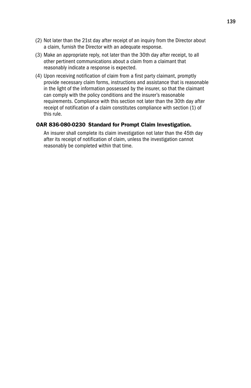- (2) Not later than the 21st day after receipt of an inquiry from the Director about a claim, furnish the Director with an adequate response.
- (3) Make an appropriate reply, not later than the 30th day after receipt, to all other pertinent communications about a claim from a claimant that reasonably indicate a response is expected.
- (4) Upon receiving notification of claim from a first party claimant, promptly provide necessary claim forms, instructions and assistance that is reasonable in the light of the information possessed by the insurer, so that the claimant can comply with the policy conditions and the insurer's reasonable requirements. Compliance with this section not later than the 30th day after receipt of notification of a claim constitutes compliance with section (1) of this rule.

#### OAR 836-080-0230 Standard for Prompt Claim Investigation.

 An insurer shall complete its claim investigation not later than the 45th day after its receipt of notification of claim, unless the investigation cannot reasonably be completed within that time.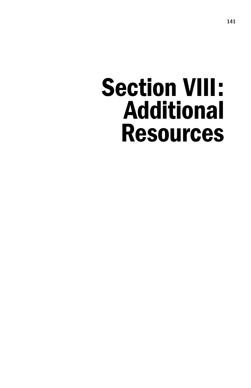# Section VIII: Additional Resources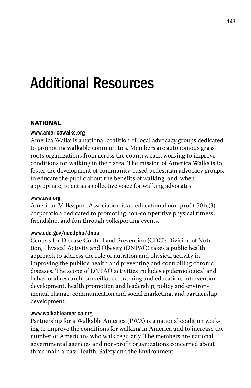# Additional Resources

# **NATIONAL**

#### www.americawalks.org

America Walks is a national coalition of local advocacy groups dedicated to promoting walkable communities. Members are autonomous grassroots organizations from across the country, each working to improve conditions for walking in their area. The mission of America Walks is to foster the development of community-based pedestrian advocacy groups, to educate the public about the benefits of walking, and, when appropriate, to act as a collective voice for walking advocates.

#### www.ava.org

American Volkssport Association is an educational non-profit 501c(3) corporation dedicated to promoting non-competitive physical fitness, friendship, and fun through volksporting events.

#### www.cdc.gov/nccdphp/dnpa

Centers for Disease Control and Prevention (CDC): Division of Nutrition, Physical Activity and Obesity (DNPAO) takes a public health approach to address the role of nutrition and physical activity in improving the public's health and preventing and controlling chronic diseases. The scope of DNPAO activities includes epidemiological and behavioral research, surveillance, training and education, intervention development, health promotion and leadership, policy and environmental change, communication and social marketing, and partnership development.

#### www.walkableamerica.org

Partnership for a Walkable America (PWA) is a national coalition working to improve the conditions for walking in America and to increase the number of Americans who walk regularly. The members are national governmental agencies and non-profit organizations concerned about three main areas: Health, Safety and the Environment.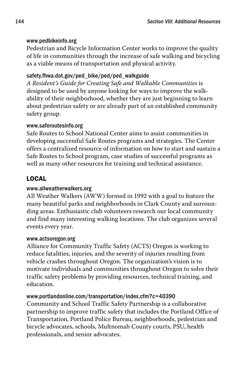# www.pedbikeinfo.org

Pedestrian and Bicycle Information Center works to improve the quality of life in communities through the increase of safe walking and bicycling as a viable means of transportation and physical activity.

# safety.fhwa.dot.gov/ped\_bike/ped/ped\_walkguide

*A Resident's Guide for Creating Safe and Walkable Communities* is designed to be used by anyone looking for ways to improve the walkability of their neighborhood, whether they are just beginning to learn about pedestrian safety or are already part of an established community safety group.

# www.saferoutesinfo.org

Safe Routes to School National Center aims to assist communities in developing successful Safe Routes programs and strategies. The Center offers a centralized resource of information on how to start and sustain a Safe Routes to School program, case studies of successful programs as well as many other resources for training and technical assistance.

# LOCAL

# www.allweatherwalkers.org

All Weather Walkers (AWW) formed in 1992 with a goal to feature the many beautiful parks and neighborhoods in Clark County and surrounding areas. Enthusiastic club volunteers research our local community and find many interesting walking locations. The club organizes several events every year.

# www.actsoregon.org

Alliance for Community Traffic Safety (ACTS) Oregon is working to reduce fatalities, injuries, and the severity of injuries resulting from vehicle crashes throughout Oregon. The organization's vision is to motivate individuals and communities throughout Oregon to solve their traffic safety problems by providing resources, technical training, and education.

# www.portlandonline.com/transportation/index.cfm?c=40390

Community and School Traffic Safety Partnership is a collaborative partnership to improve traffic safety that includes the Portland Office of Transportation, Portland Police Bureau, neighborhoods, pedestrian and bicycle advocates, schools, Multnomah County courts, PSU, health professionals, and senior advocates.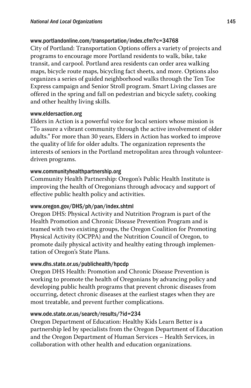# www.portlandonline.com/transportation/index.cfm?c=34768

City of Portland: Transportation Options offers a variety of projects and programs to encourage more Portland residents to walk, bike, take transit, and carpool. Portland area residents can order area walking maps, bicycle route maps, bicycling fact sheets, and more. Options also organizes a series of guided neighborhood walks through the Ten Toe Express campaign and Senior Stroll program. Smart Living classes are offered in the spring and fall on pedestrian and bicycle safety, cooking and other healthy living skills.

#### www.eldersaction.org

Elders in Action is a powerful voice for local seniors whose mission is "To assure a vibrant community through the active involvement of older adults." For more than 30 years, Elders in Action has worked to improve the quality of life for older adults. The organization represents the interests of seniors in the Portland metropolitan area through volunteerdriven programs.

#### www.communityhealthpartnership.org

Community Health Partnership: Oregon's Public Health Institute is improving the health of Oregonians through advocacy and support of effective public health policy and activities.

# www.oregon.gov/DHS/ph/pan/index.shtml

Oregon DHS: Physical Activity and Nutrition Program is part of the Health Promotion and Chronic Disease Prevention Program and is teamed with two existing groups, the Oregon Coalition for Promoting Physical Activity (OCPPA) and the Nutrition Council of Oregon, to promote daily physical activity and healthy eating through implementation of Oregon's State Plans.

# www.dhs.state.or.us/publichealth/hpcdp

Oregon DHS Health: Promotion and Chronic Disease Prevention is working to promote the health of Oregonians by advancing policy and developing public health programs that prevent chronic diseases from occurring, detect chronic diseases at the earliest stages when they are most treatable, and prevent further complications.

# www.ode.state.or.us/search/results/?id=234

Oregon Department of Education: Healthy Kids Learn Better is a partnership led by specialists from the Oregon Department of Education and the Oregon Department of Human Services – Health Services, in collaboration with other health and education organizations.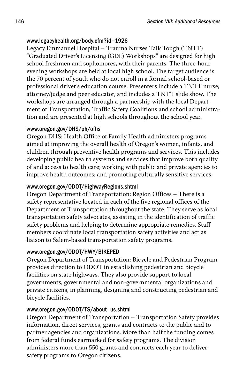# www.legacyhealth.org/body.cfm?id=1926

Legacy Emmanuel Hospital – Trauma Nurses Talk Tough (TNTT) "Graduated Driver's Licensing (GDL) Workshops" are designed for high school freshmen and sophomores, with their parents. The three-hour evening workshops are held at local high school. The target audience is the 70 percent of youth who do not enroll in a formal school-based or professional driver's education course. Presenters include a TNTT nurse, attorney/judge and peer educator, and includes a TNTT slide show. The workshops are arranged through a partnership with the local Department of Transportation, Traffic Safety Coalitions and school administration and are presented at high schools throughout the school year.

# www.oregon.gov/DHS/ph/ofhs

Oregon DHS: Health Office of Family Health administers programs aimed at improving the overall health of Oregon's women, infants, and children through preventive health programs and services. This includes developing public health systems and services that improve both quality of and access to health care; working with public and private agencies to improve health outcomes; and promoting culturally sensitive services.

# www.oregon.gov/ODOT/HighwayRegions.shtml

Oregon Department of Transportation: Region Offices – There is a safety representative located in each of the five regional offices of the Department of Transportation throughout the state. They serve as local transportation safety advocates, assisting in the identification of traffic safety problems and helping to determine appropriate remedies. Staff members coordinate local transportation safety activities and act as liaison to Salem-based transportation safety programs.

# www.oregon.gov/ODOT/HWY/BIKEPED

Oregon Department of Transportation: Bicycle and Pedestrian Program provides direction to ODOT in establishing pedestrian and bicycle facilities on state highways. They also provide support to local governments, governmental and non-governmental organizations and private citizens, in planning, designing and constructing pedestrian and bicycle facilities.

# www.oregon.gov/ODOT/TS/about\_us.shtml

Oregon Department of Transportation – Transportation Safety provides information, direct services, grants and contracts to the public and to partner agencies and organizations. More than half the funding comes from federal funds earmarked for safety programs. The division administers more than 550 grants and contracts each year to deliver safety programs to Oregon citizens.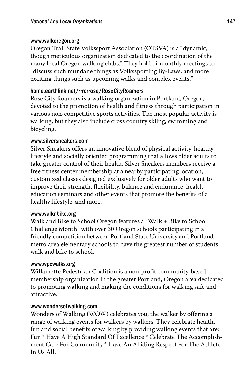#### www.walkoregon.org

Oregon Trail State Volkssport Association (OTSVA) is a "dynamic, though meticulous organization dedicated to the coordination of the many local Oregon walking clubs." They hold bi-monthly meetings to "discuss such mundane things as Volkssporting By-Laws, and more exciting things such as upcoming walks and complex events."

# home.earthlink.net/~rcrrose/RoseCityRoamers

Rose City Roamers is a walking organization in Portland, Oregon, devoted to the promotion of health and fitness through participation in various non-competitive sports activities. The most popular activity is walking, but they also include cross country skiing, swimming and bicycling.

#### www.silversneakers.com

Silver Sneakers offers an innovative blend of physical activity, healthy lifestyle and socially oriented programming that allows older adults to take greater control of their health. Silver Sneakers members receive a free fitness center membership at a nearby participating location, customized classes designed exclusively for older adults who want to improve their strength, flexibility, balance and endurance, health education seminars and other events that promote the benefits of a healthy lifestyle, and more.

#### www.walknbike.org

Walk and Bike to School Oregon features a "Walk + Bike to School Challenge Month" with over 30 Oregon schools participating in a friendly competition between Portland State University and Portland metro area elementary schools to have the greatest number of students walk and bike to school.

#### www.wpcwalks.org

Willamette Pedestrian Coalition is a non-profit community-based membership organization in the greater Portland, Oregon area dedicated to promoting walking and making the conditions for walking safe and attractive.

#### www.wondersofwalking.com

Wonders of Walking (WOW) celebrates you, the walker by offering a range of walking events for walkers by walkers. They celebrate health, fun and social benefits of walking by providing walking events that are: Fun \* Have A High Standard Of Excellence \* Celebrate The Accomplishment Care For Community \* Have An Abiding Respect For The Athlete In Us All.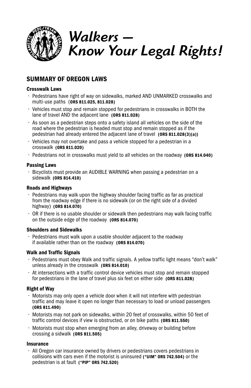

# *Walkers — Know Your Legal Rights!*

# Summary of Oregon Laws

#### Crosswalk Laws

- Pedestrians have right of way on sidewalks, marked AND UNMARKED crosswalks and multi-use paths (ORS 811.025, 811.028)
- Vehicles must stop and remain stopped for pedestrians in crosswalks in BOTH the lane of travel AND the adjacent lane (ORS 811.028)
- As soon as a pedestrian steps onto a safety island all vehicles on the side of the road where the pedestrian is headed must stop and remain stopped as if the pedestrian had already entered the adjacent lane of travel (ORS 811.028(3)(a))
- Vehicles may not overtake and pass a vehicle stopped for a pedestrian in a crosswalk (ORS 811.020)
- Pedestrians not in crosswalks must yield to all vehicles on the roadway (ORS 814.040)

#### Passing Laws

• Bicyclists must provide an AUDIBLE WARNING when passing a pedestrian on a sidewalk (ORS 814.410)

#### Roads and Highways

- $\cdot$  Pedestrians may walk upon the highway shoulder facing traffic as far as practical from the roadway edge if there is no sidewalk (or on the right side of a divided highway) (ORS 814.070)
- $\cdot$  OR if there is no usable shoulder or sidewalk then pedestrians may walk facing traffic on the outside edge of the roadway (ORS 814.070)

#### Shoulders and Sidewalks

• Pedestrians must walk upon a usable shoulder adjacent to the roadway if available rather than on the roadway (ORS 814.070)

#### Walk and Traffic Signals

- Pedestrians must obey Walk and traffic signals. A yellow traffic light means "don't walk" unless already in the crosswalk (ORS 814.010)
- At intersections with a traffic control device vehicles must stop and remain stopped for pedestrians in the lane of travel plus six feet on either side (ORS 811.028)

#### Right of Way

- Motorists may only open a vehicle door when it will not interfere with pedestrian traffic and may leave it open no longer than necessary to load or unload passengers (ORS 811.490)
- Motorists may not park on sidewalks, within 20 feet of crosswalks, within 50 feet of traffic control devices if view is obstructed, or on bike paths (ORS 811.550)
- Motorists must stop when emerging from an alley, driveway or building before crossing a sidwalk (ORS 811.505)

#### **Insurance**

• All Oregon car insurance owned by drivers or pedestrians covers pedestrians in collisions with cars even if the motorist is uninsured ("UIM" ORS 742.504) or the pedestrian is at fault ("PIP" ORS 742.520)